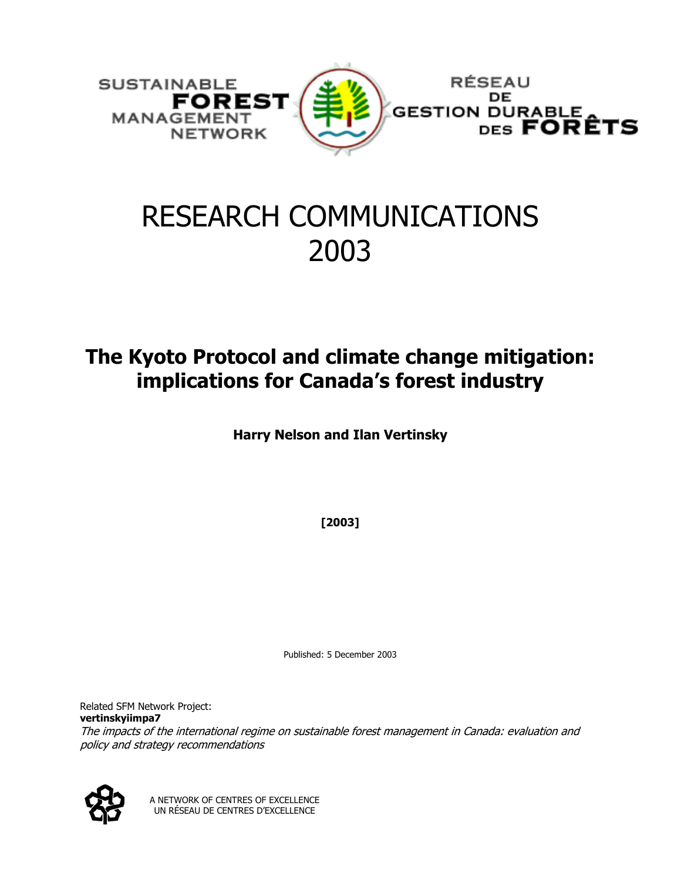

# RESEARCH COMMUNICATIONS 2003

# **The Kyoto Protocol and climate change mitigation: implications for Canada's forest industry**

**Harry Nelson and Ilan Vertinsky** 

**[2003]** 

Published: 5 December 2003

The impacts of the international regime on sustainable forest management in Canada: evaluation and Related SFM Network Project: **vertinskyiimpa7** policy and strategy recommendations



A NETWORK OF CENTRES OF EXCELLENCE UN RÉSEAU DE CENTRES D'EXCELLENCE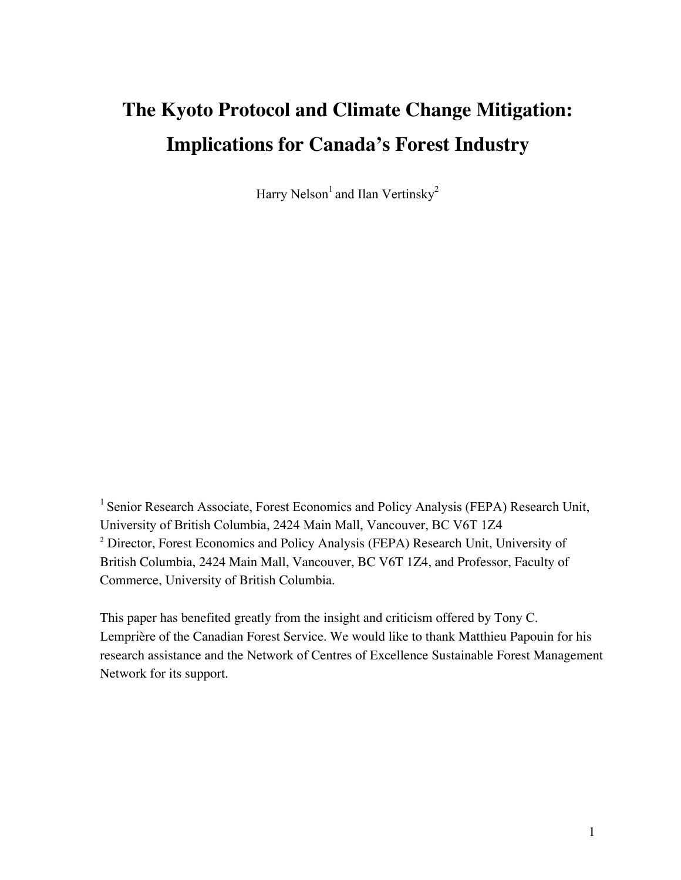# **The Kyoto Protocol and Climate Change Mitigation: Implications for Canada's Forest Industry**

Harry Nelson<sup>1</sup> and Ilan Vertinsky<sup>2</sup>

<sup>1</sup> Senior Research Associate, Forest Economics and Policy Analysis (FEPA) Research Unit, University of British Columbia, 2424 Main Mall, Vancouver, BC V6T 1Z4 <sup>2</sup> Director, Forest Economics and Policy Analysis (FEPA) Research Unit, University of British Columbia, 2424 Main Mall, Vancouver, BC V6T 1Z4, and Professor, Faculty of Commerce, University of British Columbia.

This paper has benefited greatly from the insight and criticism offered by Tony C. Lemprière of the Canadian Forest Service. We would like to thank Matthieu Papouin for his research assistance and the Network of Centres of Excellence Sustainable Forest Management Network for its support.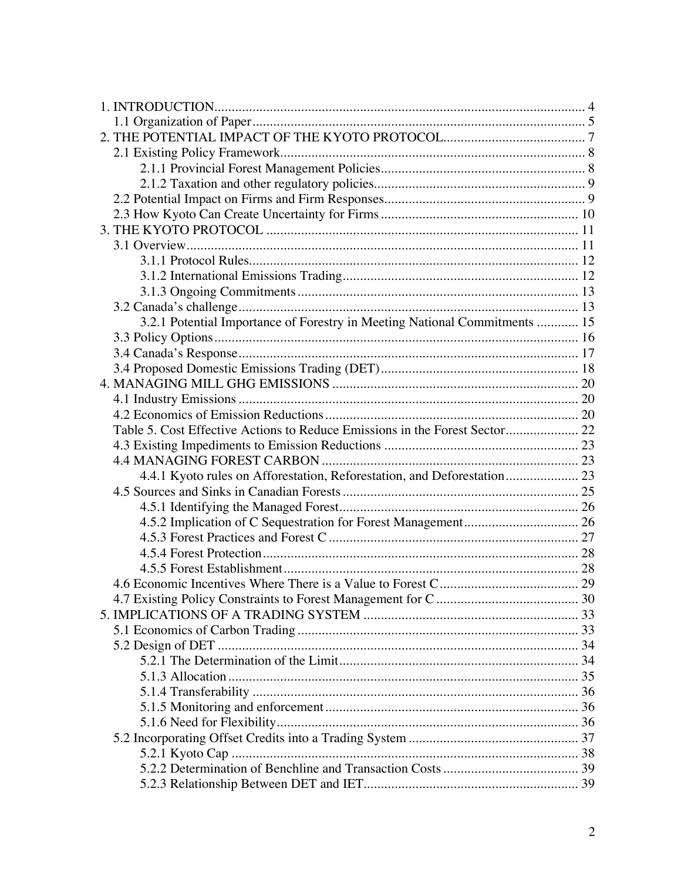| 3.2.1 Potential Importance of Forestry in Meeting National Commitments  15  |  |
|-----------------------------------------------------------------------------|--|
|                                                                             |  |
|                                                                             |  |
|                                                                             |  |
|                                                                             |  |
|                                                                             |  |
|                                                                             |  |
| Table 5. Cost Effective Actions to Reduce Emissions in the Forest Sector 22 |  |
|                                                                             |  |
|                                                                             |  |
| 4.4.1 Kyoto rules on Afforestation, Reforestation, and Deforestation 23     |  |
|                                                                             |  |
|                                                                             |  |
|                                                                             |  |
|                                                                             |  |
|                                                                             |  |
|                                                                             |  |
|                                                                             |  |
|                                                                             |  |
|                                                                             |  |
|                                                                             |  |
|                                                                             |  |
|                                                                             |  |
|                                                                             |  |
|                                                                             |  |
|                                                                             |  |
|                                                                             |  |
|                                                                             |  |
|                                                                             |  |
|                                                                             |  |
|                                                                             |  |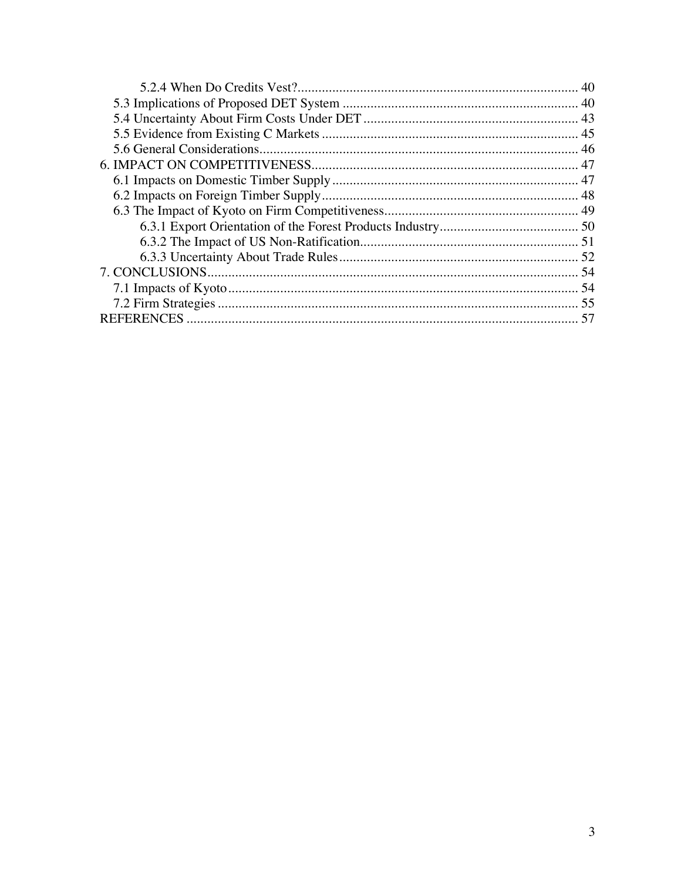| -57 |
|-----|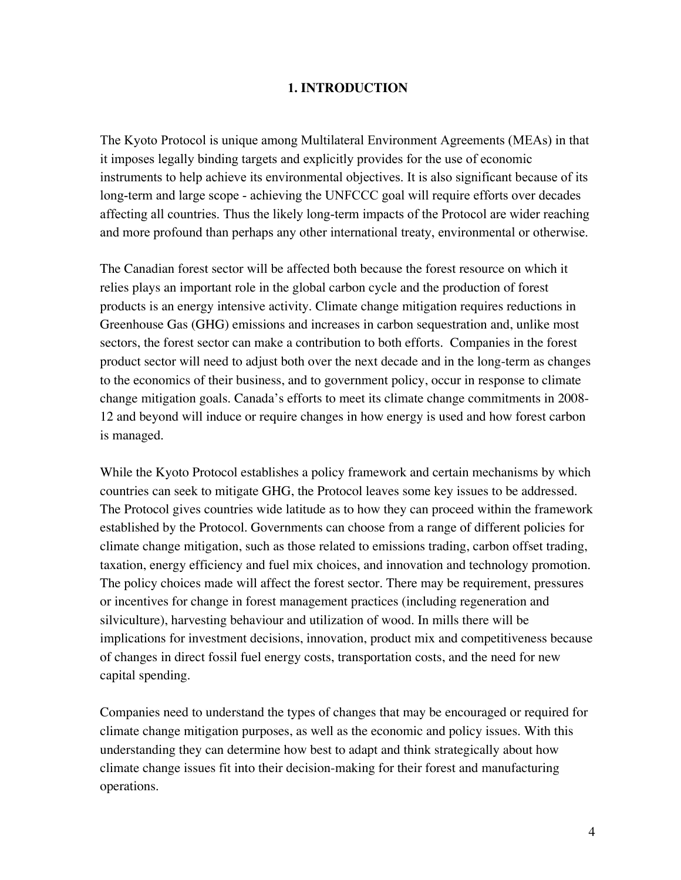#### **1. INTRODUCTION**

The Kyoto Protocol is unique among Multilateral Environment Agreements (MEAs) in that it imposes legally binding targets and explicitly provides for the use of economic instruments to help achieve its environmental objectives. It is also significant because of its long-term and large scope - achieving the UNFCCC goal will require efforts over decades affecting all countries. Thus the likely long-term impacts of the Protocol are wider reaching and more profound than perhaps any other international treaty, environmental or otherwise.

The Canadian forest sector will be affected both because the forest resource on which it relies plays an important role in the global carbon cycle and the production of forest products is an energy intensive activity. Climate change mitigation requires reductions in Greenhouse Gas (GHG) emissions and increases in carbon sequestration and, unlike most sectors, the forest sector can make a contribution to both efforts. Companies in the forest product sector will need to adjust both over the next decade and in the long-term as changes to the economics of their business, and to government policy, occur in response to climate change mitigation goals. Canada's efforts to meet its climate change commitments in 2008- 12 and beyond will induce or require changes in how energy is used and how forest carbon is managed.

While the Kyoto Protocol establishes a policy framework and certain mechanisms by which countries can seek to mitigate GHG, the Protocol leaves some key issues to be addressed. The Protocol gives countries wide latitude as to how they can proceed within the framework established by the Protocol. Governments can choose from a range of different policies for climate change mitigation, such as those related to emissions trading, carbon offset trading, taxation, energy efficiency and fuel mix choices, and innovation and technology promotion. The policy choices made will affect the forest sector. There may be requirement, pressures or incentives for change in forest management practices (including regeneration and silviculture), harvesting behaviour and utilization of wood. In mills there will be implications for investment decisions, innovation, product mix and competitiveness because of changes in direct fossil fuel energy costs, transportation costs, and the need for new capital spending.

Companies need to understand the types of changes that may be encouraged or required for climate change mitigation purposes, as well as the economic and policy issues. With this understanding they can determine how best to adapt and think strategically about how climate change issues fit into their decision-making for their forest and manufacturing operations.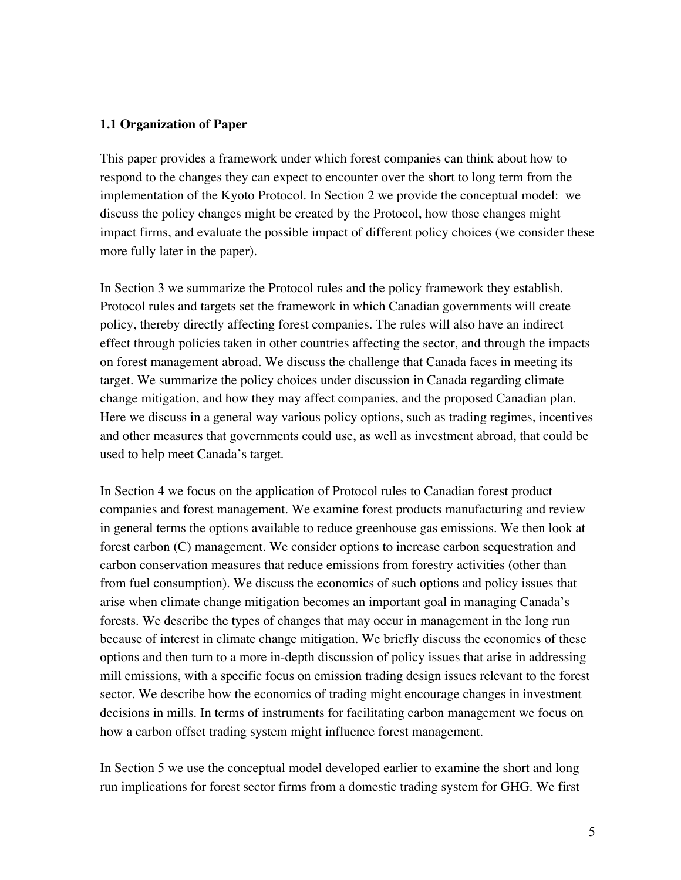#### **1.1 Organization of Paper**

This paper provides a framework under which forest companies can think about how to respond to the changes they can expect to encounter over the short to long term from the implementation of the Kyoto Protocol. In Section 2 we provide the conceptual model: we discuss the policy changes might be created by the Protocol, how those changes might impact firms, and evaluate the possible impact of different policy choices (we consider these more fully later in the paper).

In Section 3 we summarize the Protocol rules and the policy framework they establish. Protocol rules and targets set the framework in which Canadian governments will create policy, thereby directly affecting forest companies. The rules will also have an indirect effect through policies taken in other countries affecting the sector, and through the impacts on forest management abroad. We discuss the challenge that Canada faces in meeting its target. We summarize the policy choices under discussion in Canada regarding climate change mitigation, and how they may affect companies, and the proposed Canadian plan. Here we discuss in a general way various policy options, such as trading regimes, incentives and other measures that governments could use, as well as investment abroad, that could be used to help meet Canada's target.

In Section 4 we focus on the application of Protocol rules to Canadian forest product companies and forest management. We examine forest products manufacturing and review in general terms the options available to reduce greenhouse gas emissions. We then look at forest carbon (C) management. We consider options to increase carbon sequestration and carbon conservation measures that reduce emissions from forestry activities (other than from fuel consumption). We discuss the economics of such options and policy issues that arise when climate change mitigation becomes an important goal in managing Canada's forests. We describe the types of changes that may occur in management in the long run because of interest in climate change mitigation. We briefly discuss the economics of these options and then turn to a more in-depth discussion of policy issues that arise in addressing mill emissions, with a specific focus on emission trading design issues relevant to the forest sector. We describe how the economics of trading might encourage changes in investment decisions in mills. In terms of instruments for facilitating carbon management we focus on how a carbon offset trading system might influence forest management.

In Section 5 we use the conceptual model developed earlier to examine the short and long run implications for forest sector firms from a domestic trading system for GHG. We first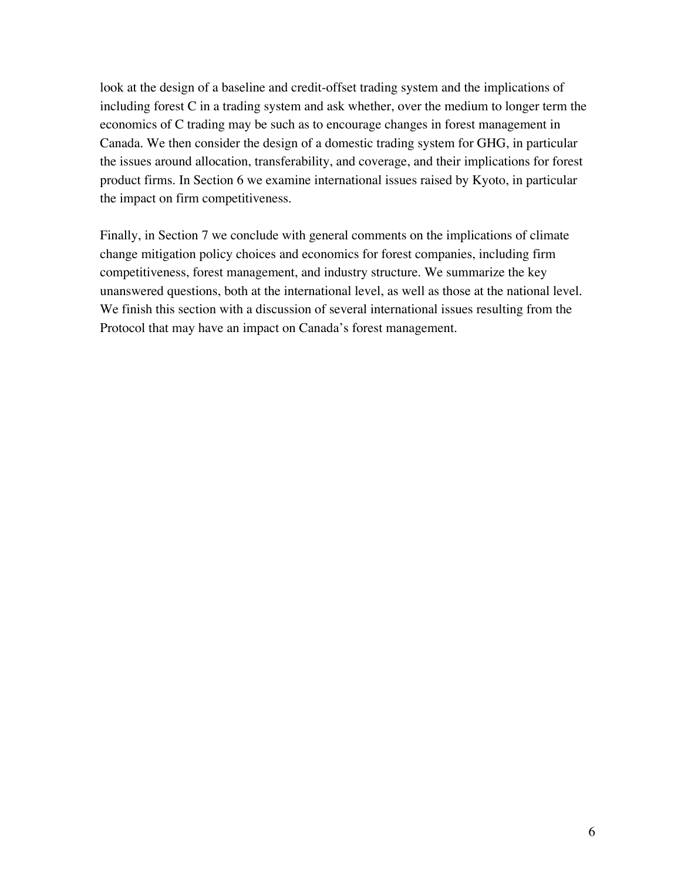look at the design of a baseline and credit-offset trading system and the implications of including forest C in a trading system and ask whether, over the medium to longer term the economics of C trading may be such as to encourage changes in forest management in Canada. We then consider the design of a domestic trading system for GHG, in particular the issues around allocation, transferability, and coverage, and their implications for forest product firms. In Section 6 we examine international issues raised by Kyoto, in particular the impact on firm competitiveness.

Finally, in Section 7 we conclude with general comments on the implications of climate change mitigation policy choices and economics for forest companies, including firm competitiveness, forest management, and industry structure. We summarize the key unanswered questions, both at the international level, as well as those at the national level. We finish this section with a discussion of several international issues resulting from the Protocol that may have an impact on Canada's forest management.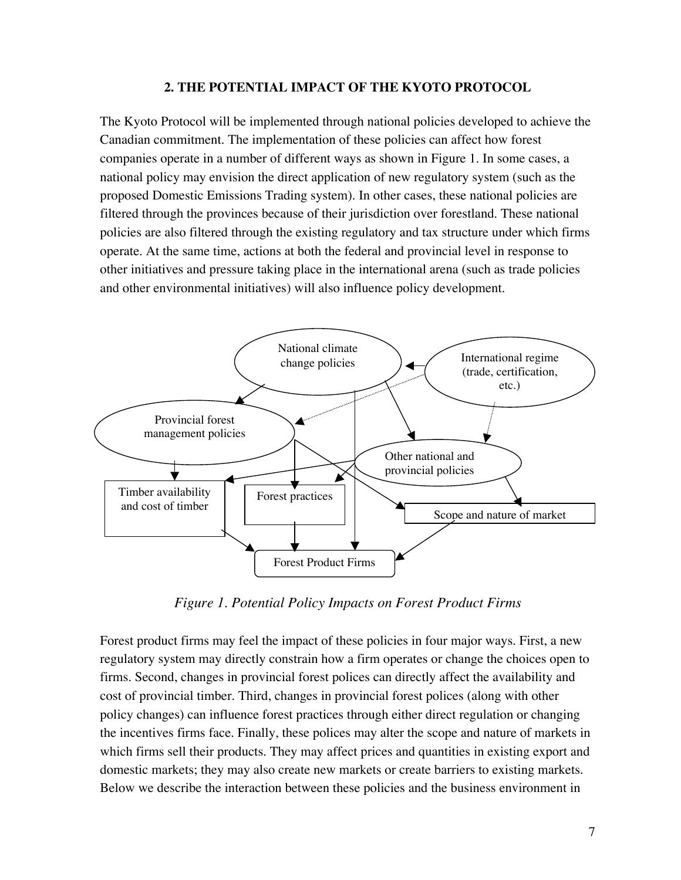#### **2. THE POTENTIAL IMPACT OF THE KYOTO PROTOCOL**

The Kyoto Protocol will be implemented through national policies developed to achieve the Canadian commitment. The implementation of these policies can affect how forest companies operate in a number of different ways as shown in Figure 1. In some cases, a national policy may envision the direct application of new regulatory system (such as the proposed Domestic Emissions Trading system). In other cases, these national policies are filtered through the provinces because of their jurisdiction over forestland. These national policies are also filtered through the existing regulatory and tax structure under which firms operate. At the same time, actions at both the federal and provincial level in response to other initiatives and pressure taking place in the international arena (such as trade policies and other environmental initiatives) will also influence policy development.



*Figure 1. Potential Policy Impacts on Forest Product Firms*

Forest product firms may feel the impact of these policies in four major ways. First, a new regulatory system may directly constrain how a firm operates or change the choices open to firms. Second, changes in provincial forest polices can directly affect the availability and cost of provincial timber. Third, changes in provincial forest polices (along with other policy changes) can influence forest practices through either direct regulation or changing the incentives firms face. Finally, these polices may alter the scope and nature of markets in which firms sell their products. They may affect prices and quantities in existing export and domestic markets; they may also create new markets or create barriers to existing markets. Below we describe the interaction between these policies and the business environment in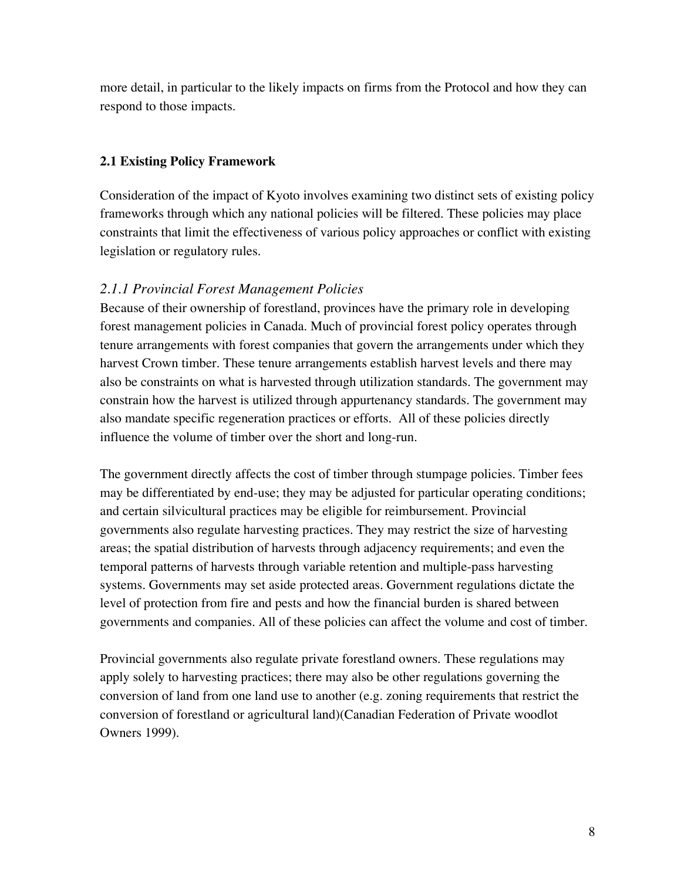more detail, in particular to the likely impacts on firms from the Protocol and how they can respond to those impacts.

# **2.1 Existing Policy Framework**

Consideration of the impact of Kyoto involves examining two distinct sets of existing policy frameworks through which any national policies will be filtered. These policies may place constraints that limit the effectiveness of various policy approaches or conflict with existing legislation or regulatory rules.

# *2.1.1 Provincial Forest Management Policies*

Because of their ownership of forestland, provinces have the primary role in developing forest management policies in Canada. Much of provincial forest policy operates through tenure arrangements with forest companies that govern the arrangements under which they harvest Crown timber. These tenure arrangements establish harvest levels and there may also be constraints on what is harvested through utilization standards. The government may constrain how the harvest is utilized through appurtenancy standards. The government may also mandate specific regeneration practices or efforts. All of these policies directly influence the volume of timber over the short and long-run.

The government directly affects the cost of timber through stumpage policies. Timber fees may be differentiated by end-use; they may be adjusted for particular operating conditions; and certain silvicultural practices may be eligible for reimbursement. Provincial governments also regulate harvesting practices. They may restrict the size of harvesting areas; the spatial distribution of harvests through adjacency requirements; and even the temporal patterns of harvests through variable retention and multiple-pass harvesting systems. Governments may set aside protected areas. Government regulations dictate the level of protection from fire and pests and how the financial burden is shared between governments and companies. All of these policies can affect the volume and cost of timber.

Provincial governments also regulate private forestland owners. These regulations may apply solely to harvesting practices; there may also be other regulations governing the conversion of land from one land use to another (e.g. zoning requirements that restrict the conversion of forestland or agricultural land)(Canadian Federation of Private woodlot Owners 1999).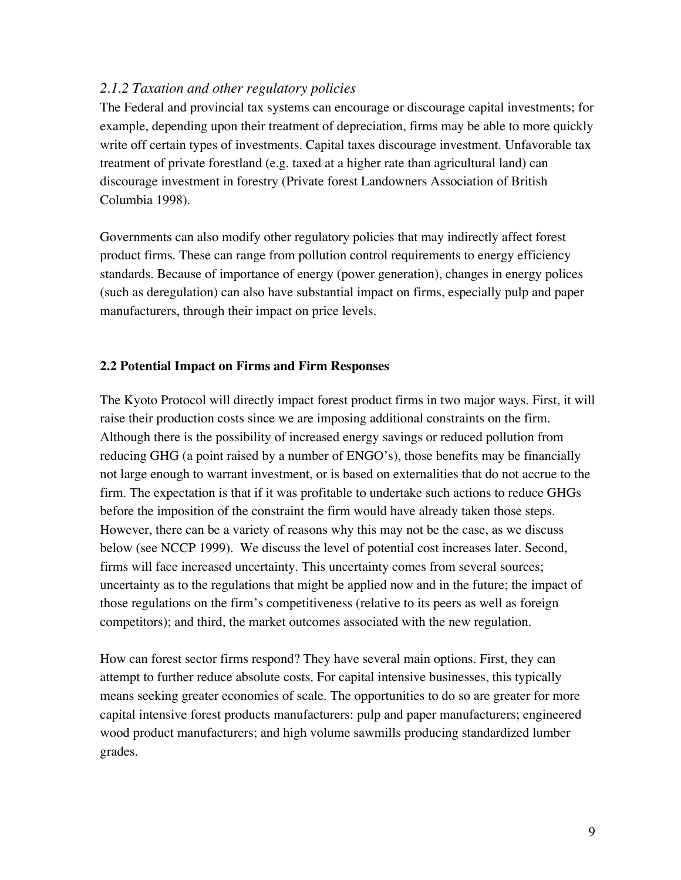### *2.1.2 Taxation and other regulatory policies*

The Federal and provincial tax systems can encourage or discourage capital investments; for example, depending upon their treatment of depreciation, firms may be able to more quickly write off certain types of investments. Capital taxes discourage investment. Unfavorable tax treatment of private forestland (e.g. taxed at a higher rate than agricultural land) can discourage investment in forestry (Private forest Landowners Association of British Columbia 1998).

Governments can also modify other regulatory policies that may indirectly affect forest product firms. These can range from pollution control requirements to energy efficiency standards. Because of importance of energy (power generation), changes in energy polices (such as deregulation) can also have substantial impact on firms, especially pulp and paper manufacturers, through their impact on price levels.

#### **2.2 Potential Impact on Firms and Firm Responses**

The Kyoto Protocol will directly impact forest product firms in two major ways. First, it will raise their production costs since we are imposing additional constraints on the firm. Although there is the possibility of increased energy savings or reduced pollution from reducing GHG (a point raised by a number of ENGO's), those benefits may be financially not large enough to warrant investment, or is based on externalities that do not accrue to the firm. The expectation is that if it was profitable to undertake such actions to reduce GHGs before the imposition of the constraint the firm would have already taken those steps. However, there can be a variety of reasons why this may not be the case, as we discuss below (see NCCP 1999). We discuss the level of potential cost increases later. Second, firms will face increased uncertainty. This uncertainty comes from several sources; uncertainty as to the regulations that might be applied now and in the future; the impact of those regulations on the firm's competitiveness (relative to its peers as well as foreign competitors); and third, the market outcomes associated with the new regulation.

How can forest sector firms respond? They have several main options. First, they can attempt to further reduce absolute costs. For capital intensive businesses, this typically means seeking greater economies of scale. The opportunities to do so are greater for more capital intensive forest products manufacturers: pulp and paper manufacturers; engineered wood product manufacturers; and high volume sawmills producing standardized lumber grades.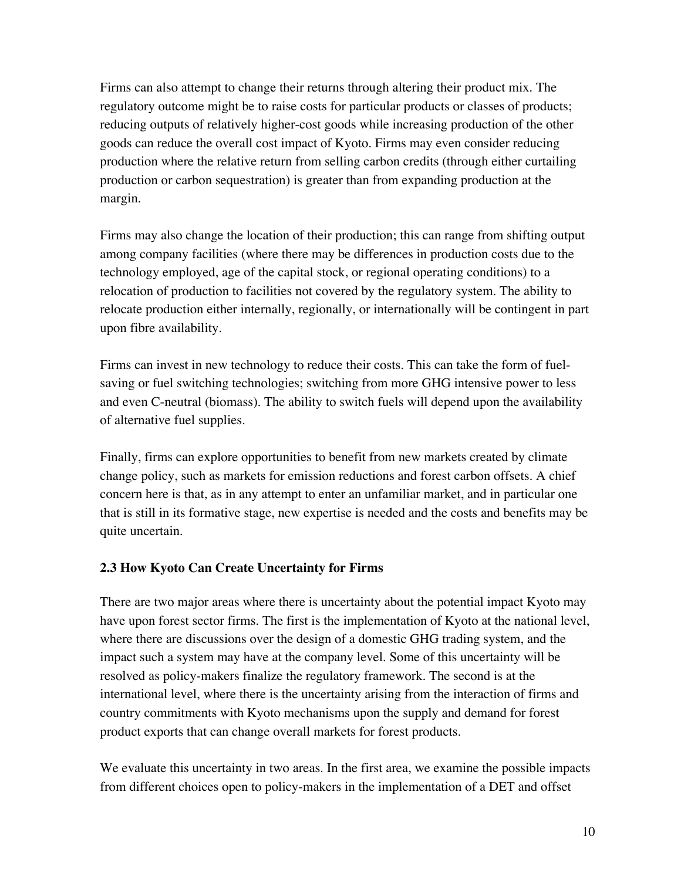Firms can also attempt to change their returns through altering their product mix. The regulatory outcome might be to raise costs for particular products or classes of products; reducing outputs of relatively higher-cost goods while increasing production of the other goods can reduce the overall cost impact of Kyoto. Firms may even consider reducing production where the relative return from selling carbon credits (through either curtailing production or carbon sequestration) is greater than from expanding production at the margin.

Firms may also change the location of their production; this can range from shifting output among company facilities (where there may be differences in production costs due to the technology employed, age of the capital stock, or regional operating conditions) to a relocation of production to facilities not covered by the regulatory system. The ability to relocate production either internally, regionally, or internationally will be contingent in part upon fibre availability.

Firms can invest in new technology to reduce their costs. This can take the form of fuelsaving or fuel switching technologies; switching from more GHG intensive power to less and even C-neutral (biomass). The ability to switch fuels will depend upon the availability of alternative fuel supplies.

Finally, firms can explore opportunities to benefit from new markets created by climate change policy, such as markets for emission reductions and forest carbon offsets. A chief concern here is that, as in any attempt to enter an unfamiliar market, and in particular one that is still in its formative stage, new expertise is needed and the costs and benefits may be quite uncertain.

# **2.3 How Kyoto Can Create Uncertainty for Firms**

There are two major areas where there is uncertainty about the potential impact Kyoto may have upon forest sector firms. The first is the implementation of Kyoto at the national level, where there are discussions over the design of a domestic GHG trading system, and the impact such a system may have at the company level. Some of this uncertainty will be resolved as policy-makers finalize the regulatory framework. The second is at the international level, where there is the uncertainty arising from the interaction of firms and country commitments with Kyoto mechanisms upon the supply and demand for forest product exports that can change overall markets for forest products.

We evaluate this uncertainty in two areas. In the first area, we examine the possible impacts from different choices open to policy-makers in the implementation of a DET and offset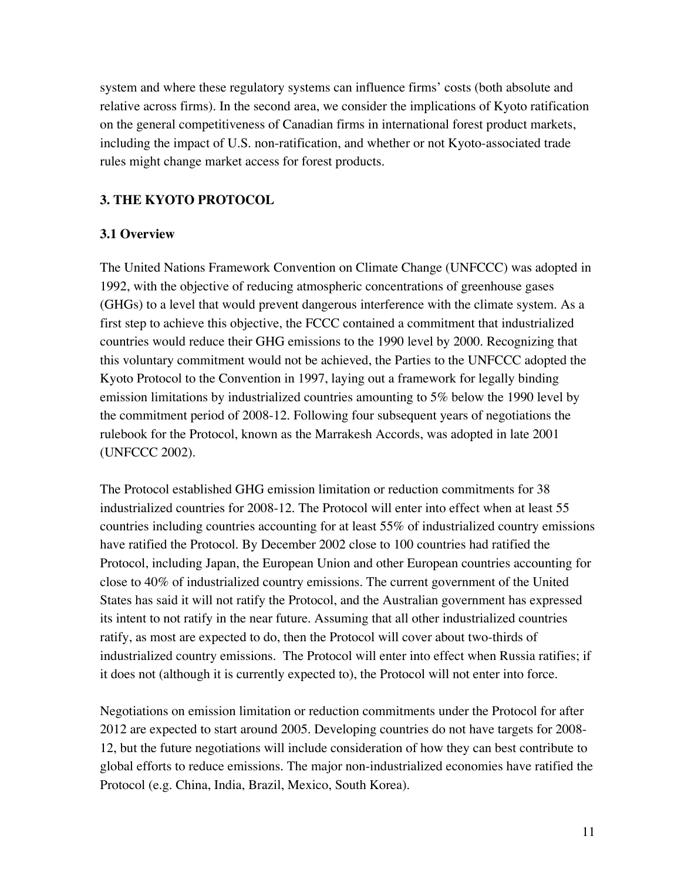system and where these regulatory systems can influence firms' costs (both absolute and relative across firms). In the second area, we consider the implications of Kyoto ratification on the general competitiveness of Canadian firms in international forest product markets, including the impact of U.S. non-ratification, and whether or not Kyoto-associated trade rules might change market access for forest products.

# **3. THE KYOTO PROTOCOL**

# **3.1 Overview**

The United Nations Framework Convention on Climate Change (UNFCCC) was adopted in 1992, with the objective of reducing atmospheric concentrations of greenhouse gases (GHGs) to a level that would prevent dangerous interference with the climate system. As a first step to achieve this objective, the FCCC contained a commitment that industrialized countries would reduce their GHG emissions to the 1990 level by 2000. Recognizing that this voluntary commitment would not be achieved, the Parties to the UNFCCC adopted the Kyoto Protocol to the Convention in 1997, laying out a framework for legally binding emission limitations by industrialized countries amounting to 5% below the 1990 level by the commitment period of 2008-12. Following four subsequent years of negotiations the rulebook for the Protocol, known as the Marrakesh Accords, was adopted in late 2001 (UNFCCC 2002).

The Protocol established GHG emission limitation or reduction commitments for 38 industrialized countries for 2008-12. The Protocol will enter into effect when at least 55 countries including countries accounting for at least 55% of industrialized country emissions have ratified the Protocol. By December 2002 close to 100 countries had ratified the Protocol, including Japan, the European Union and other European countries accounting for close to 40% of industrialized country emissions. The current government of the United States has said it will not ratify the Protocol, and the Australian government has expressed its intent to not ratify in the near future. Assuming that all other industrialized countries ratify, as most are expected to do, then the Protocol will cover about two-thirds of industrialized country emissions. The Protocol will enter into effect when Russia ratifies; if it does not (although it is currently expected to), the Protocol will not enter into force.

Negotiations on emission limitation or reduction commitments under the Protocol for after 2012 are expected to start around 2005. Developing countries do not have targets for 2008- 12, but the future negotiations will include consideration of how they can best contribute to global efforts to reduce emissions. The major non-industrialized economies have ratified the Protocol (e.g. China, India, Brazil, Mexico, South Korea).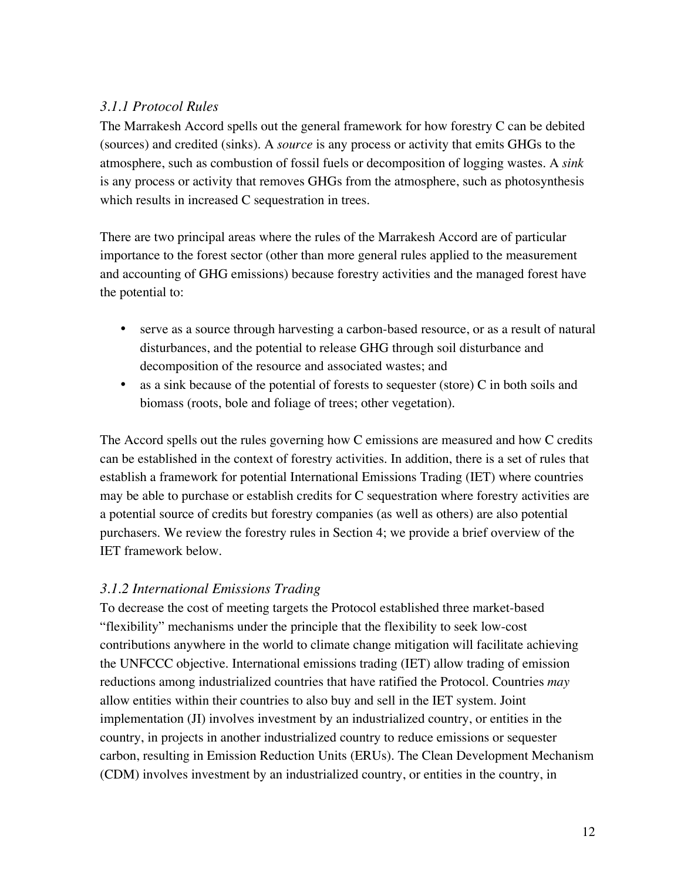# *3.1.1 Protocol Rules*

The Marrakesh Accord spells out the general framework for how forestry C can be debited (sources) and credited (sinks). A *source* is any process or activity that emits GHGs to the atmosphere, such as combustion of fossil fuels or decomposition of logging wastes. A *sink* is any process or activity that removes GHGs from the atmosphere, such as photosynthesis which results in increased C sequestration in trees.

There are two principal areas where the rules of the Marrakesh Accord are of particular importance to the forest sector (other than more general rules applied to the measurement and accounting of GHG emissions) because forestry activities and the managed forest have the potential to:

serve as a source through harvesting a carbon-based resource, or as a result of natural disturbances, and the potential to release GHG through soil disturbance and decomposition of the resource and associated wastes; and as a sink because of the potential of forests to sequester (store) C in both soils and biomass (roots, bole and foliage of trees; other vegetation).

The Accord spells out the rules governing how C emissions are measured and how C credits can be established in the context of forestry activities. In addition, there is a set of rules that establish a framework for potential International Emissions Trading (IET) where countries may be able to purchase or establish credits for C sequestration where forestry activities are a potential source of credits but forestry companies (as well as others) are also potential purchasers. We review the forestry rules in Section 4; we provide a brief overview of the IET framework below.

# *3.1.2 International Emissions Trading*

To decrease the cost of meeting targets the Protocol established three market-based "flexibility" mechanisms under the principle that the flexibility to seek low-cost contributions anywhere in the world to climate change mitigation will facilitate achieving the UNFCCC objective. International emissions trading (IET) allow trading of emission reductions among industrialized countries that have ratified the Protocol. Countries *may* allow entities within their countries to also buy and sell in the IET system. Joint implementation (JI) involves investment by an industrialized country, or entities in the country, in projects in another industrialized country to reduce emissions or sequester carbon, resulting in Emission Reduction Units (ERUs). The Clean Development Mechanism (CDM) involves investment by an industrialized country, or entities in the country, in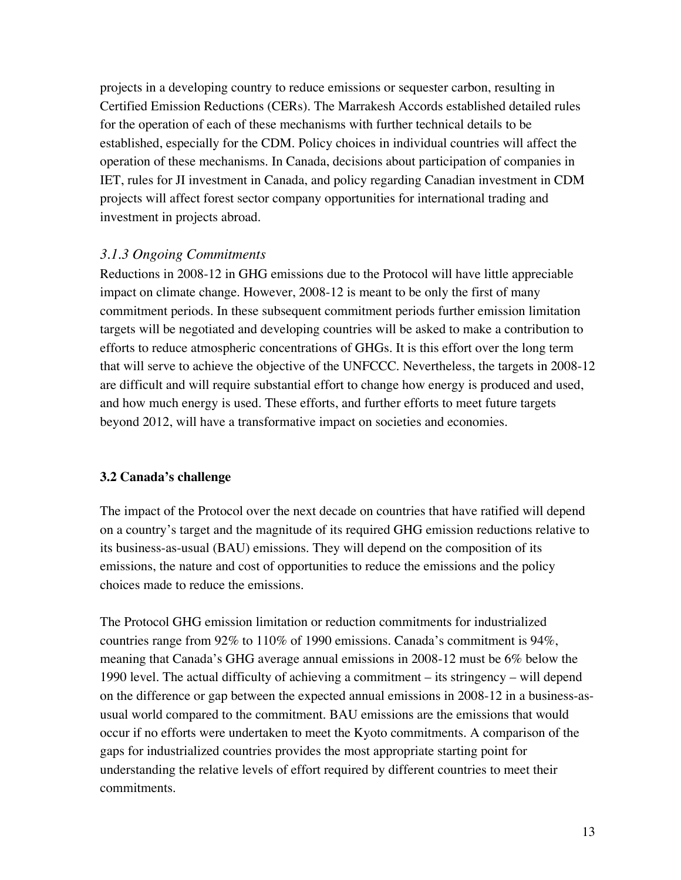projects in a developing country to reduce emissions or sequester carbon, resulting in Certified Emission Reductions (CERs). The Marrakesh Accords established detailed rules for the operation of each of these mechanisms with further technical details to be established, especially for the CDM. Policy choices in individual countries will affect the operation of these mechanisms. In Canada, decisions about participation of companies in IET, rules for JI investment in Canada, and policy regarding Canadian investment in CDM projects will affect forest sector company opportunities for international trading and investment in projects abroad.

# *3.1.3 Ongoing Commitments*

Reductions in 2008-12 in GHG emissions due to the Protocol will have little appreciable impact on climate change. However, 2008-12 is meant to be only the first of many commitment periods. In these subsequent commitment periods further emission limitation targets will be negotiated and developing countries will be asked to make a contribution to efforts to reduce atmospheric concentrations of GHGs. It is this effort over the long term that will serve to achieve the objective of the UNFCCC. Nevertheless, the targets in 2008-12 are difficult and will require substantial effort to change how energy is produced and used, and how much energy is used. These efforts, and further efforts to meet future targets beyond 2012, will have a transformative impact on societies and economies.

# **3.2 Canada's challenge**

The impact of the Protocol over the next decade on countries that have ratified will depend on a country's target and the magnitude of its required GHG emission reductions relative to its business-as-usual (BAU) emissions. They will depend on the composition of its emissions, the nature and cost of opportunities to reduce the emissions and the policy choices made to reduce the emissions.

The Protocol GHG emission limitation or reduction commitments for industrialized countries range from 92% to 110% of 1990 emissions. Canada's commitment is 94%, meaning that Canada's GHG average annual emissions in 2008-12 must be 6% below the 1990 level. The actual difficulty of achieving a commitment – its stringency – will depend on the difference or gap between the expected annual emissions in 2008-12 in a business-asusual world compared to the commitment. BAU emissions are the emissions that would occur if no efforts were undertaken to meet the Kyoto commitments. A comparison of the gaps for industrialized countries provides the most appropriate starting point for understanding the relative levels of effort required by different countries to meet their commitments.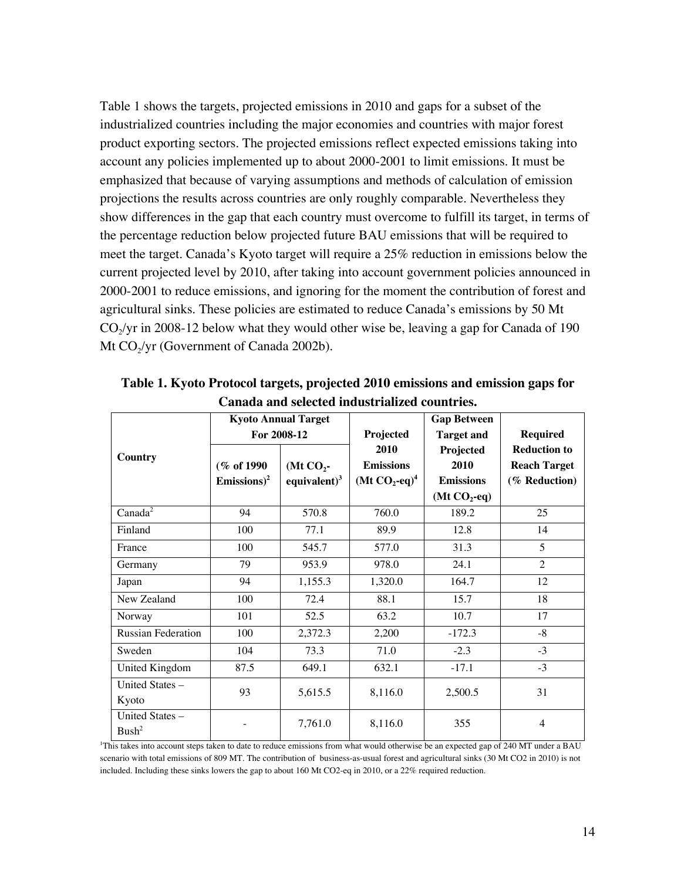Table 1 shows the targets, projected emissions in 2010 and gaps for a subset of the industrialized countries including the major economies and countries with major forest product exporting sectors. The projected emissions reflect expected emissions taking into account any policies implemented up to about 2000-2001 to limit emissions. It must be emphasized that because of varying assumptions and methods of calculation of emission projections the results across countries are only roughly comparable. Nevertheless they show differences in the gap that each country must overcome to fulfill its target, in terms of the percentage reduction below projected future BAU emissions that will be required to meet the target. Canada's Kyoto target will require a 25% reduction in emissions below the current projected level by 2010, after taking into account government policies announced in 2000-2001 to reduce emissions, and ignoring for the moment the contribution of forest and agricultural sinks. These policies are estimated to reduce Canada's emissions by 50 Mt  $CO_2$ /yr in 2008-12 below what they would other wise be, leaving a gap for Canada of 190 Mt  $CO<sub>2</sub>/yr$  (Government of Canada 2002b).

|                                      |                                        | <b>Kyoto Annual Target</b>     |                                                          | <b>Gap Between</b>                                       |                                                             |  |
|--------------------------------------|----------------------------------------|--------------------------------|----------------------------------------------------------|----------------------------------------------------------|-------------------------------------------------------------|--|
|                                      |                                        | For 2008-12                    | Projected                                                | <b>Target and</b>                                        | <b>Required</b>                                             |  |
| Country                              | (% of 1990)<br>Emissions) <sup>2</sup> | (Mt $CO2$ -<br>equivalent) $3$ | 2010<br><b>Emissions</b><br>(Mt $CO_2$ -eq) <sup>4</sup> | Projected<br>2010<br><b>Emissions</b><br>(Mt $CO_2$ -eq) | <b>Reduction to</b><br><b>Reach Target</b><br>(% Reduction) |  |
| Canada <sup>2</sup>                  | 94                                     | 570.8                          | 760.0                                                    | 189.2                                                    | 25                                                          |  |
| Finland                              | 100                                    | 77.1                           | 89.9                                                     | 12.8                                                     | 14                                                          |  |
| France                               | 100                                    | 545.7                          | 577.0                                                    | 31.3                                                     | 5                                                           |  |
| Germany                              | 79                                     | 953.9                          | 978.0                                                    | 24.1                                                     | $\mathfrak{D}$                                              |  |
| Japan                                | 94                                     | 1,155.3                        | 1,320.0                                                  | 164.7                                                    | 12                                                          |  |
| New Zealand                          | 100                                    | 72.4                           | 88.1                                                     | 15.7                                                     | 18                                                          |  |
| Norway                               | 101                                    | 52.5                           | 63.2                                                     | 10.7                                                     | 17                                                          |  |
| <b>Russian Federation</b>            | 100                                    | 2,372.3                        | 2,200                                                    | $-172.3$                                                 | $-8$                                                        |  |
| Sweden                               | 104                                    | 73.3                           | 71.0                                                     | $-2.3$                                                   | $-3$                                                        |  |
| United Kingdom                       | 87.5                                   | 649.1                          | 632.1                                                    | $-17.1$                                                  | $-3$                                                        |  |
| United States -<br>Kyoto             | 93                                     | 5,615.5                        | 8,116.0                                                  | 2,500.5                                                  | 31                                                          |  |
| United States -<br>Bush <sup>2</sup> |                                        | 7,761.0                        | 8,116.0                                                  | 355                                                      | $\overline{4}$                                              |  |

**Table 1. Kyoto Protocol targets, projected 2010 emissions and emission gaps for Canada and selected industrialized countries.**

1 This takes into account steps taken to date to reduce emissions from what would otherwise be an expected gap of 240 MT under a BAU scenario with total emissions of 809 MT. The contribution of business-as-usual forest and agricultural sinks (30 Mt CO2 in 2010) is not included. Including these sinks lowers the gap to about 160 Mt CO2-eq in 2010, or a 22% required reduction.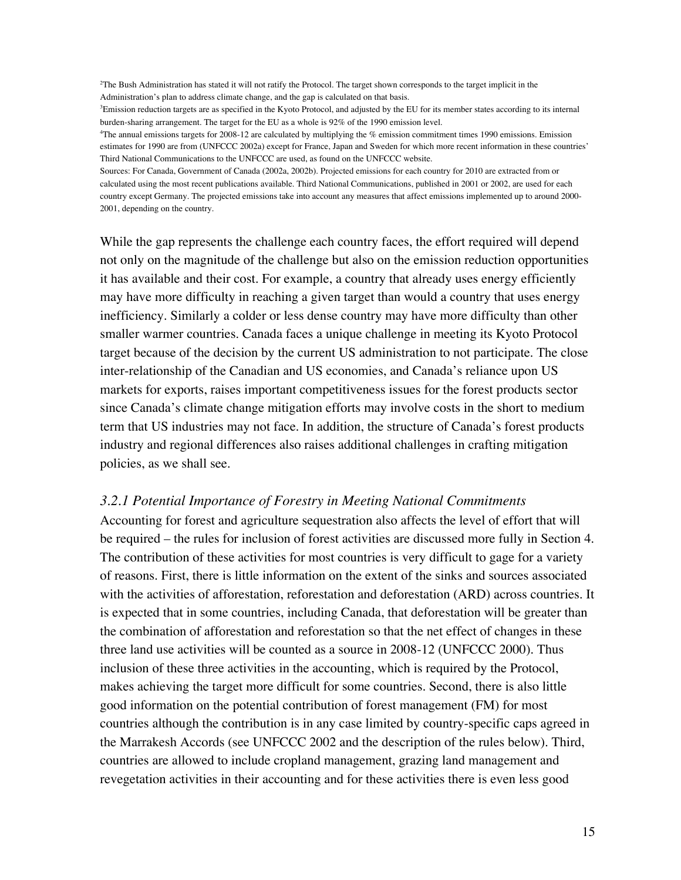2 The Bush Administration has stated it will not ratify the Protocol. The target shown corresponds to the target implicit in the Administration's plan to address climate change, and the gap is calculated on that basis.

3 Emission reduction targets are as specified in the Kyoto Protocol, and adjusted by the EU for its member states according to its internal burden-sharing arrangement. The target for the EU as a whole is 92% of the 1990 emission level.

4 The annual emissions targets for 2008-12 are calculated by multiplying the % emission commitment times 1990 emissions. Emission estimates for 1990 are from (UNFCCC 2002a) except for France, Japan and Sweden for which more recent information in these countries' Third National Communications to the UNFCCC are used, as found on the UNFCCC website.

Sources: For Canada, Government of Canada (2002a, 2002b). Projected emissions for each country for 2010 are extracted from or calculated using the most recent publications available. Third National Communications, published in 2001 or 2002, are used for each country except Germany. The projected emissions take into account any measures that affect emissions implemented up to around 2000- 2001, depending on the country.

While the gap represents the challenge each country faces, the effort required will depend not only on the magnitude of the challenge but also on the emission reduction opportunities it has available and their cost. For example, a country that already uses energy efficiently may have more difficulty in reaching a given target than would a country that uses energy inefficiency. Similarly a colder or less dense country may have more difficulty than other smaller warmer countries. Canada faces a unique challenge in meeting its Kyoto Protocol target because of the decision by the current US administration to not participate. The close inter-relationship of the Canadian and US economies, and Canada's reliance upon US markets for exports, raises important competitiveness issues for the forest products sector since Canada's climate change mitigation efforts may involve costs in the short to medium term that US industries may not face. In addition, the structure of Canada's forest products industry and regional differences also raises additional challenges in crafting mitigation policies, as we shall see.

#### *3.2.1 Potential Importance of Forestry in Meeting National Commitments*

Accounting for forest and agriculture sequestration also affects the level of effort that will be required – the rules for inclusion of forest activities are discussed more fully in Section 4. The contribution of these activities for most countries is very difficult to gage for a variety of reasons. First, there is little information on the extent of the sinks and sources associated with the activities of afforestation, reforestation and deforestation (ARD) across countries. It is expected that in some countries, including Canada, that deforestation will be greater than the combination of afforestation and reforestation so that the net effect of changes in these three land use activities will be counted as a source in 2008-12 (UNFCCC 2000). Thus inclusion of these three activities in the accounting, which is required by the Protocol, makes achieving the target more difficult for some countries. Second, there is also little good information on the potential contribution of forest management (FM) for most countries although the contribution is in any case limited by country-specific caps agreed in the Marrakesh Accords (see UNFCCC 2002 and the description of the rules below). Third, countries are allowed to include cropland management, grazing land management and revegetation activities in their accounting and for these activities there is even less good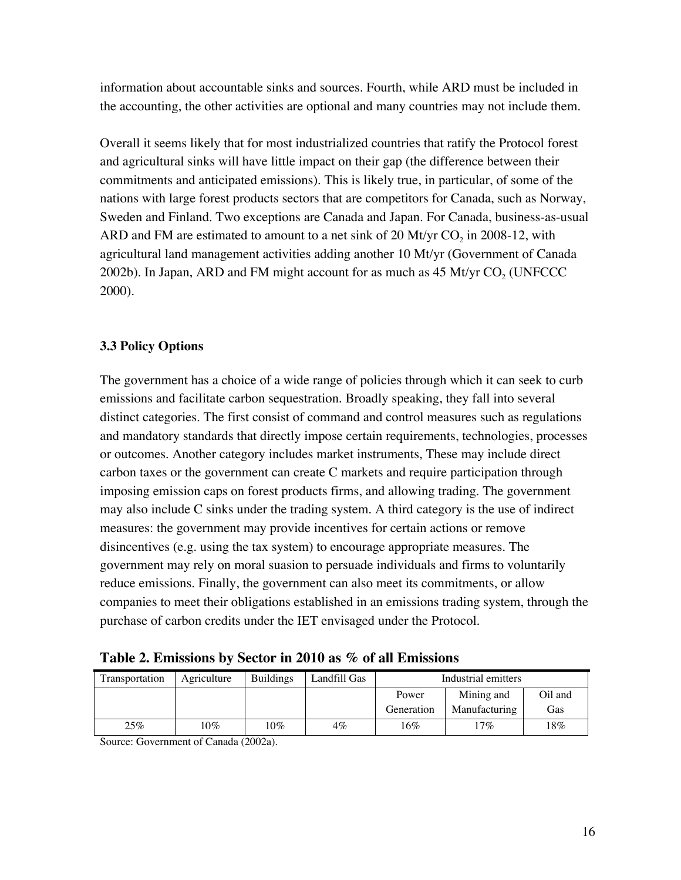information about accountable sinks and sources. Fourth, while ARD must be included in the accounting, the other activities are optional and many countries may not include them.

Overall it seems likely that for most industrialized countries that ratify the Protocol forest and agricultural sinks will have little impact on their gap (the difference between their commitments and anticipated emissions). This is likely true, in particular, of some of the nations with large forest products sectors that are competitors for Canada, such as Norway, Sweden and Finland. Two exceptions are Canada and Japan. For Canada, business-as-usual ARD and FM are estimated to amount to a net sink of 20 Mt/yr  $CO<sub>2</sub>$  in 2008-12, with agricultural land management activities adding another 10 Mt/yr (Government of Canada 2002b). In Japan, ARD and FM might account for as much as  $45$  Mt/yr CO<sub>2</sub> (UNFCCC) 2000).

# **3.3 Policy Options**

The government has a choice of a wide range of policies through which it can seek to curb emissions and facilitate carbon sequestration. Broadly speaking, they fall into several distinct categories. The first consist of command and control measures such as regulations and mandatory standards that directly impose certain requirements, technologies, processes or outcomes. Another category includes market instruments, These may include direct carbon taxes or the government can create C markets and require participation through imposing emission caps on forest products firms, and allowing trading. The government may also include C sinks under the trading system. A third category is the use of indirect measures: the government may provide incentives for certain actions or remove disincentives (e.g. using the tax system) to encourage appropriate measures. The government may rely on moral suasion to persuade individuals and firms to voluntarily reduce emissions. Finally, the government can also meet its commitments, or allow companies to meet their obligations established in an emissions trading system, through the purchase of carbon credits under the IET envisaged under the Protocol.

| Transportation | Agriculture | <b>Buildings</b> | Landfill Gas | Industrial emitters |               |         |
|----------------|-------------|------------------|--------------|---------------------|---------------|---------|
|                |             |                  |              | Power               | Mining and    | Oil and |
|                |             |                  |              | Generation          | Manufacturing | Gas     |
| 25%            | $10\%$      | $10\%$           | $4\%$        | 16%                 | $17\%$        | 18%     |

Source: Government of Canada (2002a).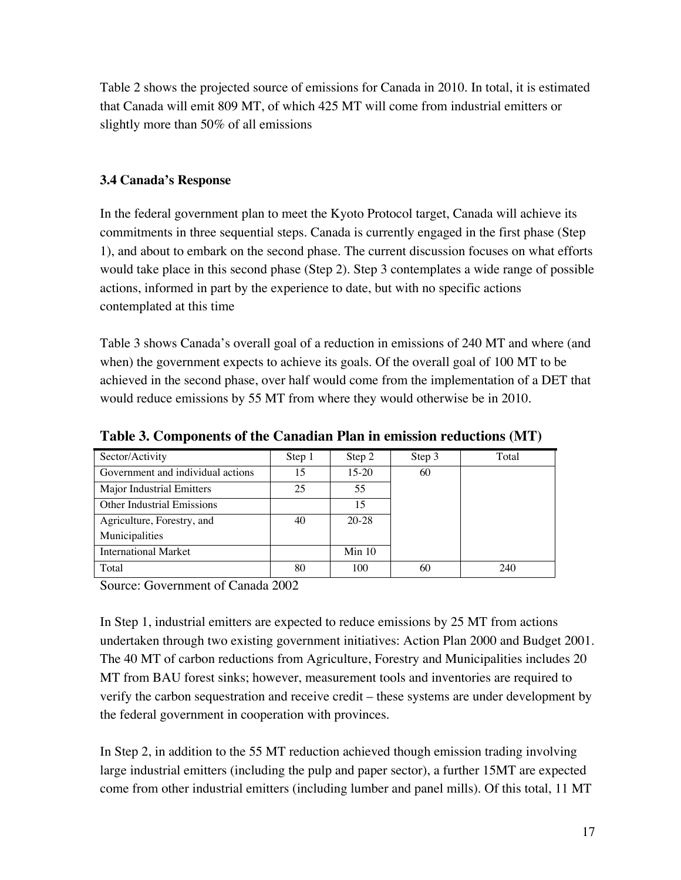Table 2 shows the projected source of emissions for Canada in 2010. In total, it is estimated that Canada will emit 809 MT, of which 425 MT will come from industrial emitters or slightly more than 50% of all emissions

# **3.4 Canada's Response**

In the federal government plan to meet the Kyoto Protocol target, Canada will achieve its commitments in three sequential steps. Canada is currently engaged in the first phase (Step 1), and about to embark on the second phase. The current discussion focuses on what efforts would take place in this second phase (Step 2). Step 3 contemplates a wide range of possible actions, informed in part by the experience to date, but with no specific actions contemplated at this time

Table 3 shows Canada's overall goal of a reduction in emissions of 240 MT and where (and when) the government expects to achieve its goals. Of the overall goal of 100 MT to be achieved in the second phase, over half would come from the implementation of a DET that would reduce emissions by 55 MT from where they would otherwise be in 2010.

| Sector/Activity                   | Step 1 | Step 2  | Step 3 | Total |
|-----------------------------------|--------|---------|--------|-------|
| Government and individual actions | 15     | $15-20$ | 60     |       |
| Major Industrial Emitters         | 25     | 55      |        |       |
| <b>Other Industrial Emissions</b> |        | 15      |        |       |
| Agriculture, Forestry, and        | 40     | 20-28   |        |       |
| Municipalities                    |        |         |        |       |
| <b>International Market</b>       |        | Min 10  |        |       |
| Total                             | 80     | 100     | 60     | 240   |

**Table 3. Components of the Canadian Plan in emission reductions (MT)**

Source: Government of Canada 2002

In Step 1, industrial emitters are expected to reduce emissions by 25 MT from actions undertaken through two existing government initiatives: Action Plan 2000 and Budget 2001. The 40 MT of carbon reductions from Agriculture, Forestry and Municipalities includes 20 MT from BAU forest sinks; however, measurement tools and inventories are required to verify the carbon sequestration and receive credit – these systems are under development by the federal government in cooperation with provinces.

In Step 2, in addition to the 55 MT reduction achieved though emission trading involving large industrial emitters (including the pulp and paper sector), a further 15MT are expected come from other industrial emitters (including lumber and panel mills). Of this total, 11 MT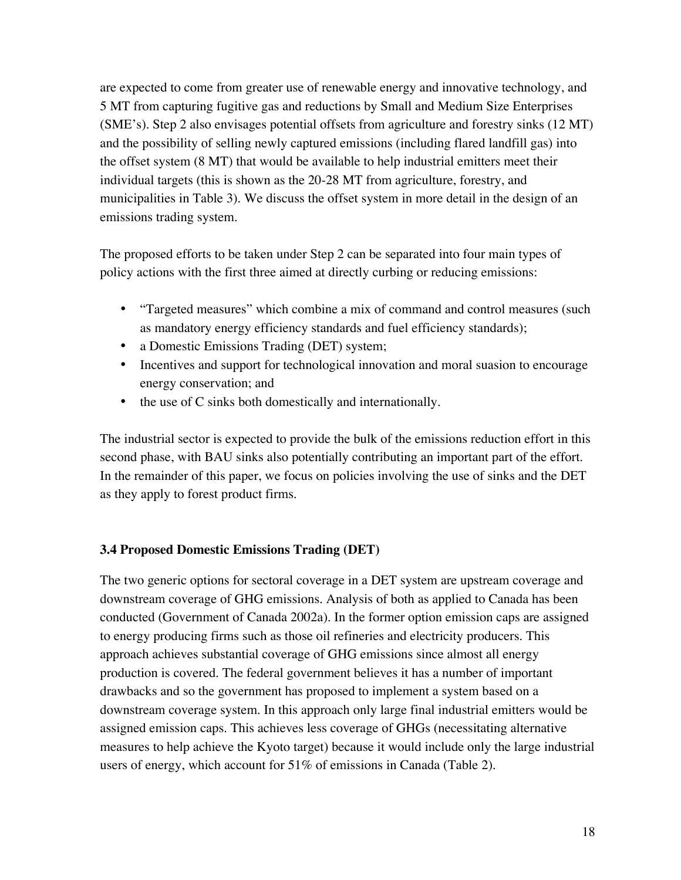are expected to come from greater use of renewable energy and innovative technology, and 5 MT from capturing fugitive gas and reductions by Small and Medium Size Enterprises (SME's). Step 2 also envisages potential offsets from agriculture and forestry sinks (12 MT) and the possibility of selling newly captured emissions (including flared landfill gas) into the offset system (8 MT) that would be available to help industrial emitters meet their individual targets (this is shown as the 20-28 MT from agriculture, forestry, and municipalities in Table 3). We discuss the offset system in more detail in the design of an emissions trading system.

The proposed efforts to be taken under Step 2 can be separated into four main types of policy actions with the first three aimed at directly curbing or reducing emissions:

"Targeted measures" which combine a mix of command and control measures (such as mandatory energy efficiency standards and fuel efficiency standards); a Domestic Emissions Trading (DET) system; Incentives and support for technological innovation and moral suasion to encourage energy conservation; and the use of C sinks both domestically and internationally.

The industrial sector is expected to provide the bulk of the emissions reduction effort in this second phase, with BAU sinks also potentially contributing an important part of the effort. In the remainder of this paper, we focus on policies involving the use of sinks and the DET as they apply to forest product firms.

#### **3.4 Proposed Domestic Emissions Trading (DET)**

The two generic options for sectoral coverage in a DET system are upstream coverage and downstream coverage of GHG emissions. Analysis of both as applied to Canada has been conducted (Government of Canada 2002a). In the former option emission caps are assigned to energy producing firms such as those oil refineries and electricity producers. This approach achieves substantial coverage of GHG emissions since almost all energy production is covered. The federal government believes it has a number of important drawbacks and so the government has proposed to implement a system based on a downstream coverage system. In this approach only large final industrial emitters would be assigned emission caps. This achieves less coverage of GHGs (necessitating alternative measures to help achieve the Kyoto target) because it would include only the large industrial users of energy, which account for 51% of emissions in Canada (Table 2).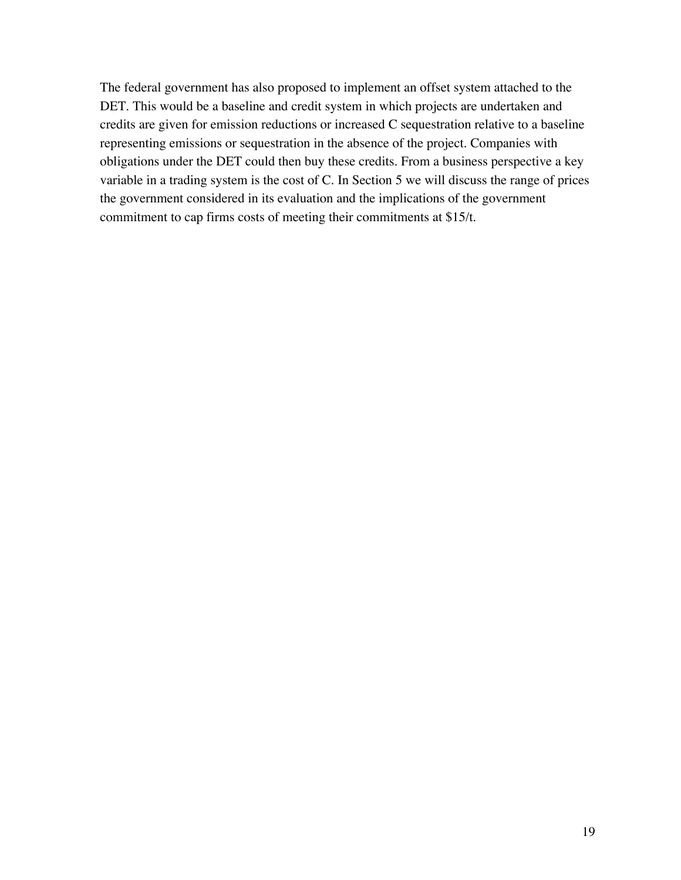The federal government has also proposed to implement an offset system attached to the DET. This would be a baseline and credit system in which projects are undertaken and credits are given for emission reductions or increased C sequestration relative to a baseline representing emissions or sequestration in the absence of the project. Companies with obligations under the DET could then buy these credits. From a business perspective a key variable in a trading system is the cost of C. In Section 5 we will discuss the range of prices the government considered in its evaluation and the implications of the government commitment to cap firms costs of meeting their commitments at \$15/t.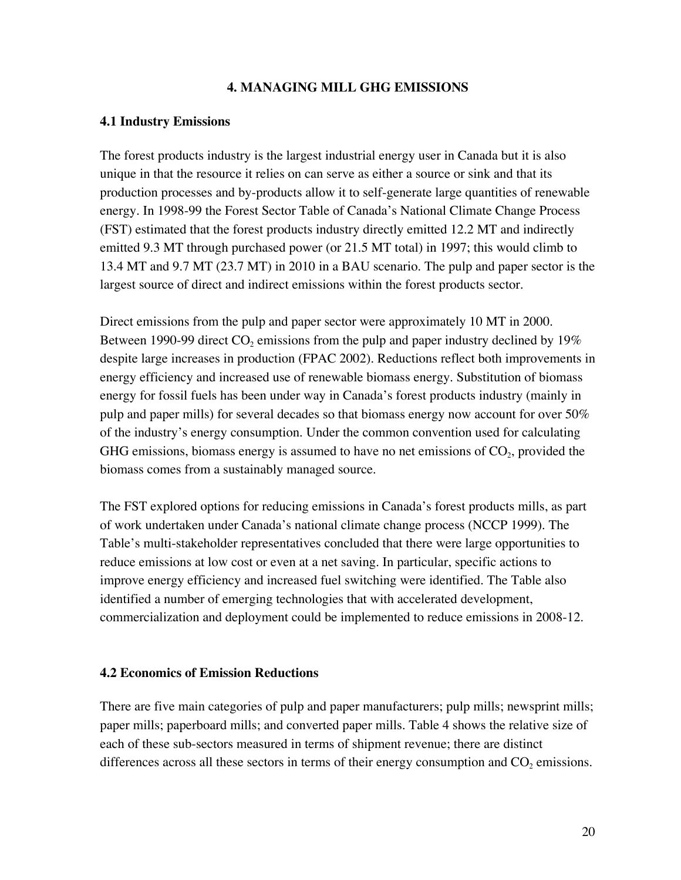#### **4. MANAGING MILL GHG EMISSIONS**

#### **4.1 Industry Emissions**

The forest products industry is the largest industrial energy user in Canada but it is also unique in that the resource it relies on can serve as either a source or sink and that its production processes and by-products allow it to self-generate large quantities of renewable energy. In 1998-99 the Forest Sector Table of Canada's National Climate Change Process (FST) estimated that the forest products industry directly emitted 12.2 MT and indirectly emitted 9.3 MT through purchased power (or 21.5 MT total) in 1997; this would climb to 13.4 MT and 9.7 MT (23.7 MT) in 2010 in a BAU scenario. The pulp and paper sector is the largest source of direct and indirect emissions within the forest products sector.

Direct emissions from the pulp and paper sector were approximately 10 MT in 2000. Between 1990-99 direct  $CO_2$  emissions from the pulp and paper industry declined by 19% despite large increases in production (FPAC 2002). Reductions reflect both improvements in energy efficiency and increased use of renewable biomass energy. Substitution of biomass energy for fossil fuels has been under way in Canada's forest products industry (mainly in pulp and paper mills) for several decades so that biomass energy now account for over 50% of the industry's energy consumption. Under the common convention used for calculating GHG emissions, biomass energy is assumed to have no net emissions of  $CO<sub>2</sub>$ , provided the biomass comes from a sustainably managed source.

The FST explored options for reducing emissions in Canada's forest products mills, as part of work undertaken under Canada's national climate change process (NCCP 1999). The Table's multi-stakeholder representatives concluded that there were large opportunities to reduce emissions at low cost or even at a net saving. In particular, specific actions to improve energy efficiency and increased fuel switching were identified. The Table also identified a number of emerging technologies that with accelerated development, commercialization and deployment could be implemented to reduce emissions in 2008-12.

#### **4.2 Economics of Emission Reductions**

There are five main categories of pulp and paper manufacturers; pulp mills; newsprint mills; paper mills; paperboard mills; and converted paper mills. Table 4 shows the relative size of each of these sub-sectors measured in terms of shipment revenue; there are distinct differences across all these sectors in terms of their energy consumption and  $CO<sub>2</sub>$  emissions.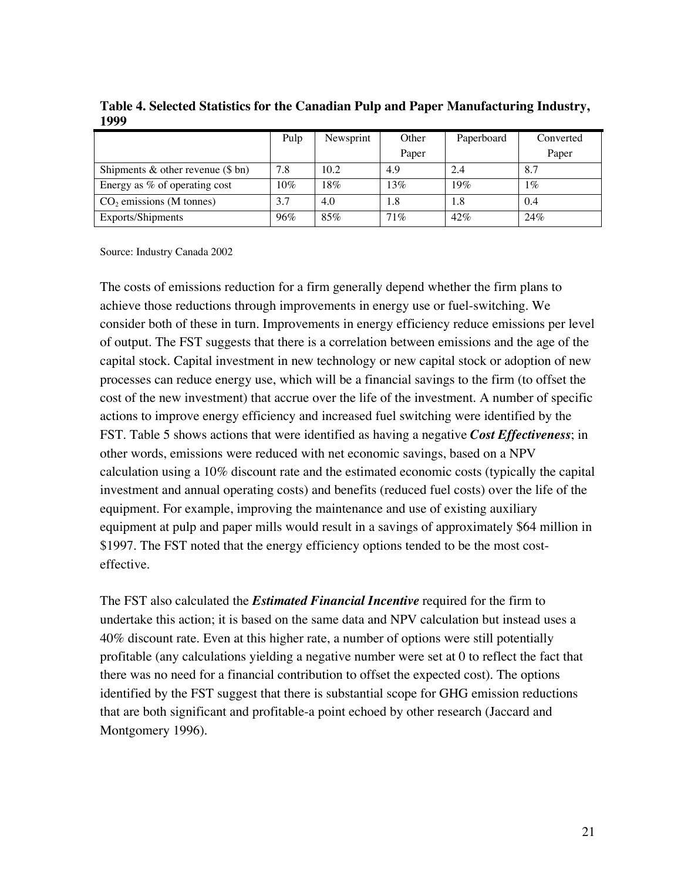|                                           | Pulp   | Newsprint | Other  | Paperboard | Converted |
|-------------------------------------------|--------|-----------|--------|------------|-----------|
|                                           |        |           | Paper  |            | Paper     |
| Shipments $\&$ other revenue ( $\$\,bn$ ) | 7.8    | 10.2      | 4.9    | 2.4        | 8.7       |
| Energy as % of operating cost             | $10\%$ | 18%       | 13%    | 19%        | 1%        |
| $CO2$ emissions (M tonnes)                | 3.7    | 4.0       | 1.8    | 1.8        | 0.4       |
| Exports/Shipments                         | 96%    | 85%       | $71\%$ | 42%        | 24%       |

**Table 4. Selected Statistics for the Canadian Pulp and Paper Manufacturing Industry, 1999**

Source: Industry Canada 2002

The costs of emissions reduction for a firm generally depend whether the firm plans to achieve those reductions through improvements in energy use or fuel-switching. We consider both of these in turn. Improvements in energy efficiency reduce emissions per level of output. The FST suggests that there is a correlation between emissions and the age of the capital stock. Capital investment in new technology or new capital stock or adoption of new processes can reduce energy use, which will be a financial savings to the firm (to offset the cost of the new investment) that accrue over the life of the investment. A number of specific actions to improve energy efficiency and increased fuel switching were identified by the FST. Table 5 shows actions that were identified as having a negative *Cost Effectiveness*; in other words, emissions were reduced with net economic savings, based on a NPV calculation using a 10% discount rate and the estimated economic costs (typically the capital investment and annual operating costs) and benefits (reduced fuel costs) over the life of the equipment. For example, improving the maintenance and use of existing auxiliary equipment at pulp and paper mills would result in a savings of approximately \$64 million in \$1997. The FST noted that the energy efficiency options tended to be the most costeffective.

The FST also calculated the *Estimated Financial Incentive* required for the firm to undertake this action; it is based on the same data and NPV calculation but instead uses a 40% discount rate. Even at this higher rate, a number of options were still potentially profitable (any calculations yielding a negative number were set at 0 to reflect the fact that there was no need for a financial contribution to offset the expected cost). The options identified by the FST suggest that there is substantial scope for GHG emission reductions that are both significant and profitable-a point echoed by other research (Jaccard and Montgomery 1996).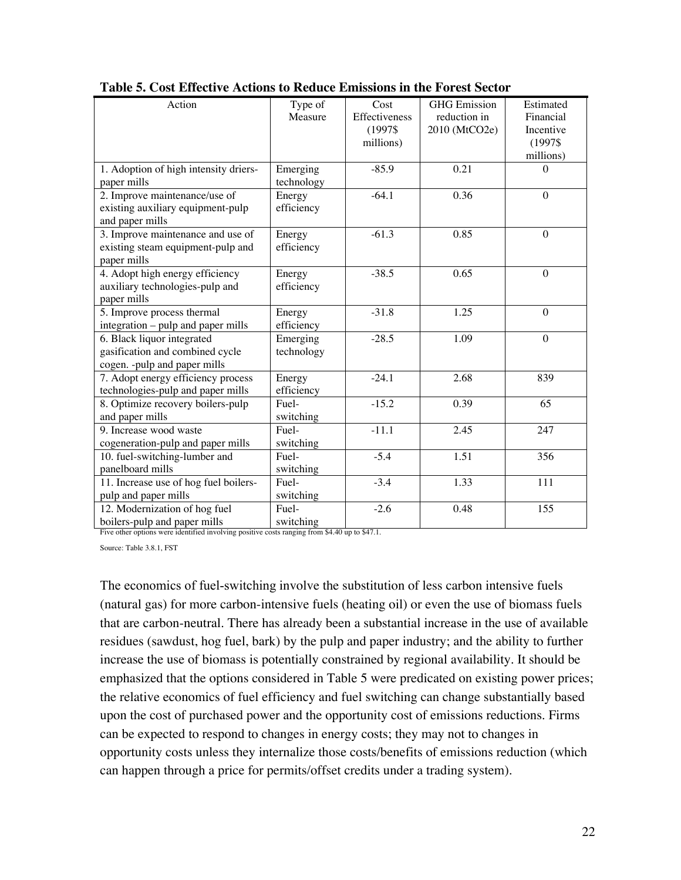| Action                                                                                                                                  | Type of    | Cost          | <b>GHG</b> Emission | Estimated    |
|-----------------------------------------------------------------------------------------------------------------------------------------|------------|---------------|---------------------|--------------|
|                                                                                                                                         | Measure    | Effectiveness | reduction in        | Financial    |
|                                                                                                                                         |            | (1997\$       | 2010 (MtCO2e)       | Incentive    |
|                                                                                                                                         |            | millions)     |                     | (1997\$      |
|                                                                                                                                         |            |               |                     | millions)    |
| 1. Adoption of high intensity driers-                                                                                                   | Emerging   | $-85.9$       | 0.21                | $\Omega$     |
| paper mills                                                                                                                             | technology |               |                     |              |
| 2. Improve maintenance/use of                                                                                                           | Energy     | $-64.1$       | 0.36                | $\Omega$     |
| existing auxiliary equipment-pulp                                                                                                       | efficiency |               |                     |              |
| and paper mills                                                                                                                         |            |               |                     |              |
| 3. Improve maintenance and use of                                                                                                       | Energy     | $-61.3$       | 0.85                | $\Omega$     |
| existing steam equipment-pulp and                                                                                                       | efficiency |               |                     |              |
| paper mills                                                                                                                             |            |               |                     |              |
| 4. Adopt high energy efficiency                                                                                                         | Energy     | $-38.5$       | 0.65                | $\theta$     |
| auxiliary technologies-pulp and                                                                                                         | efficiency |               |                     |              |
| paper mills                                                                                                                             |            |               |                     |              |
| 5. Improve process thermal                                                                                                              | Energy     | $-31.8$       | 1.25                | $\mathbf{0}$ |
| integration - pulp and paper mills                                                                                                      | efficiency |               |                     |              |
| 6. Black liquor integrated                                                                                                              | Emerging   | $-28.5$       | 1.09                | $\theta$     |
| gasification and combined cycle                                                                                                         | technology |               |                     |              |
| cogen. - pulp and paper mills                                                                                                           |            |               |                     |              |
| 7. Adopt energy efficiency process                                                                                                      | Energy     | $-24.1$       | 2.68                | 839          |
| technologies-pulp and paper mills                                                                                                       | efficiency |               |                     |              |
| 8. Optimize recovery boilers-pulp                                                                                                       | Fuel-      | $-15.2$       | 0.39                | 65           |
| and paper mills                                                                                                                         | switching  |               |                     |              |
| 9. Increase wood waste                                                                                                                  | Fuel-      | $-11.1$       | 2.45                | 247          |
| cogeneration-pulp and paper mills                                                                                                       | switching  |               |                     |              |
| 10. fuel-switching-lumber and                                                                                                           | Fuel-      | $-5.4$        | 1.51                | 356          |
| panelboard mills                                                                                                                        | switching  |               |                     |              |
| 11. Increase use of hog fuel boilers-                                                                                                   | Fuel-      | $-3.4$        | 1.33                | 111          |
| pulp and paper mills                                                                                                                    | switching  |               |                     |              |
| 12. Modernization of hog fuel                                                                                                           | Fuel-      | $-2.6$        | 0.48                | 155          |
| boilers-pulp and paper mills switching<br>Five other options were identified involving positive costs ranging from \$4.40 up to \$47.1. |            |               |                     |              |
|                                                                                                                                         |            |               |                     |              |

**Table 5. Cost Effective Actions to Reduce Emissions in the Forest Sector**

Source: Table 3.8.1, FST

The economics of fuel-switching involve the substitution of less carbon intensive fuels (natural gas) for more carbon-intensive fuels (heating oil) or even the use of biomass fuels that are carbon-neutral. There has already been a substantial increase in the use of available residues (sawdust, hog fuel, bark) by the pulp and paper industry; and the ability to further increase the use of biomass is potentially constrained by regional availability. It should be emphasized that the options considered in Table 5 were predicated on existing power prices; the relative economics of fuel efficiency and fuel switching can change substantially based upon the cost of purchased power and the opportunity cost of emissions reductions. Firms can be expected to respond to changes in energy costs; they may not to changes in opportunity costs unless they internalize those costs/benefits of emissions reduction (which can happen through a price for permits/offset credits under a trading system).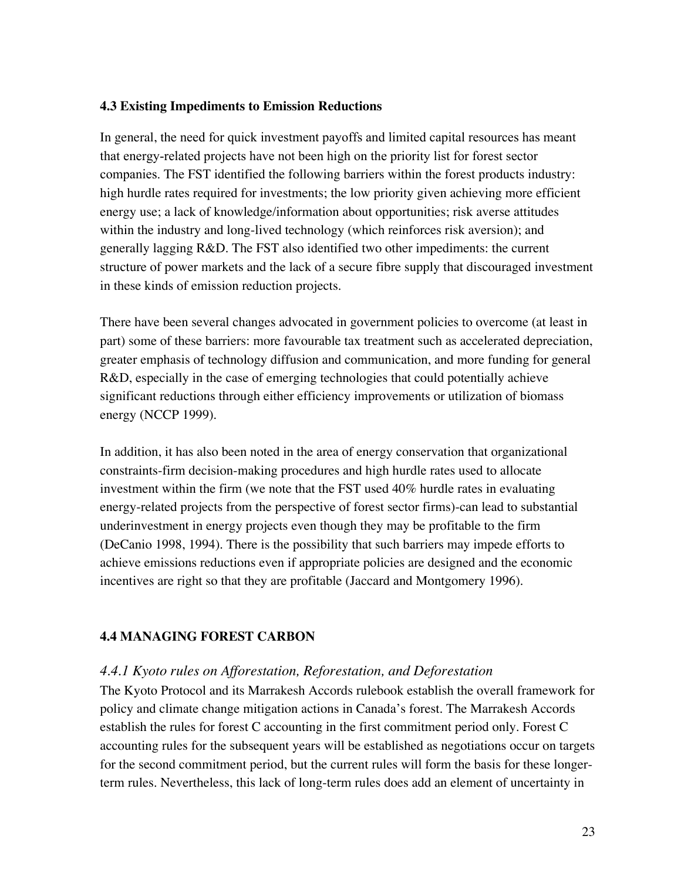#### **4.3 Existing Impediments to Emission Reductions**

In general, the need for quick investment payoffs and limited capital resources has meant that energy-related projects have not been high on the priority list for forest sector companies. The FST identified the following barriers within the forest products industry: high hurdle rates required for investments; the low priority given achieving more efficient energy use; a lack of knowledge/information about opportunities; risk averse attitudes within the industry and long-lived technology (which reinforces risk aversion); and generally lagging R&D. The FST also identified two other impediments: the current structure of power markets and the lack of a secure fibre supply that discouraged investment in these kinds of emission reduction projects.

There have been several changes advocated in government policies to overcome (at least in part) some of these barriers: more favourable tax treatment such as accelerated depreciation, greater emphasis of technology diffusion and communication, and more funding for general R&D, especially in the case of emerging technologies that could potentially achieve significant reductions through either efficiency improvements or utilization of biomass energy (NCCP 1999).

In addition, it has also been noted in the area of energy conservation that organizational constraints-firm decision-making procedures and high hurdle rates used to allocate investment within the firm (we note that the FST used 40% hurdle rates in evaluating energy-related projects from the perspective of forest sector firms)-can lead to substantial underinvestment in energy projects even though they may be profitable to the firm (DeCanio 1998, 1994). There is the possibility that such barriers may impede efforts to achieve emissions reductions even if appropriate policies are designed and the economic incentives are right so that they are profitable (Jaccard and Montgomery 1996).

# **4.4 MANAGING FOREST CARBON**

# *4.4.1 Kyoto rules on Afforestation, Reforestation, and Deforestation*

The Kyoto Protocol and its Marrakesh Accords rulebook establish the overall framework for policy and climate change mitigation actions in Canada's forest. The Marrakesh Accords establish the rules for forest C accounting in the first commitment period only. Forest C accounting rules for the subsequent years will be established as negotiations occur on targets for the second commitment period, but the current rules will form the basis for these longerterm rules. Nevertheless, this lack of long-term rules does add an element of uncertainty in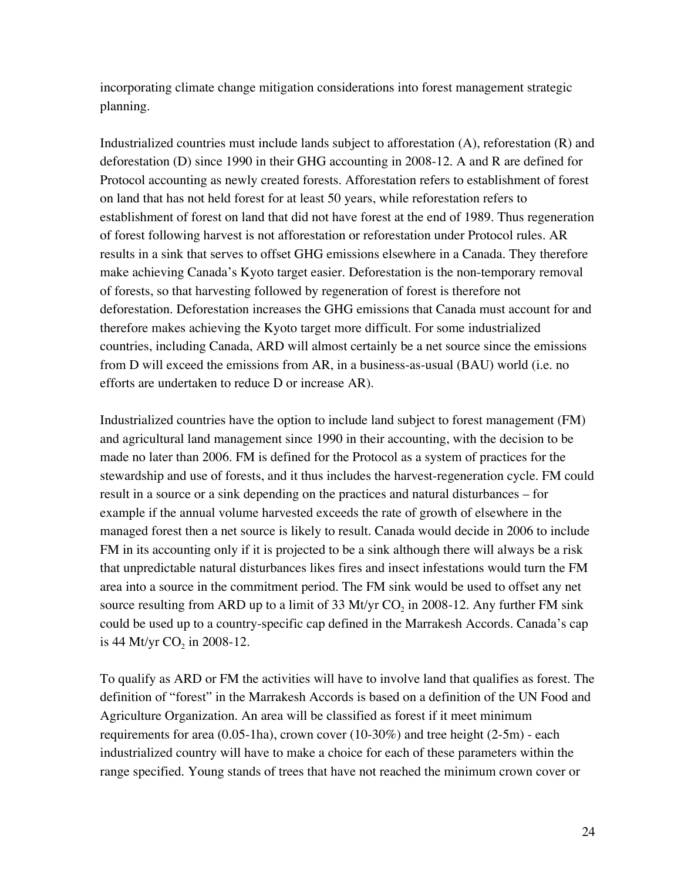incorporating climate change mitigation considerations into forest management strategic planning.

Industrialized countries must include lands subject to afforestation (A), reforestation (R) and deforestation (D) since 1990 in their GHG accounting in 2008-12. A and R are defined for Protocol accounting as newly created forests. Afforestation refers to establishment of forest on land that has not held forest for at least 50 years, while reforestation refers to establishment of forest on land that did not have forest at the end of 1989. Thus regeneration of forest following harvest is not afforestation or reforestation under Protocol rules. AR results in a sink that serves to offset GHG emissions elsewhere in a Canada. They therefore make achieving Canada's Kyoto target easier. Deforestation is the non-temporary removal of forests, so that harvesting followed by regeneration of forest is therefore not deforestation. Deforestation increases the GHG emissions that Canada must account for and therefore makes achieving the Kyoto target more difficult. For some industrialized countries, including Canada, ARD will almost certainly be a net source since the emissions from D will exceed the emissions from AR, in a business-as-usual (BAU) world (i.e. no efforts are undertaken to reduce D or increase AR).

Industrialized countries have the option to include land subject to forest management (FM) and agricultural land management since 1990 in their accounting, with the decision to be made no later than 2006. FM is defined for the Protocol as a system of practices for the stewardship and use of forests, and it thus includes the harvest-regeneration cycle. FM could result in a source or a sink depending on the practices and natural disturbances – for example if the annual volume harvested exceeds the rate of growth of elsewhere in the managed forest then a net source is likely to result. Canada would decide in 2006 to include FM in its accounting only if it is projected to be a sink although there will always be a risk that unpredictable natural disturbances likes fires and insect infestations would turn the FM area into a source in the commitment period. The FM sink would be used to offset any net source resulting from ARD up to a limit of 33 Mt/yr CO<sub>2</sub> in 2008-12. Any further FM sink could be used up to a country-specific cap defined in the Marrakesh Accords. Canada's cap is 44 Mt/yr  $CO_2$  in 2008-12.

To qualify as ARD or FM the activities will have to involve land that qualifies as forest. The definition of "forest" in the Marrakesh Accords is based on a definition of the UN Food and Agriculture Organization. An area will be classified as forest if it meet minimum requirements for area (0.05-1ha), crown cover (10-30%) and tree height (2-5m) - each industrialized country will have to make a choice for each of these parameters within the range specified. Young stands of trees that have not reached the minimum crown cover or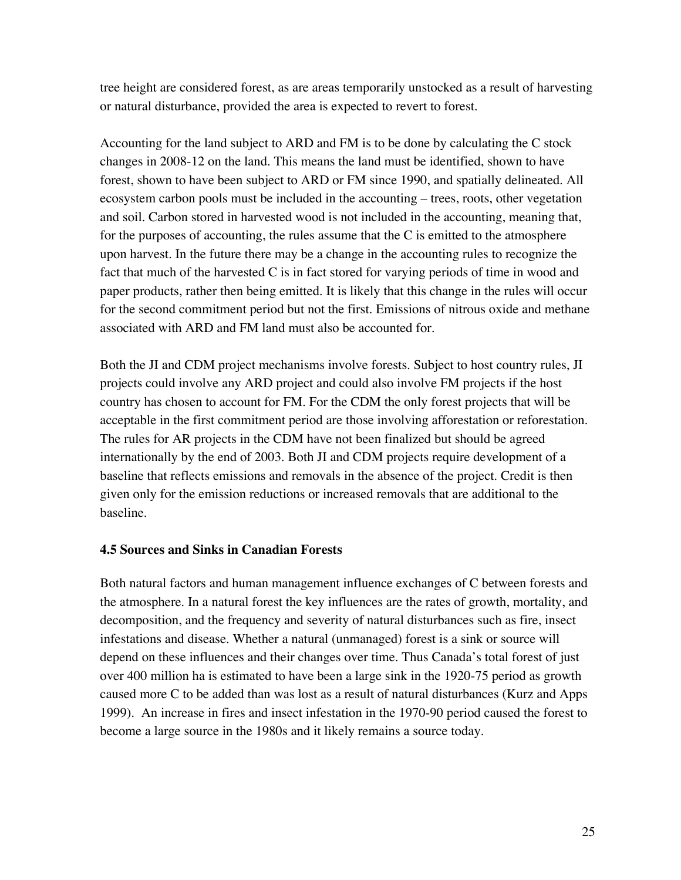tree height are considered forest, as are areas temporarily unstocked as a result of harvesting or natural disturbance, provided the area is expected to revert to forest.

Accounting for the land subject to ARD and FM is to be done by calculating the C stock changes in 2008-12 on the land. This means the land must be identified, shown to have forest, shown to have been subject to ARD or FM since 1990, and spatially delineated. All ecosystem carbon pools must be included in the accounting – trees, roots, other vegetation and soil. Carbon stored in harvested wood is not included in the accounting, meaning that, for the purposes of accounting, the rules assume that the  $C$  is emitted to the atmosphere upon harvest. In the future there may be a change in the accounting rules to recognize the fact that much of the harvested C is in fact stored for varying periods of time in wood and paper products, rather then being emitted. It is likely that this change in the rules will occur for the second commitment period but not the first. Emissions of nitrous oxide and methane associated with ARD and FM land must also be accounted for.

Both the JI and CDM project mechanisms involve forests. Subject to host country rules, JI projects could involve any ARD project and could also involve FM projects if the host country has chosen to account for FM. For the CDM the only forest projects that will be acceptable in the first commitment period are those involving afforestation or reforestation. The rules for AR projects in the CDM have not been finalized but should be agreed internationally by the end of 2003. Both JI and CDM projects require development of a baseline that reflects emissions and removals in the absence of the project. Credit is then given only for the emission reductions or increased removals that are additional to the baseline.

# **4.5 Sources and Sinks in Canadian Forests**

Both natural factors and human management influence exchanges of C between forests and the atmosphere. In a natural forest the key influences are the rates of growth, mortality, and decomposition, and the frequency and severity of natural disturbances such as fire, insect infestations and disease. Whether a natural (unmanaged) forest is a sink or source will depend on these influences and their changes over time. Thus Canada's total forest of just over 400 million ha is estimated to have been a large sink in the 1920-75 period as growth caused more C to be added than was lost as a result of natural disturbances (Kurz and Apps 1999). An increase in fires and insect infestation in the 1970-90 period caused the forest to become a large source in the 1980s and it likely remains a source today.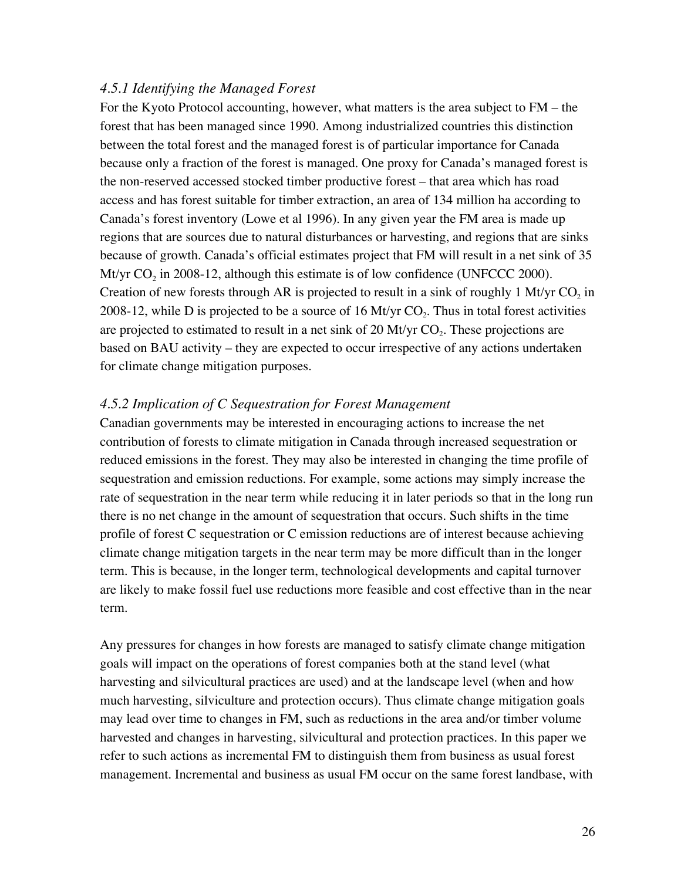#### *4.5.1 Identifying the Managed Forest*

For the Kyoto Protocol accounting, however, what matters is the area subject to FM – the forest that has been managed since 1990. Among industrialized countries this distinction between the total forest and the managed forest is of particular importance for Canada because only a fraction of the forest is managed. One proxy for Canada's managed forest is the non-reserved accessed stocked timber productive forest – that area which has road access and has forest suitable for timber extraction, an area of 134 million ha according to Canada's forest inventory (Lowe et al 1996). In any given year the FM area is made up regions that are sources due to natural disturbances or harvesting, and regions that are sinks because of growth. Canada's official estimates project that FM will result in a net sink of 35 Mt/yr  $CO<sub>2</sub>$  in 2008-12, although this estimate is of low confidence (UNFCCC 2000). Creation of new forests through AR is projected to result in a sink of roughly 1 Mt/yr  $CO<sub>2</sub>$  in 2008-12, while D is projected to be a source of 16 Mt/yr  $CO<sub>2</sub>$ . Thus in total forest activities are projected to estimated to result in a net sink of 20 Mt/yr  $CO<sub>2</sub>$ . These projections are based on BAU activity – they are expected to occur irrespective of any actions undertaken for climate change mitigation purposes.

### *4.5.2 Implication of C Sequestration for Forest Management*

Canadian governments may be interested in encouraging actions to increase the net contribution of forests to climate mitigation in Canada through increased sequestration or reduced emissions in the forest. They may also be interested in changing the time profile of sequestration and emission reductions. For example, some actions may simply increase the rate of sequestration in the near term while reducing it in later periods so that in the long run there is no net change in the amount of sequestration that occurs. Such shifts in the time profile of forest C sequestration or C emission reductions are of interest because achieving climate change mitigation targets in the near term may be more difficult than in the longer term. This is because, in the longer term, technological developments and capital turnover are likely to make fossil fuel use reductions more feasible and cost effective than in the near term.

Any pressures for changes in how forests are managed to satisfy climate change mitigation goals will impact on the operations of forest companies both at the stand level (what harvesting and silvicultural practices are used) and at the landscape level (when and how much harvesting, silviculture and protection occurs). Thus climate change mitigation goals may lead over time to changes in FM, such as reductions in the area and/or timber volume harvested and changes in harvesting, silvicultural and protection practices. In this paper we refer to such actions as incremental FM to distinguish them from business as usual forest management. Incremental and business as usual FM occur on the same forest landbase, with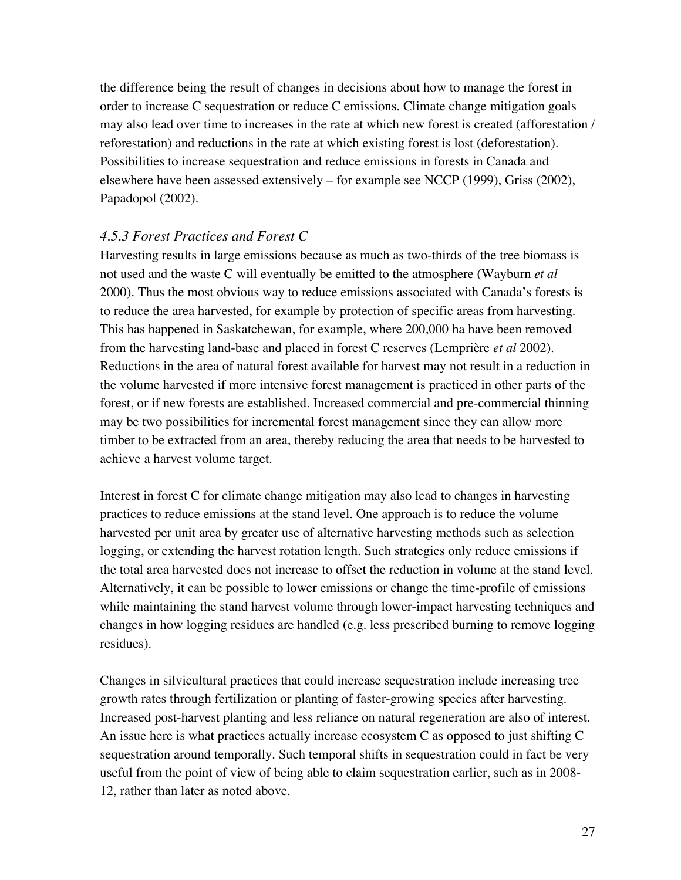the difference being the result of changes in decisions about how to manage the forest in order to increase C sequestration or reduce C emissions. Climate change mitigation goals may also lead over time to increases in the rate at which new forest is created (afforestation / reforestation) and reductions in the rate at which existing forest is lost (deforestation). Possibilities to increase sequestration and reduce emissions in forests in Canada and elsewhere have been assessed extensively – for example see NCCP (1999), Griss (2002), Papadopol (2002).

### *4.5.3 Forest Practices and Forest C*

Harvesting results in large emissions because as much as two-thirds of the tree biomass is not used and the waste C will eventually be emitted to the atmosphere (Wayburn *et al* 2000). Thus the most obvious way to reduce emissions associated with Canada's forests is to reduce the area harvested, for example by protection of specific areas from harvesting. This has happened in Saskatchewan, for example, where 200,000 ha have been removed from the harvesting land-base and placed in forest C reserves (Lemprière *et al* 2002). Reductions in the area of natural forest available for harvest may not result in a reduction in the volume harvested if more intensive forest management is practiced in other parts of the forest, or if new forests are established. Increased commercial and pre-commercial thinning may be two possibilities for incremental forest management since they can allow more timber to be extracted from an area, thereby reducing the area that needs to be harvested to achieve a harvest volume target.

Interest in forest C for climate change mitigation may also lead to changes in harvesting practices to reduce emissions at the stand level. One approach is to reduce the volume harvested per unit area by greater use of alternative harvesting methods such as selection logging, or extending the harvest rotation length. Such strategies only reduce emissions if the total area harvested does not increase to offset the reduction in volume at the stand level. Alternatively, it can be possible to lower emissions or change the time-profile of emissions while maintaining the stand harvest volume through lower-impact harvesting techniques and changes in how logging residues are handled (e.g. less prescribed burning to remove logging residues).

Changes in silvicultural practices that could increase sequestration include increasing tree growth rates through fertilization or planting of faster-growing species after harvesting. Increased post-harvest planting and less reliance on natural regeneration are also of interest. An issue here is what practices actually increase ecosystem C as opposed to just shifting C sequestration around temporally. Such temporal shifts in sequestration could in fact be very useful from the point of view of being able to claim sequestration earlier, such as in 2008- 12, rather than later as noted above.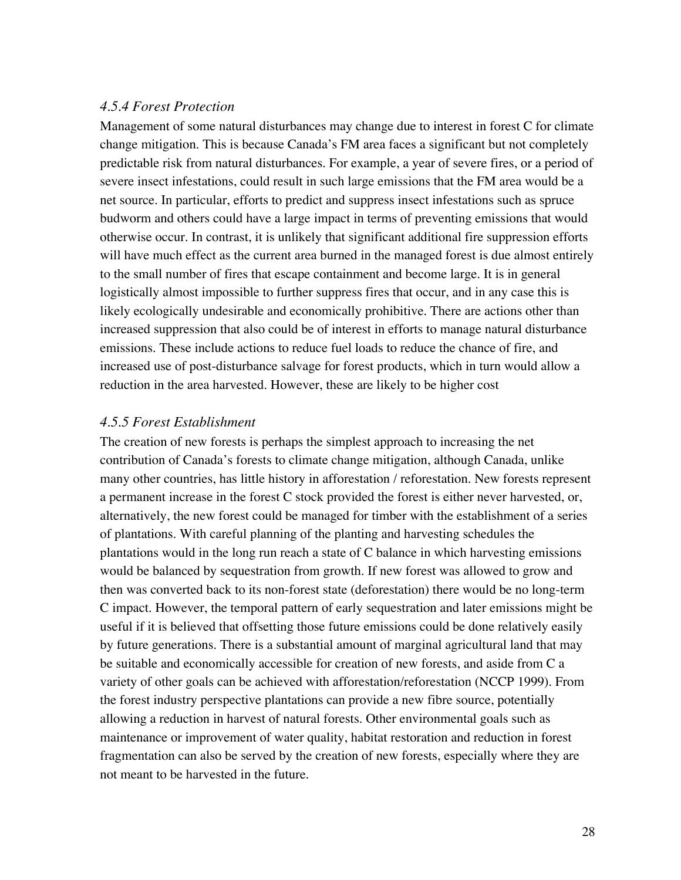#### *4.5.4 Forest Protection*

Management of some natural disturbances may change due to interest in forest C for climate change mitigation. This is because Canada's FM area faces a significant but not completely predictable risk from natural disturbances. For example, a year of severe fires, or a period of severe insect infestations, could result in such large emissions that the FM area would be a net source. In particular, efforts to predict and suppress insect infestations such as spruce budworm and others could have a large impact in terms of preventing emissions that would otherwise occur. In contrast, it is unlikely that significant additional fire suppression efforts will have much effect as the current area burned in the managed forest is due almost entirely to the small number of fires that escape containment and become large. It is in general logistically almost impossible to further suppress fires that occur, and in any case this is likely ecologically undesirable and economically prohibitive. There are actions other than increased suppression that also could be of interest in efforts to manage natural disturbance emissions. These include actions to reduce fuel loads to reduce the chance of fire, and increased use of post-disturbance salvage for forest products, which in turn would allow a reduction in the area harvested. However, these are likely to be higher cost

#### *4.5.5 Forest Establishment*

The creation of new forests is perhaps the simplest approach to increasing the net contribution of Canada's forests to climate change mitigation, although Canada, unlike many other countries, has little history in afforestation / reforestation. New forests represent a permanent increase in the forest C stock provided the forest is either never harvested, or, alternatively, the new forest could be managed for timber with the establishment of a series of plantations. With careful planning of the planting and harvesting schedules the plantations would in the long run reach a state of C balance in which harvesting emissions would be balanced by sequestration from growth. If new forest was allowed to grow and then was converted back to its non-forest state (deforestation) there would be no long-term C impact. However, the temporal pattern of early sequestration and later emissions might be useful if it is believed that offsetting those future emissions could be done relatively easily by future generations. There is a substantial amount of marginal agricultural land that may be suitable and economically accessible for creation of new forests, and aside from C a variety of other goals can be achieved with afforestation/reforestation (NCCP 1999). From the forest industry perspective plantations can provide a new fibre source, potentially allowing a reduction in harvest of natural forests. Other environmental goals such as maintenance or improvement of water quality, habitat restoration and reduction in forest fragmentation can also be served by the creation of new forests, especially where they are not meant to be harvested in the future.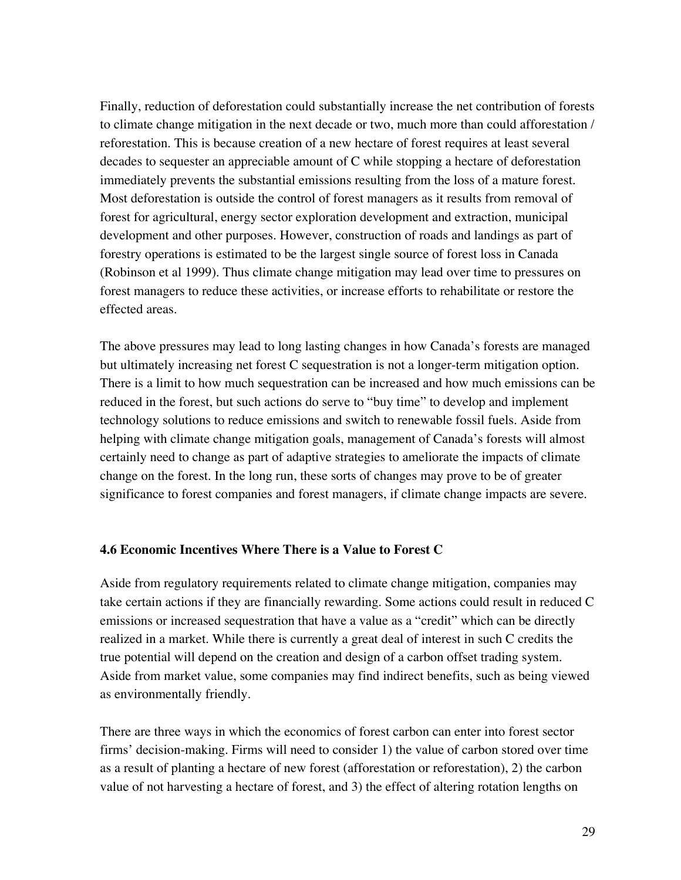Finally, reduction of deforestation could substantially increase the net contribution of forests to climate change mitigation in the next decade or two, much more than could afforestation / reforestation. This is because creation of a new hectare of forest requires at least several decades to sequester an appreciable amount of C while stopping a hectare of deforestation immediately prevents the substantial emissions resulting from the loss of a mature forest. Most deforestation is outside the control of forest managers as it results from removal of forest for agricultural, energy sector exploration development and extraction, municipal development and other purposes. However, construction of roads and landings as part of forestry operations is estimated to be the largest single source of forest loss in Canada (Robinson et al 1999). Thus climate change mitigation may lead over time to pressures on forest managers to reduce these activities, or increase efforts to rehabilitate or restore the effected areas.

The above pressures may lead to long lasting changes in how Canada's forests are managed but ultimately increasing net forest C sequestration is not a longer-term mitigation option. There is a limit to how much sequestration can be increased and how much emissions can be reduced in the forest, but such actions do serve to "buy time" to develop and implement technology solutions to reduce emissions and switch to renewable fossil fuels. Aside from helping with climate change mitigation goals, management of Canada's forests will almost certainly need to change as part of adaptive strategies to ameliorate the impacts of climate change on the forest. In the long run, these sorts of changes may prove to be of greater significance to forest companies and forest managers, if climate change impacts are severe.

#### **4.6 Economic Incentives Where There is a Value to Forest C**

Aside from regulatory requirements related to climate change mitigation, companies may take certain actions if they are financially rewarding. Some actions could result in reduced C emissions or increased sequestration that have a value as a "credit" which can be directly realized in a market. While there is currently a great deal of interest in such C credits the true potential will depend on the creation and design of a carbon offset trading system. Aside from market value, some companies may find indirect benefits, such as being viewed as environmentally friendly.

There are three ways in which the economics of forest carbon can enter into forest sector firms' decision-making. Firms will need to consider 1) the value of carbon stored over time as a result of planting a hectare of new forest (afforestation or reforestation), 2) the carbon value of not harvesting a hectare of forest, and 3) the effect of altering rotation lengths on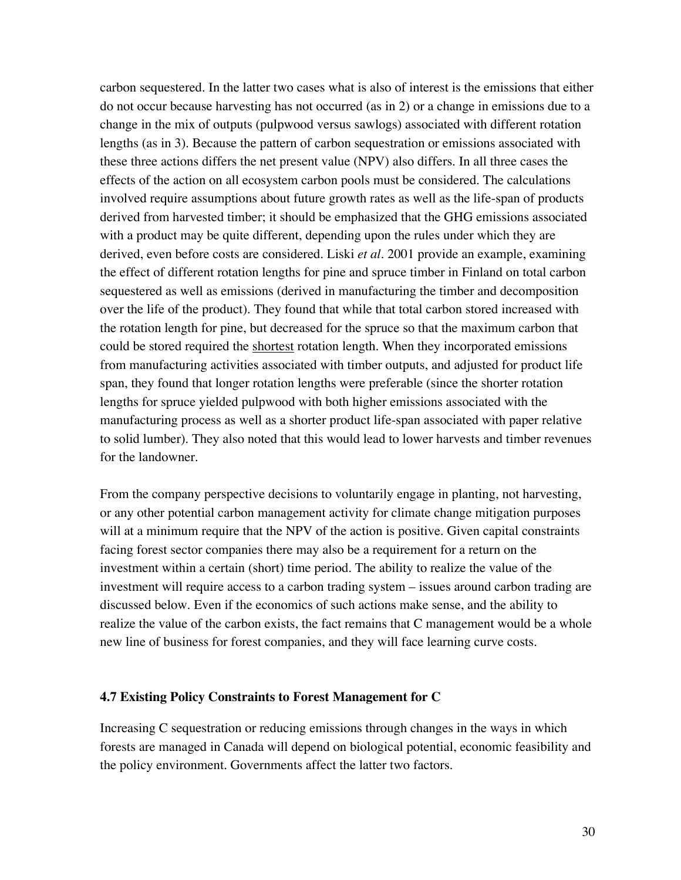carbon sequestered. In the latter two cases what is also of interest is the emissions that either do not occur because harvesting has not occurred (as in 2) or a change in emissions due to a change in the mix of outputs (pulpwood versus sawlogs) associated with different rotation lengths (as in 3). Because the pattern of carbon sequestration or emissions associated with these three actions differs the net present value (NPV) also differs. In all three cases the effects of the action on all ecosystem carbon pools must be considered. The calculations involved require assumptions about future growth rates as well as the life-span of products derived from harvested timber; it should be emphasized that the GHG emissions associated with a product may be quite different, depending upon the rules under which they are derived, even before costs are considered. Liski *et al.* 2001 provide an example, examining the effect of different rotation lengths for pine and spruce timber in Finland on total carbon sequestered as well as emissions (derived in manufacturing the timber and decomposition over the life of the product). They found that while that total carbon stored increased with the rotation length for pine, but decreased for the spruce so that the maximum carbon that could be stored required the shortest rotation length. When they incorporated emissions from manufacturing activities associated with timber outputs, and adjusted for product life span, they found that longer rotation lengths were preferable (since the shorter rotation lengths for spruce yielded pulpwood with both higher emissions associated with the manufacturing process as well as a shorter product life-span associated with paper relative to solid lumber). They also noted that this would lead to lower harvests and timber revenues for the landowner.

From the company perspective decisions to voluntarily engage in planting, not harvesting, or any other potential carbon management activity for climate change mitigation purposes will at a minimum require that the NPV of the action is positive. Given capital constraints facing forest sector companies there may also be a requirement for a return on the investment within a certain (short) time period. The ability to realize the value of the investment will require access to a carbon trading system – issues around carbon trading are discussed below. Even if the economics of such actions make sense, and the ability to realize the value of the carbon exists, the fact remains that C management would be a whole new line of business for forest companies, and they will face learning curve costs.

#### **4.7 Existing Policy Constraints to Forest Management for C**

Increasing C sequestration or reducing emissions through changes in the ways in which forests are managed in Canada will depend on biological potential, economic feasibility and the policy environment. Governments affect the latter two factors.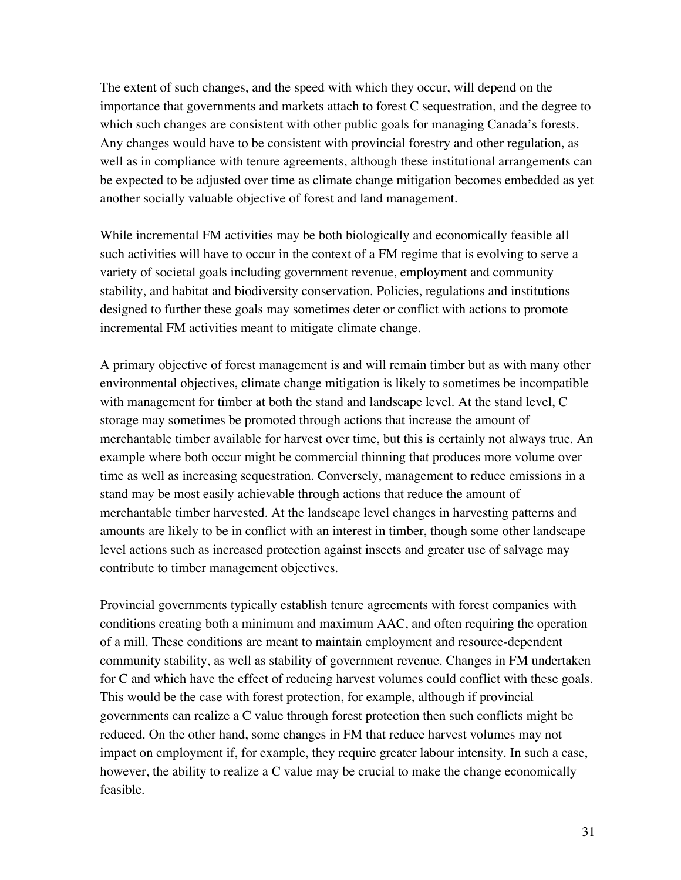The extent of such changes, and the speed with which they occur, will depend on the importance that governments and markets attach to forest C sequestration, and the degree to which such changes are consistent with other public goals for managing Canada's forests. Any changes would have to be consistent with provincial forestry and other regulation, as well as in compliance with tenure agreements, although these institutional arrangements can be expected to be adjusted over time as climate change mitigation becomes embedded as yet another socially valuable objective of forest and land management.

While incremental FM activities may be both biologically and economically feasible all such activities will have to occur in the context of a FM regime that is evolving to serve a variety of societal goals including government revenue, employment and community stability, and habitat and biodiversity conservation. Policies, regulations and institutions designed to further these goals may sometimes deter or conflict with actions to promote incremental FM activities meant to mitigate climate change.

A primary objective of forest management is and will remain timber but as with many other environmental objectives, climate change mitigation is likely to sometimes be incompatible with management for timber at both the stand and landscape level. At the stand level, C storage may sometimes be promoted through actions that increase the amount of merchantable timber available for harvest over time, but this is certainly not always true. An example where both occur might be commercial thinning that produces more volume over time as well as increasing sequestration. Conversely, management to reduce emissions in a stand may be most easily achievable through actions that reduce the amount of merchantable timber harvested. At the landscape level changes in harvesting patterns and amounts are likely to be in conflict with an interest in timber, though some other landscape level actions such as increased protection against insects and greater use of salvage may contribute to timber management objectives.

Provincial governments typically establish tenure agreements with forest companies with conditions creating both a minimum and maximum AAC, and often requiring the operation of a mill. These conditions are meant to maintain employment and resource-dependent community stability, as well as stability of government revenue. Changes in FM undertaken for C and which have the effect of reducing harvest volumes could conflict with these goals. This would be the case with forest protection, for example, although if provincial governments can realize a C value through forest protection then such conflicts might be reduced. On the other hand, some changes in FM that reduce harvest volumes may not impact on employment if, for example, they require greater labour intensity. In such a case, however, the ability to realize a C value may be crucial to make the change economically feasible.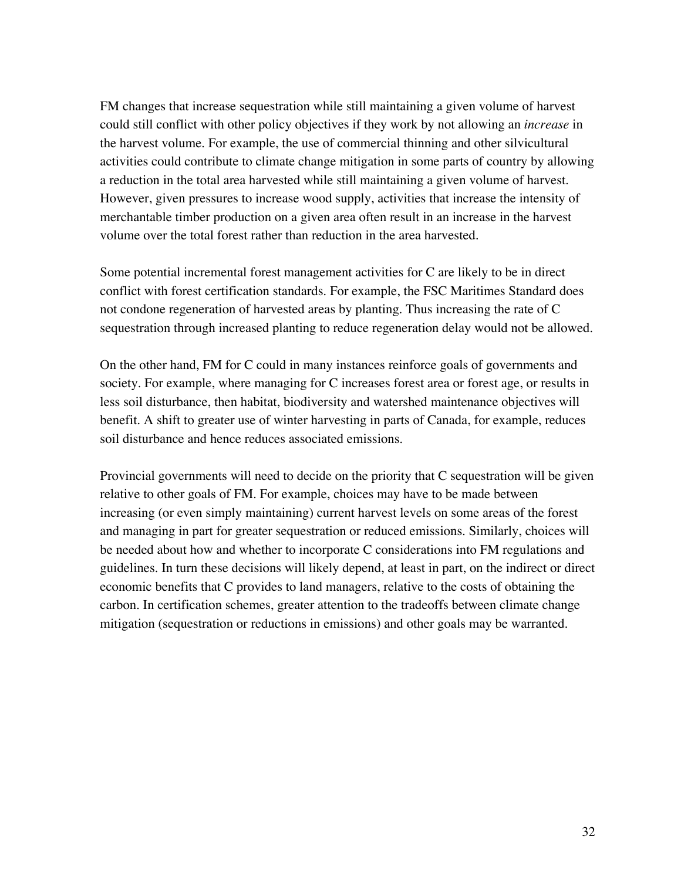FM changes that increase sequestration while still maintaining a given volume of harvest could still conflict with other policy objectives if they work by not allowing an *increase* in the harvest volume. For example, the use of commercial thinning and other silvicultural activities could contribute to climate change mitigation in some parts of country by allowing a reduction in the total area harvested while still maintaining a given volume of harvest. However, given pressures to increase wood supply, activities that increase the intensity of merchantable timber production on a given area often result in an increase in the harvest volume over the total forest rather than reduction in the area harvested.

Some potential incremental forest management activities for C are likely to be in direct conflict with forest certification standards. For example, the FSC Maritimes Standard does not condone regeneration of harvested areas by planting. Thus increasing the rate of C sequestration through increased planting to reduce regeneration delay would not be allowed.

On the other hand, FM for C could in many instances reinforce goals of governments and society. For example, where managing for C increases forest area or forest age, or results in less soil disturbance, then habitat, biodiversity and watershed maintenance objectives will benefit. A shift to greater use of winter harvesting in parts of Canada, for example, reduces soil disturbance and hence reduces associated emissions.

Provincial governments will need to decide on the priority that C sequestration will be given relative to other goals of FM. For example, choices may have to be made between increasing (or even simply maintaining) current harvest levels on some areas of the forest and managing in part for greater sequestration or reduced emissions. Similarly, choices will be needed about how and whether to incorporate C considerations into FM regulations and guidelines. In turn these decisions will likely depend, at least in part, on the indirect or direct economic benefits that C provides to land managers, relative to the costs of obtaining the carbon. In certification schemes, greater attention to the tradeoffs between climate change mitigation (sequestration or reductions in emissions) and other goals may be warranted.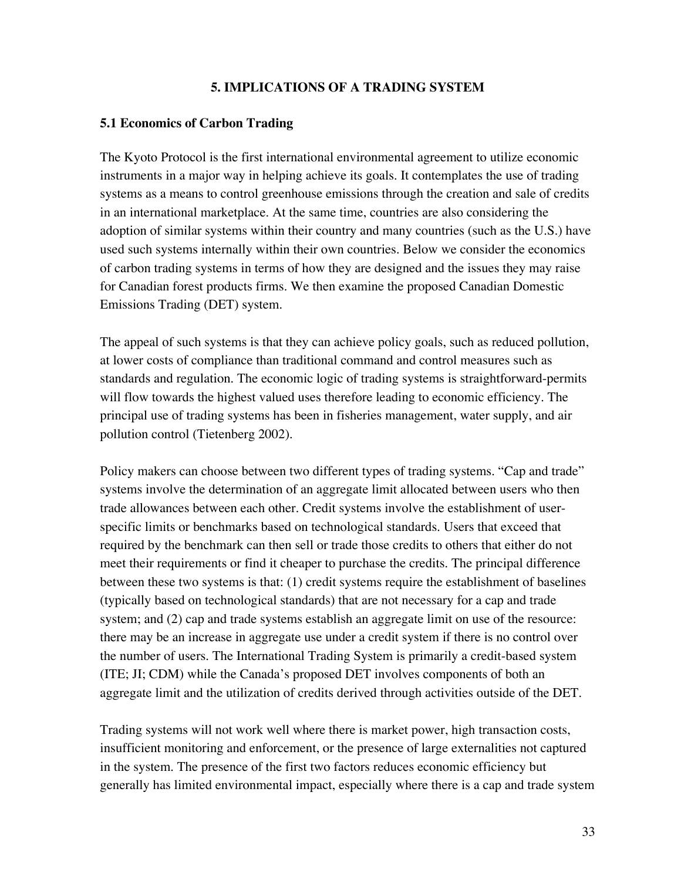### **5. IMPLICATIONS OF A TRADING SYSTEM**

#### **5.1 Economics of Carbon Trading**

The Kyoto Protocol is the first international environmental agreement to utilize economic instruments in a major way in helping achieve its goals. It contemplates the use of trading systems as a means to control greenhouse emissions through the creation and sale of credits in an international marketplace. At the same time, countries are also considering the adoption of similar systems within their country and many countries (such as the U.S.) have used such systems internally within their own countries. Below we consider the economics of carbon trading systems in terms of how they are designed and the issues they may raise for Canadian forest products firms. We then examine the proposed Canadian Domestic Emissions Trading (DET) system.

The appeal of such systems is that they can achieve policy goals, such as reduced pollution, at lower costs of compliance than traditional command and control measures such as standards and regulation. The economic logic of trading systems is straightforward-permits will flow towards the highest valued uses therefore leading to economic efficiency. The principal use of trading systems has been in fisheries management, water supply, and air pollution control (Tietenberg 2002).

Policy makers can choose between two different types of trading systems. "Cap and trade" systems involve the determination of an aggregate limit allocated between users who then trade allowances between each other. Credit systems involve the establishment of userspecific limits or benchmarks based on technological standards. Users that exceed that required by the benchmark can then sell or trade those credits to others that either do not meet their requirements or find it cheaper to purchase the credits. The principal difference between these two systems is that: (1) credit systems require the establishment of baselines (typically based on technological standards) that are not necessary for a cap and trade system; and (2) cap and trade systems establish an aggregate limit on use of the resource: there may be an increase in aggregate use under a credit system if there is no control over the number of users. The International Trading System is primarily a credit-based system (ITE; JI; CDM) while the Canada's proposed DET involves components of both an aggregate limit and the utilization of credits derived through activities outside of the DET.

Trading systems will not work well where there is market power, high transaction costs, insufficient monitoring and enforcement, or the presence of large externalities not captured in the system. The presence of the first two factors reduces economic efficiency but generally has limited environmental impact, especially where there is a cap and trade system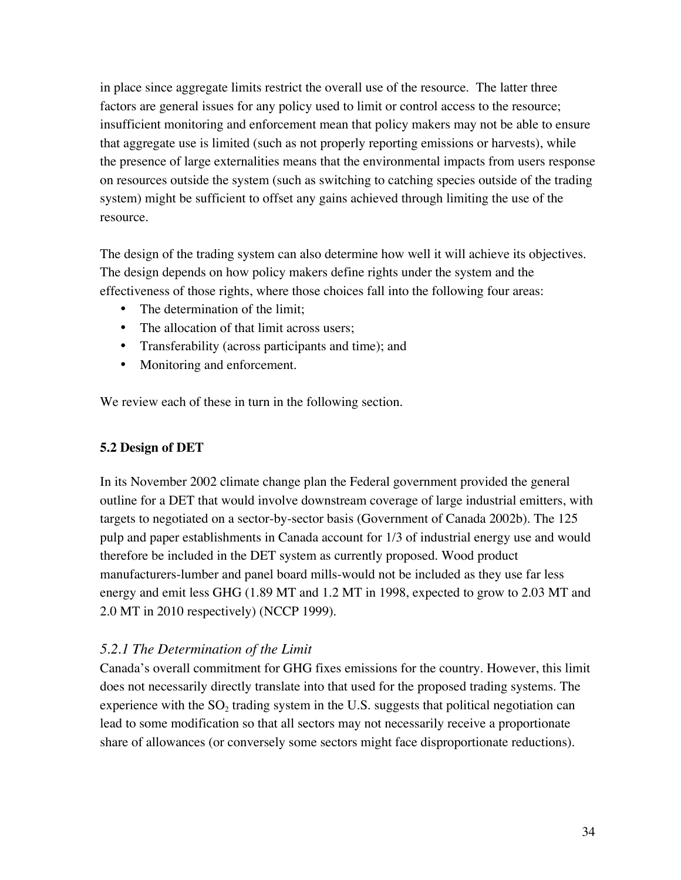in place since aggregate limits restrict the overall use of the resource. The latter three factors are general issues for any policy used to limit or control access to the resource; insufficient monitoring and enforcement mean that policy makers may not be able to ensure that aggregate use is limited (such as not properly reporting emissions or harvests), while the presence of large externalities means that the environmental impacts from users response on resources outside the system (such as switching to catching species outside of the trading system) might be sufficient to offset any gains achieved through limiting the use of the resource.

The design of the trading system can also determine how well it will achieve its objectives. The design depends on how policy makers define rights under the system and the effectiveness of those rights, where those choices fall into the following four areas:

The determination of the limit; The allocation of that limit across users; Transferability (across participants and time); and Monitoring and enforcement.

We review each of these in turn in the following section.

# **5.2 Design of DET**

In its November 2002 climate change plan the Federal government provided the general outline for a DET that would involve downstream coverage of large industrial emitters, with targets to negotiated on a sector-by-sector basis (Government of Canada 2002b). The 125 pulp and paper establishments in Canada account for 1/3 of industrial energy use and would therefore be included in the DET system as currently proposed. Wood product manufacturers-lumber and panel board mills-would not be included as they use far less energy and emit less GHG (1.89 MT and 1.2 MT in 1998, expected to grow to 2.03 MT and 2.0 MT in 2010 respectively) (NCCP 1999).

# *5.2.1 The Determination of the Limit*

Canada's overall commitment for GHG fixes emissions for the country. However, this limit does not necessarily directly translate into that used for the proposed trading systems. The experience with the  $SO<sub>2</sub>$  trading system in the U.S. suggests that political negotiation can lead to some modification so that all sectors may not necessarily receive a proportionate share of allowances (or conversely some sectors might face disproportionate reductions).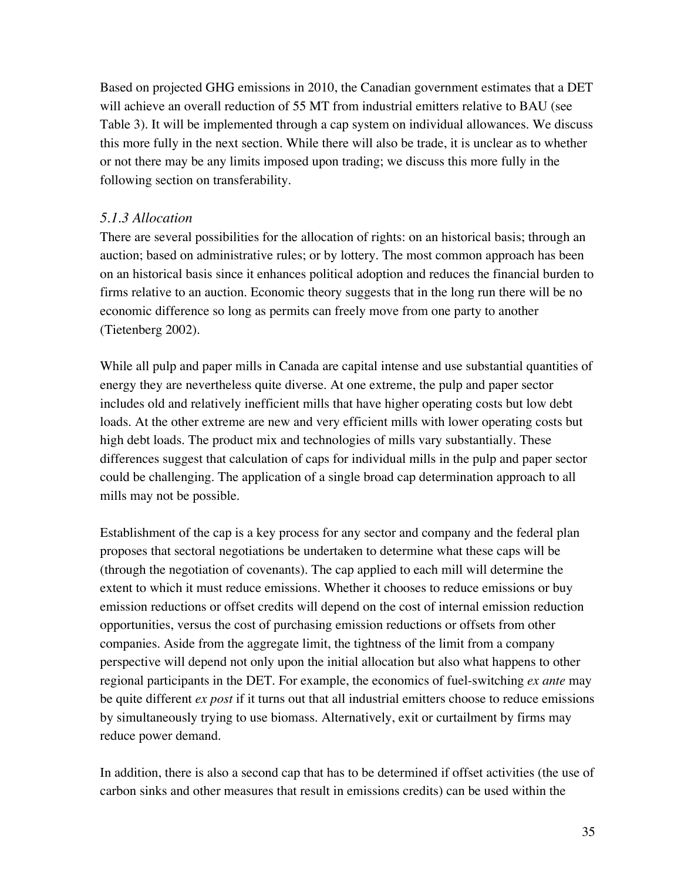Based on projected GHG emissions in 2010, the Canadian government estimates that a DET will achieve an overall reduction of 55 MT from industrial emitters relative to BAU (see Table 3). It will be implemented through a cap system on individual allowances. We discuss this more fully in the next section. While there will also be trade, it is unclear as to whether or not there may be any limits imposed upon trading; we discuss this more fully in the following section on transferability.

# *5.1.3 Allocation*

There are several possibilities for the allocation of rights: on an historical basis; through an auction; based on administrative rules; or by lottery. The most common approach has been on an historical basis since it enhances political adoption and reduces the financial burden to firms relative to an auction. Economic theory suggests that in the long run there will be no economic difference so long as permits can freely move from one party to another (Tietenberg 2002).

While all pulp and paper mills in Canada are capital intense and use substantial quantities of energy they are nevertheless quite diverse. At one extreme, the pulp and paper sector includes old and relatively inefficient mills that have higher operating costs but low debt loads. At the other extreme are new and very efficient mills with lower operating costs but high debt loads. The product mix and technologies of mills vary substantially. These differences suggest that calculation of caps for individual mills in the pulp and paper sector could be challenging. The application of a single broad cap determination approach to all mills may not be possible.

Establishment of the cap is a key process for any sector and company and the federal plan proposes that sectoral negotiations be undertaken to determine what these caps will be (through the negotiation of covenants). The cap applied to each mill will determine the extent to which it must reduce emissions. Whether it chooses to reduce emissions or buy emission reductions or offset credits will depend on the cost of internal emission reduction opportunities, versus the cost of purchasing emission reductions or offsets from other companies. Aside from the aggregate limit, the tightness of the limit from a company perspective will depend not only upon the initial allocation but also what happens to other regional participants in the DET. For example, the economics of fuel-switching *ex ante* may be quite different *ex post* if it turns out that all industrial emitters choose to reduce emissions by simultaneously trying to use biomass. Alternatively, exit or curtailment by firms may reduce power demand.

In addition, there is also a second cap that has to be determined if offset activities (the use of carbon sinks and other measures that result in emissions credits) can be used within the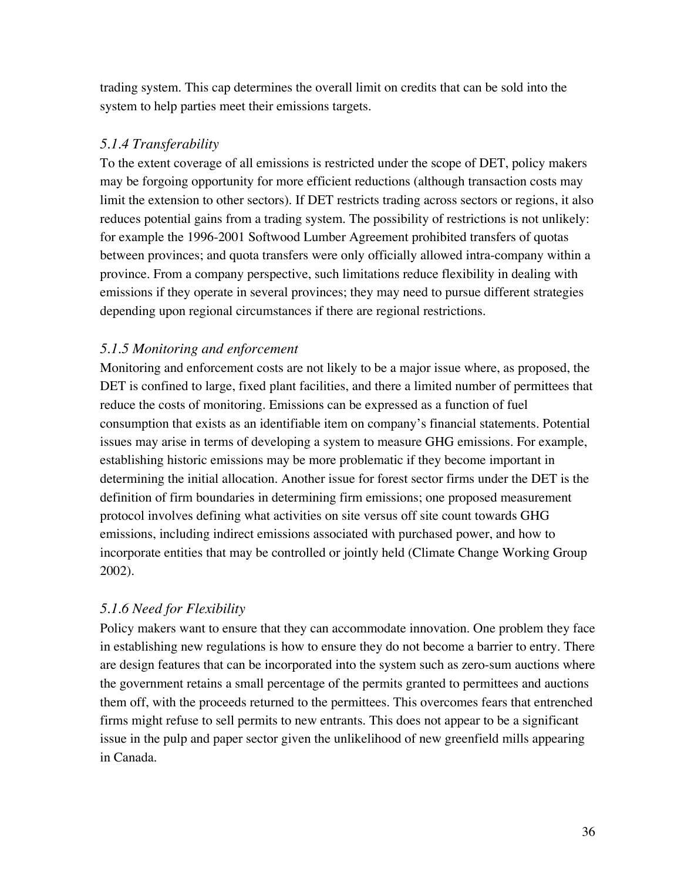trading system. This cap determines the overall limit on credits that can be sold into the system to help parties meet their emissions targets.

# *5.1.4 Transferability*

To the extent coverage of all emissions is restricted under the scope of DET, policy makers may be forgoing opportunity for more efficient reductions (although transaction costs may limit the extension to other sectors). If DET restricts trading across sectors or regions, it also reduces potential gains from a trading system. The possibility of restrictions is not unlikely: for example the 1996-2001 Softwood Lumber Agreement prohibited transfers of quotas between provinces; and quota transfers were only officially allowed intra-company within a province. From a company perspective, such limitations reduce flexibility in dealing with emissions if they operate in several provinces; they may need to pursue different strategies depending upon regional circumstances if there are regional restrictions.

# *5.1.5 Monitoring and enforcement*

Monitoring and enforcement costs are not likely to be a major issue where, as proposed, the DET is confined to large, fixed plant facilities, and there a limited number of permittees that reduce the costs of monitoring. Emissions can be expressed as a function of fuel consumption that exists as an identifiable item on company's financial statements. Potential issues may arise in terms of developing a system to measure GHG emissions. For example, establishing historic emissions may be more problematic if they become important in determining the initial allocation. Another issue for forest sector firms under the DET is the definition of firm boundaries in determining firm emissions; one proposed measurement protocol involves defining what activities on site versus off site count towards GHG emissions, including indirect emissions associated with purchased power, and how to incorporate entities that may be controlled or jointly held (Climate Change Working Group 2002).

# *5.1.6 Need for Flexibility*

Policy makers want to ensure that they can accommodate innovation. One problem they face in establishing new regulations is how to ensure they do not become a barrier to entry. There are design features that can be incorporated into the system such as zero-sum auctions where the government retains a small percentage of the permits granted to permittees and auctions them off, with the proceeds returned to the permittees. This overcomes fears that entrenched firms might refuse to sell permits to new entrants. This does not appear to be a significant issue in the pulp and paper sector given the unlikelihood of new greenfield mills appearing in Canada.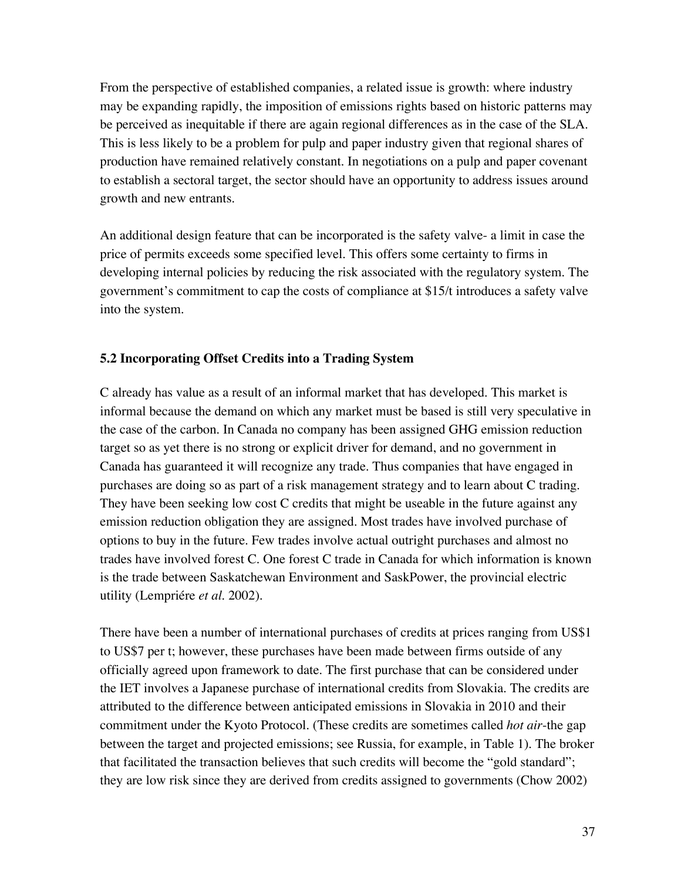From the perspective of established companies, a related issue is growth: where industry may be expanding rapidly, the imposition of emissions rights based on historic patterns may be perceived as inequitable if there are again regional differences as in the case of the SLA. This is less likely to be a problem for pulp and paper industry given that regional shares of production have remained relatively constant. In negotiations on a pulp and paper covenant to establish a sectoral target, the sector should have an opportunity to address issues around growth and new entrants.

An additional design feature that can be incorporated is the safety valve- a limit in case the price of permits exceeds some specified level. This offers some certainty to firms in developing internal policies by reducing the risk associated with the regulatory system. The government's commitment to cap the costs of compliance at \$15/t introduces a safety valve into the system.

# **5.2 Incorporating Offset Credits into a Trading System**

C already has value as a result of an informal market that has developed. This market is informal because the demand on which any market must be based is still very speculative in the case of the carbon. In Canada no company has been assigned GHG emission reduction target so as yet there is no strong or explicit driver for demand, and no government in Canada has guaranteed it will recognize any trade. Thus companies that have engaged in purchases are doing so as part of a risk management strategy and to learn about C trading. They have been seeking low cost C credits that might be useable in the future against any emission reduction obligation they are assigned. Most trades have involved purchase of options to buy in the future. Few trades involve actual outright purchases and almost no trades have involved forest C. One forest C trade in Canada for which information is known is the trade between Saskatchewan Environment and SaskPower, the provincial electric utility (Lempriére *et al*. 2002).

There have been a number of international purchases of credits at prices ranging from US\$1 to US\$7 per t; however, these purchases have been made between firms outside of any officially agreed upon framework to date. The first purchase that can be considered under the IET involves a Japanese purchase of international credits from Slovakia. The credits are attributed to the difference between anticipated emissions in Slovakia in 2010 and their commitment under the Kyoto Protocol. (These credits are sometimes called *hot air*-the gap between the target and projected emissions; see Russia, for example, in Table 1). The broker that facilitated the transaction believes that such credits will become the "gold standard"; they are low risk since they are derived from credits assigned to governments (Chow 2002)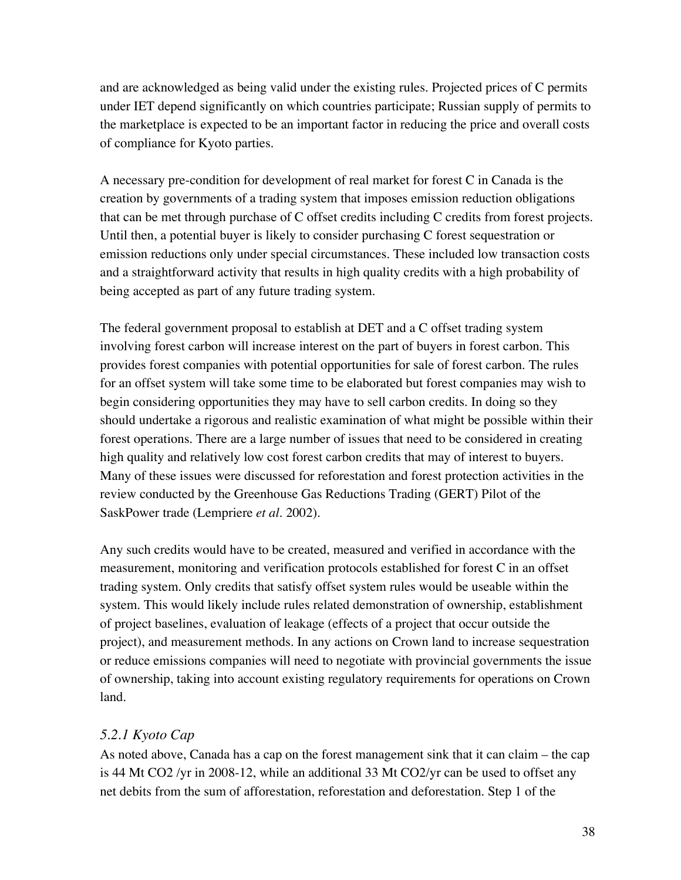and are acknowledged as being valid under the existing rules. Projected prices of C permits under IET depend significantly on which countries participate; Russian supply of permits to the marketplace is expected to be an important factor in reducing the price and overall costs of compliance for Kyoto parties.

A necessary pre-condition for development of real market for forest C in Canada is the creation by governments of a trading system that imposes emission reduction obligations that can be met through purchase of C offset credits including C credits from forest projects. Until then, a potential buyer is likely to consider purchasing C forest sequestration or emission reductions only under special circumstances. These included low transaction costs and a straightforward activity that results in high quality credits with a high probability of being accepted as part of any future trading system.

The federal government proposal to establish at DET and a C offset trading system involving forest carbon will increase interest on the part of buyers in forest carbon. This provides forest companies with potential opportunities for sale of forest carbon. The rules for an offset system will take some time to be elaborated but forest companies may wish to begin considering opportunities they may have to sell carbon credits. In doing so they should undertake a rigorous and realistic examination of what might be possible within their forest operations. There are a large number of issues that need to be considered in creating high quality and relatively low cost forest carbon credits that may of interest to buyers. Many of these issues were discussed for reforestation and forest protection activities in the review conducted by the Greenhouse Gas Reductions Trading (GERT) Pilot of the SaskPower trade (Lempriere *et al.* 2002).

Any such credits would have to be created, measured and verified in accordance with the measurement, monitoring and verification protocols established for forest C in an offset trading system. Only credits that satisfy offset system rules would be useable within the system. This would likely include rules related demonstration of ownership, establishment of project baselines, evaluation of leakage (effects of a project that occur outside the project), and measurement methods. In any actions on Crown land to increase sequestration or reduce emissions companies will need to negotiate with provincial governments the issue of ownership, taking into account existing regulatory requirements for operations on Crown land.

# *5.2.1 Kyoto Cap*

As noted above, Canada has a cap on the forest management sink that it can claim – the cap is 44 Mt CO2 /yr in 2008-12, while an additional 33 Mt CO2/yr can be used to offset any net debits from the sum of afforestation, reforestation and deforestation. Step 1 of the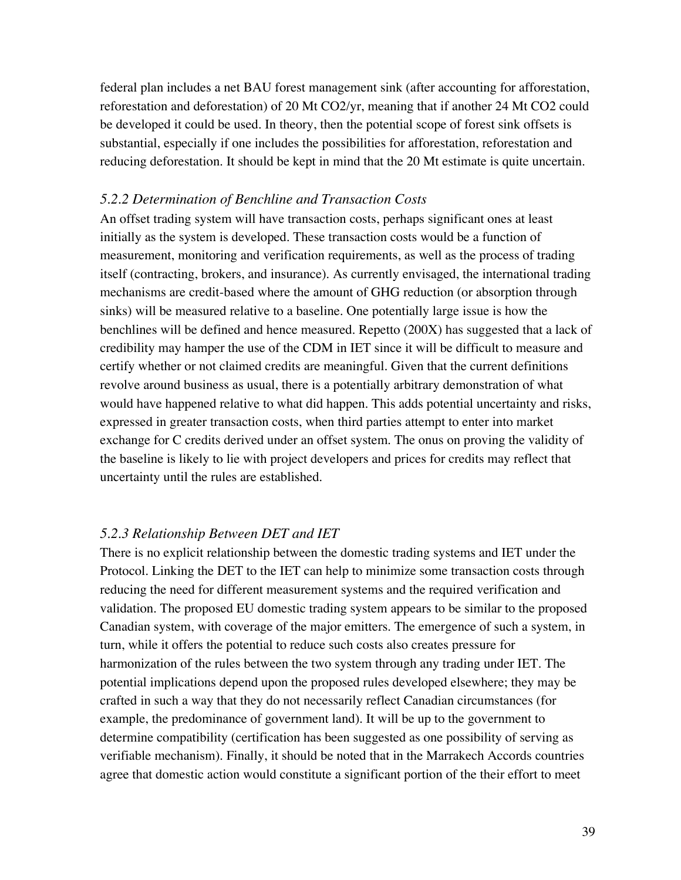federal plan includes a net BAU forest management sink (after accounting for afforestation, reforestation and deforestation) of 20 Mt CO2/yr, meaning that if another 24 Mt CO2 could be developed it could be used. In theory, then the potential scope of forest sink offsets is substantial, especially if one includes the possibilities for afforestation, reforestation and reducing deforestation. It should be kept in mind that the 20 Mt estimate is quite uncertain.

#### *5.2.2 Determination of Benchline and Transaction Costs*

An offset trading system will have transaction costs, perhaps significant ones at least initially as the system is developed. These transaction costs would be a function of measurement, monitoring and verification requirements, as well as the process of trading itself (contracting, brokers, and insurance). As currently envisaged, the international trading mechanisms are credit-based where the amount of GHG reduction (or absorption through sinks) will be measured relative to a baseline. One potentially large issue is how the benchlines will be defined and hence measured. Repetto (200X) has suggested that a lack of credibility may hamper the use of the CDM in IET since it will be difficult to measure and certify whether or not claimed credits are meaningful. Given that the current definitions revolve around business as usual, there is a potentially arbitrary demonstration of what would have happened relative to what did happen. This adds potential uncertainty and risks, expressed in greater transaction costs, when third parties attempt to enter into market exchange for C credits derived under an offset system. The onus on proving the validity of the baseline is likely to lie with project developers and prices for credits may reflect that uncertainty until the rules are established.

#### *5.2.3 Relationship Between DET and IET*

There is no explicit relationship between the domestic trading systems and IET under the Protocol. Linking the DET to the IET can help to minimize some transaction costs through reducing the need for different measurement systems and the required verification and validation. The proposed EU domestic trading system appears to be similar to the proposed Canadian system, with coverage of the major emitters. The emergence of such a system, in turn, while it offers the potential to reduce such costs also creates pressure for harmonization of the rules between the two system through any trading under IET. The potential implications depend upon the proposed rules developed elsewhere; they may be crafted in such a way that they do not necessarily reflect Canadian circumstances (for example, the predominance of government land). It will be up to the government to determine compatibility (certification has been suggested as one possibility of serving as verifiable mechanism). Finally, it should be noted that in the Marrakech Accords countries agree that domestic action would constitute a significant portion of the their effort to meet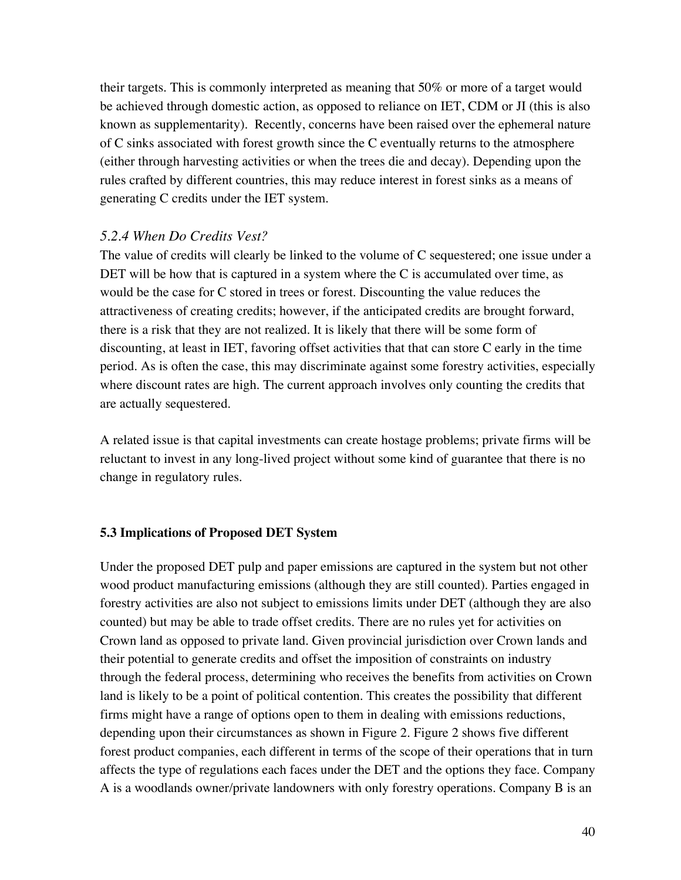their targets. This is commonly interpreted as meaning that 50% or more of a target would be achieved through domestic action, as opposed to reliance on IET, CDM or JI (this is also known as supplementarity). Recently, concerns have been raised over the ephemeral nature of C sinks associated with forest growth since the C eventually returns to the atmosphere (either through harvesting activities or when the trees die and decay). Depending upon the rules crafted by different countries, this may reduce interest in forest sinks as a means of generating C credits under the IET system.

### *5.2.4 When Do Credits Vest?*

The value of credits will clearly be linked to the volume of C sequestered; one issue under a DET will be how that is captured in a system where the C is accumulated over time, as would be the case for C stored in trees or forest. Discounting the value reduces the attractiveness of creating credits; however, if the anticipated credits are brought forward, there is a risk that they are not realized. It is likely that there will be some form of discounting, at least in IET, favoring offset activities that that can store C early in the time period. As is often the case, this may discriminate against some forestry activities, especially where discount rates are high. The current approach involves only counting the credits that are actually sequestered.

A related issue is that capital investments can create hostage problems; private firms will be reluctant to invest in any long-lived project without some kind of guarantee that there is no change in regulatory rules.

#### **5.3 Implications of Proposed DET System**

Under the proposed DET pulp and paper emissions are captured in the system but not other wood product manufacturing emissions (although they are still counted). Parties engaged in forestry activities are also not subject to emissions limits under DET (although they are also counted) but may be able to trade offset credits. There are no rules yet for activities on Crown land as opposed to private land. Given provincial jurisdiction over Crown lands and their potential to generate credits and offset the imposition of constraints on industry through the federal process, determining who receives the benefits from activities on Crown land is likely to be a point of political contention. This creates the possibility that different firms might have a range of options open to them in dealing with emissions reductions, depending upon their circumstances as shown in Figure 2. Figure 2 shows five different forest product companies, each different in terms of the scope of their operations that in turn affects the type of regulations each faces under the DET and the options they face. Company A is a woodlands owner/private landowners with only forestry operations. Company B is an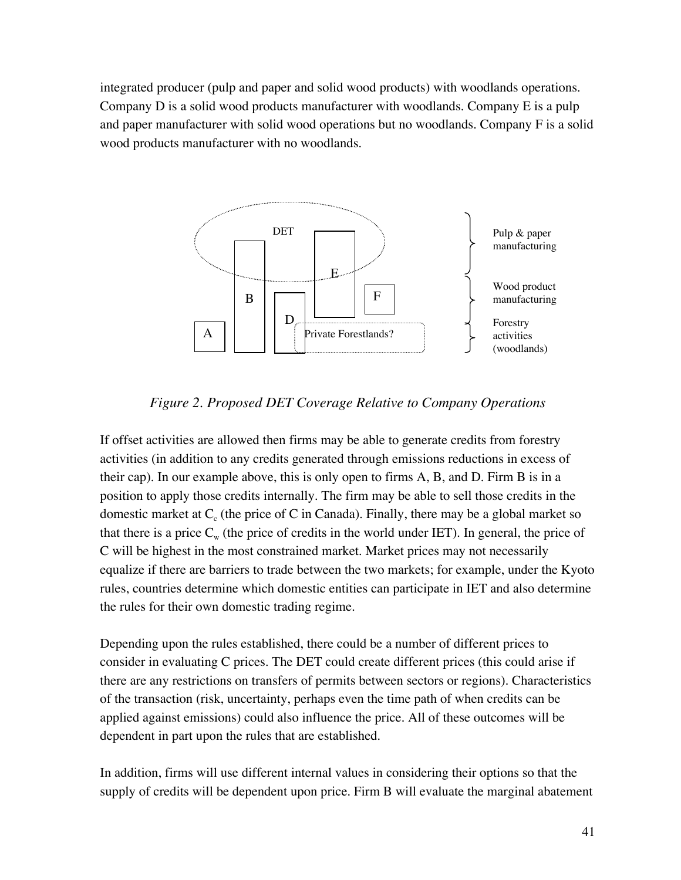integrated producer (pulp and paper and solid wood products) with woodlands operations. Company D is a solid wood products manufacturer with woodlands. Company E is a pulp and paper manufacturer with solid wood operations but no woodlands. Company F is a solid wood products manufacturer with no woodlands.



*Figure 2. Proposed DET Coverage Relative to Company Operations*

If offset activities are allowed then firms may be able to generate credits from forestry activities (in addition to any credits generated through emissions reductions in excess of their cap). In our example above, this is only open to firms A, B, and D. Firm B is in a position to apply those credits internally. The firm may be able to sell those credits in the domestic market at  $C_c$  (the price of C in Canada). Finally, there may be a global market so that there is a price  $C_w$  (the price of credits in the world under IET). In general, the price of C will be highest in the most constrained market. Market prices may not necessarily equalize if there are barriers to trade between the two markets; for example, under the Kyoto rules, countries determine which domestic entities can participate in IET and also determine the rules for their own domestic trading regime.

Depending upon the rules established, there could be a number of different prices to consider in evaluating C prices. The DET could create different prices (this could arise if there are any restrictions on transfers of permits between sectors or regions). Characteristics of the transaction (risk, uncertainty, perhaps even the time path of when credits can be applied against emissions) could also influence the price. All of these outcomes will be dependent in part upon the rules that are established.

In addition, firms will use different internal values in considering their options so that the supply of credits will be dependent upon price. Firm B will evaluate the marginal abatement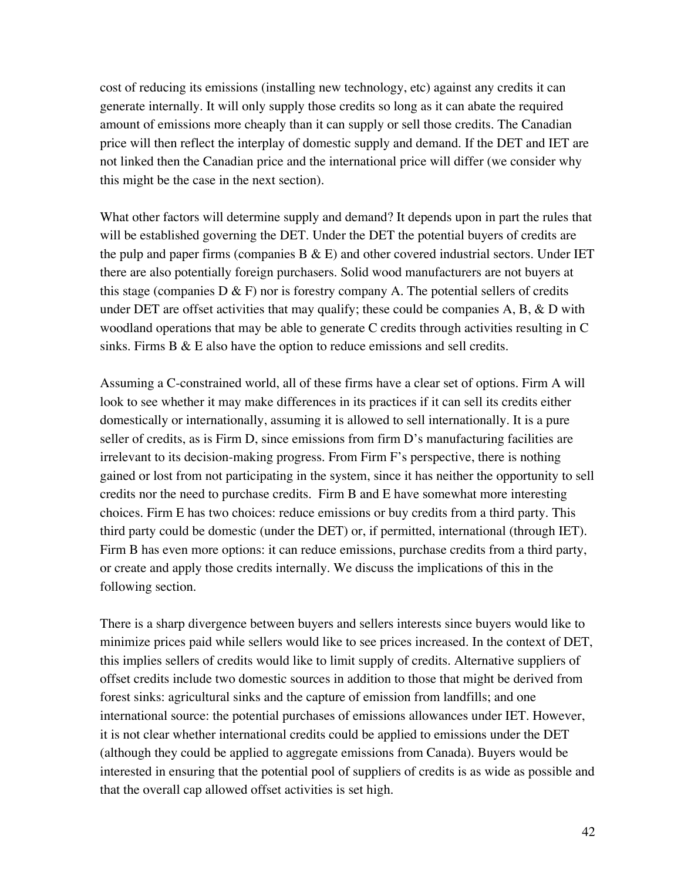cost of reducing its emissions (installing new technology, etc) against any credits it can generate internally. It will only supply those credits so long as it can abate the required amount of emissions more cheaply than it can supply or sell those credits. The Canadian price will then reflect the interplay of domestic supply and demand. If the DET and IET are not linked then the Canadian price and the international price will differ (we consider why this might be the case in the next section).

What other factors will determine supply and demand? It depends upon in part the rules that will be established governing the DET. Under the DET the potential buyers of credits are the pulp and paper firms (companies  $B \& E$ ) and other covered industrial sectors. Under IET there are also potentially foreign purchasers. Solid wood manufacturers are not buyers at this stage (companies  $D \& F$ ) nor is forestry company A. The potential sellers of credits under DET are offset activities that may qualify; these could be companies  $A, B, \& D$  with woodland operations that may be able to generate C credits through activities resulting in C sinks. Firms  $B \& E$  also have the option to reduce emissions and sell credits.

Assuming a C-constrained world, all of these firms have a clear set of options. Firm A will look to see whether it may make differences in its practices if it can sell its credits either domestically or internationally, assuming it is allowed to sell internationally. It is a pure seller of credits, as is Firm D, since emissions from firm D's manufacturing facilities are irrelevant to its decision-making progress. From Firm F's perspective, there is nothing gained or lost from not participating in the system, since it has neither the opportunity to sell credits nor the need to purchase credits. Firm B and E have somewhat more interesting choices. Firm E has two choices: reduce emissions or buy credits from a third party. This third party could be domestic (under the DET) or, if permitted, international (through IET). Firm B has even more options: it can reduce emissions, purchase credits from a third party, or create and apply those credits internally. We discuss the implications of this in the following section.

There is a sharp divergence between buyers and sellers interests since buyers would like to minimize prices paid while sellers would like to see prices increased. In the context of DET, this implies sellers of credits would like to limit supply of credits. Alternative suppliers of offset credits include two domestic sources in addition to those that might be derived from forest sinks: agricultural sinks and the capture of emission from landfills; and one international source: the potential purchases of emissions allowances under IET. However, it is not clear whether international credits could be applied to emissions under the DET (although they could be applied to aggregate emissions from Canada). Buyers would be interested in ensuring that the potential pool of suppliers of credits is as wide as possible and that the overall cap allowed offset activities is set high.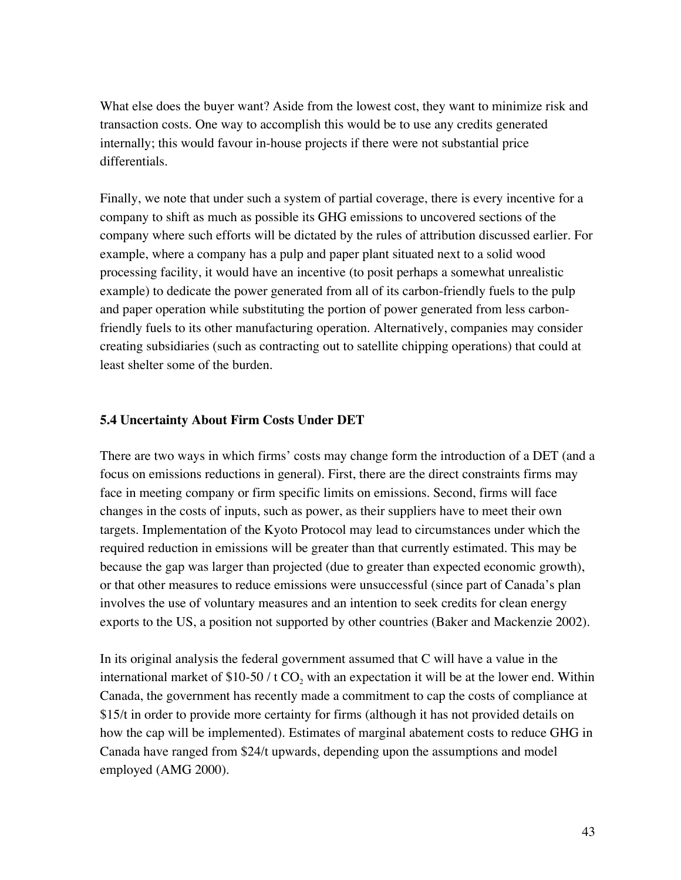What else does the buyer want? Aside from the lowest cost, they want to minimize risk and transaction costs. One way to accomplish this would be to use any credits generated internally; this would favour in-house projects if there were not substantial price differentials.

Finally, we note that under such a system of partial coverage, there is every incentive for a company to shift as much as possible its GHG emissions to uncovered sections of the company where such efforts will be dictated by the rules of attribution discussed earlier. For example, where a company has a pulp and paper plant situated next to a solid wood processing facility, it would have an incentive (to posit perhaps a somewhat unrealistic example) to dedicate the power generated from all of its carbon-friendly fuels to the pulp and paper operation while substituting the portion of power generated from less carbonfriendly fuels to its other manufacturing operation. Alternatively, companies may consider creating subsidiaries (such as contracting out to satellite chipping operations) that could at least shelter some of the burden.

#### **5.4 Uncertainty About Firm Costs Under DET**

There are two ways in which firms' costs may change form the introduction of a DET (and a focus on emissions reductions in general). First, there are the direct constraints firms may face in meeting company or firm specific limits on emissions. Second, firms will face changes in the costs of inputs, such as power, as their suppliers have to meet their own targets. Implementation of the Kyoto Protocol may lead to circumstances under which the required reduction in emissions will be greater than that currently estimated. This may be because the gap was larger than projected (due to greater than expected economic growth), or that other measures to reduce emissions were unsuccessful (since part of Canada's plan involves the use of voluntary measures and an intention to seek credits for clean energy exports to the US, a position not supported by other countries (Baker and Mackenzie 2002).

In its original analysis the federal government assumed that C will have a value in the international market of \$10-50 / t  $CO<sub>2</sub>$  with an expectation it will be at the lower end. Within Canada, the government has recently made a commitment to cap the costs of compliance at \$15/t in order to provide more certainty for firms (although it has not provided details on how the cap will be implemented). Estimates of marginal abatement costs to reduce GHG in Canada have ranged from \$24/t upwards, depending upon the assumptions and model employed (AMG 2000).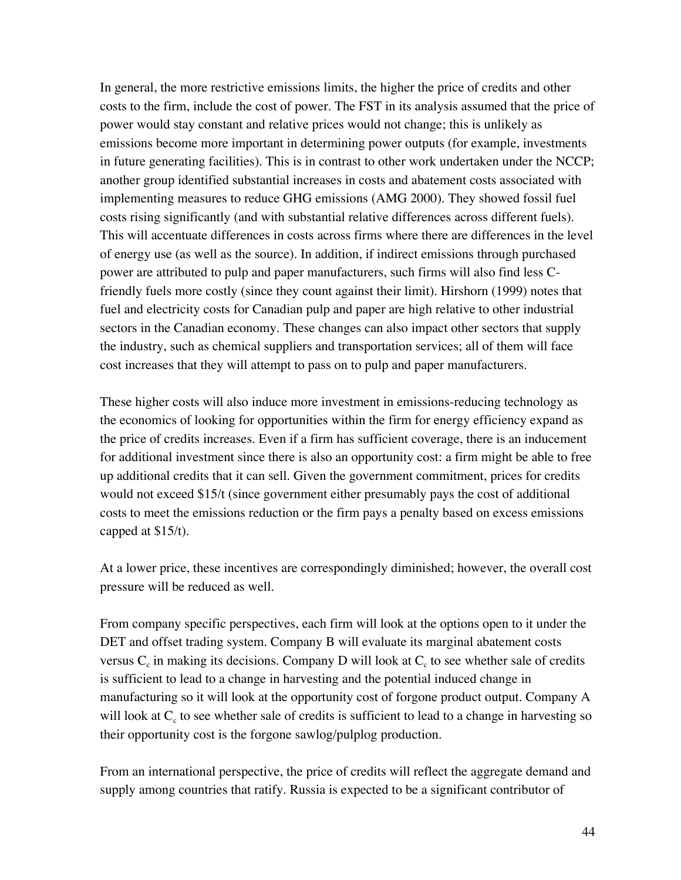In general, the more restrictive emissions limits, the higher the price of credits and other costs to the firm, include the cost of power. The FST in its analysis assumed that the price of power would stay constant and relative prices would not change; this is unlikely as emissions become more important in determining power outputs (for example, investments in future generating facilities). This is in contrast to other work undertaken under the NCCP; another group identified substantial increases in costs and abatement costs associated with implementing measures to reduce GHG emissions (AMG 2000). They showed fossil fuel costs rising significantly (and with substantial relative differences across different fuels). This will accentuate differences in costs across firms where there are differences in the level of energy use (as well as the source). In addition, if indirect emissions through purchased power are attributed to pulp and paper manufacturers, such firms will also find less Cfriendly fuels more costly (since they count against their limit). Hirshorn (1999) notes that fuel and electricity costs for Canadian pulp and paper are high relative to other industrial sectors in the Canadian economy. These changes can also impact other sectors that supply the industry, such as chemical suppliers and transportation services; all of them will face cost increases that they will attempt to pass on to pulp and paper manufacturers.

These higher costs will also induce more investment in emissions-reducing technology as the economics of looking for opportunities within the firm for energy efficiency expand as the price of credits increases. Even if a firm has sufficient coverage, there is an inducement for additional investment since there is also an opportunity cost: a firm might be able to free up additional credits that it can sell. Given the government commitment, prices for credits would not exceed \$15/t (since government either presumably pays the cost of additional costs to meet the emissions reduction or the firm pays a penalty based on excess emissions capped at \$15/t).

At a lower price, these incentives are correspondingly diminished; however, the overall cost pressure will be reduced as well.

From company specific perspectives, each firm will look at the options open to it under the DET and offset trading system. Company B will evaluate its marginal abatement costs versus  $C_c$  in making its decisions. Company D will look at  $C_c$  to see whether sale of credits is sufficient to lead to a change in harvesting and the potential induced change in manufacturing so it will look at the opportunity cost of forgone product output. Company A will look at  $C_c$  to see whether sale of credits is sufficient to lead to a change in harvesting so their opportunity cost is the forgone sawlog/pulplog production.

From an international perspective, the price of credits will reflect the aggregate demand and supply among countries that ratify. Russia is expected to be a significant contributor of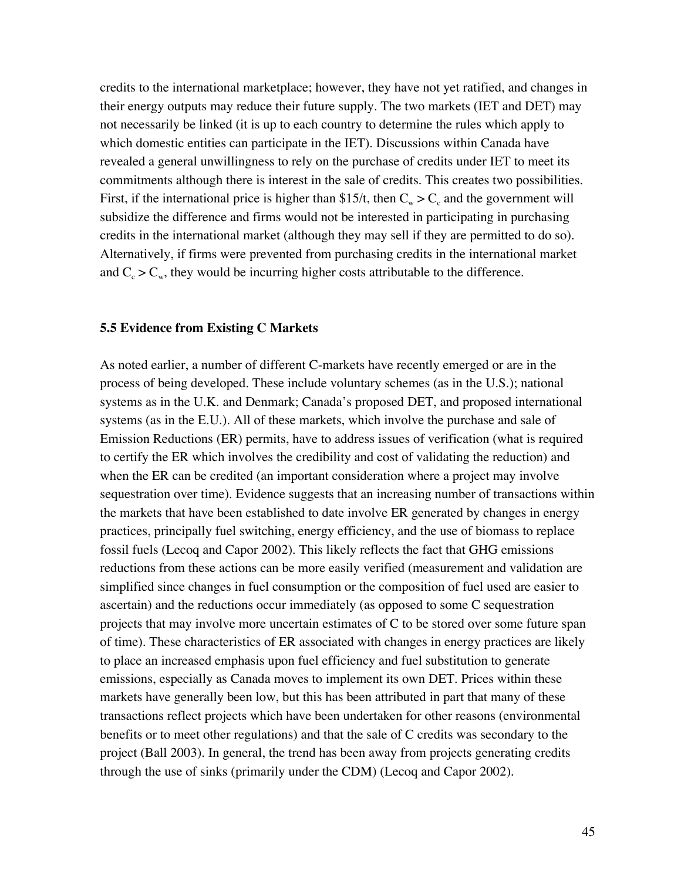credits to the international marketplace; however, they have not yet ratified, and changes in their energy outputs may reduce their future supply. The two markets (IET and DET) may not necessarily be linked (it is up to each country to determine the rules which apply to which domestic entities can participate in the IET). Discussions within Canada have revealed a general unwillingness to rely on the purchase of credits under IET to meet its commitments although there is interest in the sale of credits. This creates two possibilities. First, if the international price is higher than \$15/t, then  $C_w > C_c$  and the government will subsidize the difference and firms would not be interested in participating in purchasing credits in the international market (although they may sell if they are permitted to do so). Alternatively, if firms were prevented from purchasing credits in the international market and  $C_c > C_w$ , they would be incurring higher costs attributable to the difference.

#### **5.5 Evidence from Existing C Markets**

As noted earlier, a number of different C-markets have recently emerged or are in the process of being developed. These include voluntary schemes (as in the U.S.); national systems as in the U.K. and Denmark; Canada's proposed DET, and proposed international systems (as in the E.U.). All of these markets, which involve the purchase and sale of Emission Reductions (ER) permits, have to address issues of verification (what is required to certify the ER which involves the credibility and cost of validating the reduction) and when the ER can be credited (an important consideration where a project may involve sequestration over time). Evidence suggests that an increasing number of transactions within the markets that have been established to date involve ER generated by changes in energy practices, principally fuel switching, energy efficiency, and the use of biomass to replace fossil fuels (Lecoq and Capor 2002). This likely reflects the fact that GHG emissions reductions from these actions can be more easily verified (measurement and validation are simplified since changes in fuel consumption or the composition of fuel used are easier to ascertain) and the reductions occur immediately (as opposed to some C sequestration projects that may involve more uncertain estimates of C to be stored over some future span of time). These characteristics of ER associated with changes in energy practices are likely to place an increased emphasis upon fuel efficiency and fuel substitution to generate emissions, especially as Canada moves to implement its own DET. Prices within these markets have generally been low, but this has been attributed in part that many of these transactions reflect projects which have been undertaken for other reasons (environmental benefits or to meet other regulations) and that the sale of C credits was secondary to the project (Ball 2003). In general, the trend has been away from projects generating credits through the use of sinks (primarily under the CDM) (Lecoq and Capor 2002).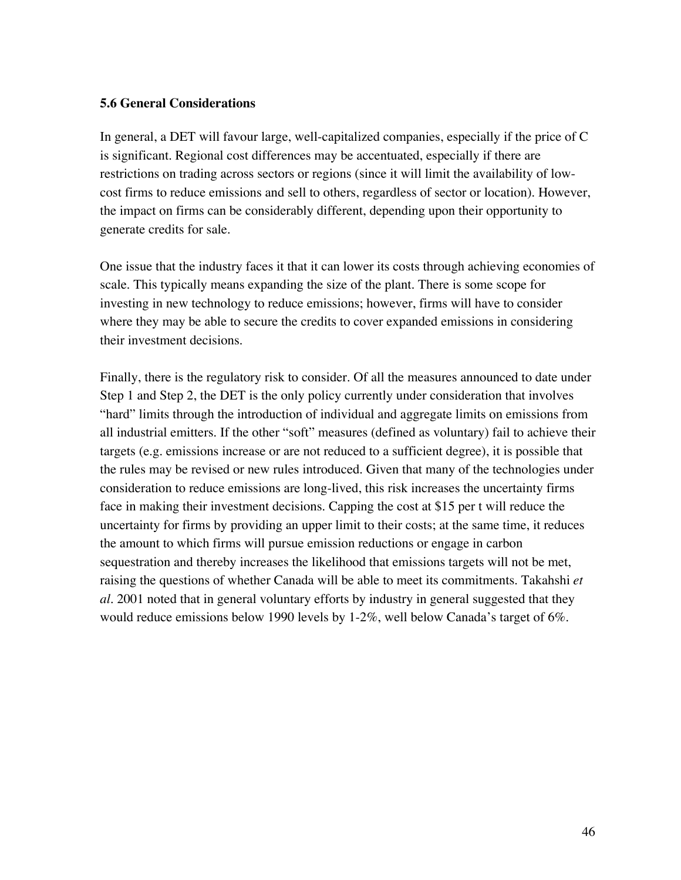#### **5.6 General Considerations**

In general, a DET will favour large, well-capitalized companies, especially if the price of C is significant. Regional cost differences may be accentuated, especially if there are restrictions on trading across sectors or regions (since it will limit the availability of lowcost firms to reduce emissions and sell to others, regardless of sector or location). However, the impact on firms can be considerably different, depending upon their opportunity to generate credits for sale.

One issue that the industry faces it that it can lower its costs through achieving economies of scale. This typically means expanding the size of the plant. There is some scope for investing in new technology to reduce emissions; however, firms will have to consider where they may be able to secure the credits to cover expanded emissions in considering their investment decisions.

Finally, there is the regulatory risk to consider. Of all the measures announced to date under Step 1 and Step 2, the DET is the only policy currently under consideration that involves "hard" limits through the introduction of individual and aggregate limits on emissions from all industrial emitters. If the other "soft" measures (defined as voluntary) fail to achieve their targets (e.g. emissions increase or are not reduced to a sufficient degree), it is possible that the rules may be revised or new rules introduced. Given that many of the technologies under consideration to reduce emissions are long-lived, this risk increases the uncertainty firms face in making their investment decisions. Capping the cost at \$15 per t will reduce the uncertainty for firms by providing an upper limit to their costs; at the same time, it reduces the amount to which firms will pursue emission reductions or engage in carbon sequestration and thereby increases the likelihood that emissions targets will not be met, raising the questions of whether Canada will be able to meet its commitments. Takahshi *et al.* 2001 noted that in general voluntary efforts by industry in general suggested that they would reduce emissions below 1990 levels by 1-2%, well below Canada's target of 6%.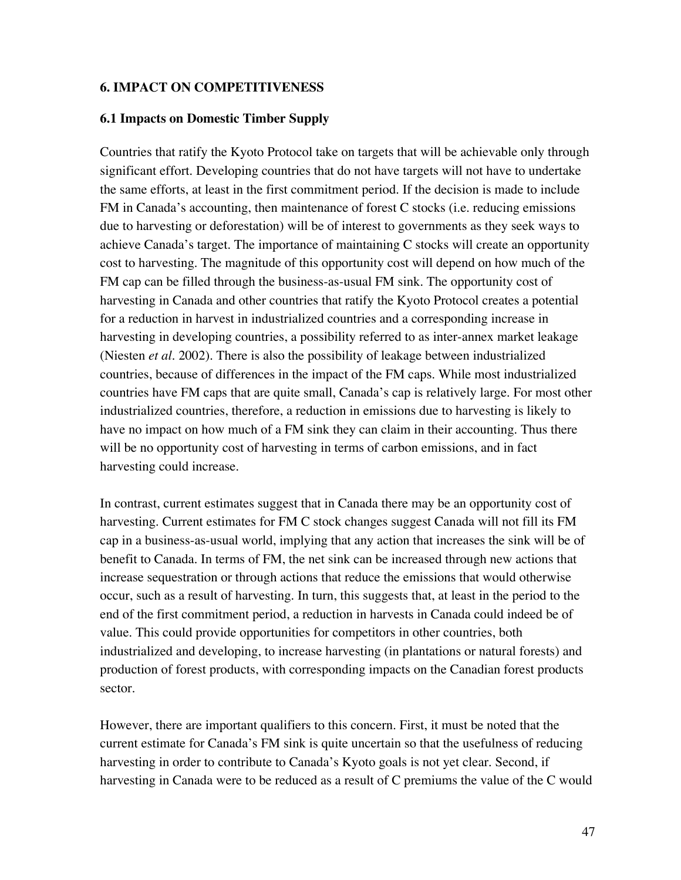#### **6. IMPACT ON COMPETITIVENESS**

#### **6.1 Impacts on Domestic Timber Supply**

Countries that ratify the Kyoto Protocol take on targets that will be achievable only through significant effort. Developing countries that do not have targets will not have to undertake the same efforts, at least in the first commitment period. If the decision is made to include FM in Canada's accounting, then maintenance of forest C stocks (i.e. reducing emissions due to harvesting or deforestation) will be of interest to governments as they seek ways to achieve Canada's target. The importance of maintaining C stocks will create an opportunity cost to harvesting. The magnitude of this opportunity cost will depend on how much of the FM cap can be filled through the business-as-usual FM sink. The opportunity cost of harvesting in Canada and other countries that ratify the Kyoto Protocol creates a potential for a reduction in harvest in industrialized countries and a corresponding increase in harvesting in developing countries, a possibility referred to as inter-annex market leakage (Niesten *et al.* 2002). There is also the possibility of leakage between industrialized countries, because of differences in the impact of the FM caps. While most industrialized countries have FM caps that are quite small, Canada's cap is relatively large. For most other industrialized countries, therefore, a reduction in emissions due to harvesting is likely to have no impact on how much of a FM sink they can claim in their accounting. Thus there will be no opportunity cost of harvesting in terms of carbon emissions, and in fact harvesting could increase.

In contrast, current estimates suggest that in Canada there may be an opportunity cost of harvesting. Current estimates for FM C stock changes suggest Canada will not fill its FM cap in a business-as-usual world, implying that any action that increases the sink will be of benefit to Canada. In terms of FM, the net sink can be increased through new actions that increase sequestration or through actions that reduce the emissions that would otherwise occur, such as a result of harvesting. In turn, this suggests that, at least in the period to the end of the first commitment period, a reduction in harvests in Canada could indeed be of value. This could provide opportunities for competitors in other countries, both industrialized and developing, to increase harvesting (in plantations or natural forests) and production of forest products, with corresponding impacts on the Canadian forest products sector.

However, there are important qualifiers to this concern. First, it must be noted that the current estimate for Canada's FM sink is quite uncertain so that the usefulness of reducing harvesting in order to contribute to Canada's Kyoto goals is not yet clear. Second, if harvesting in Canada were to be reduced as a result of C premiums the value of the C would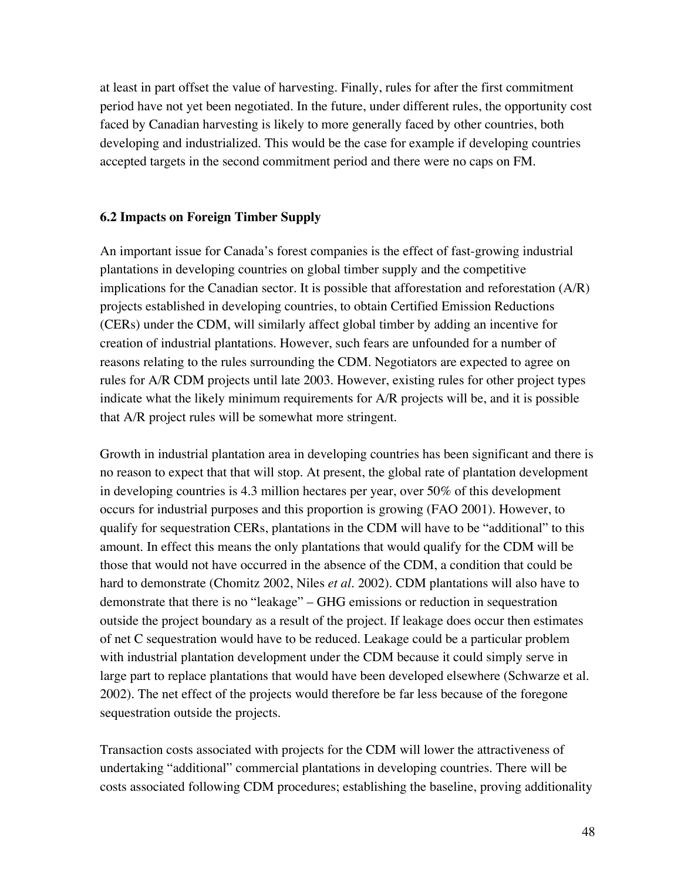at least in part offset the value of harvesting. Finally, rules for after the first commitment period have not yet been negotiated. In the future, under different rules, the opportunity cost faced by Canadian harvesting is likely to more generally faced by other countries, both developing and industrialized. This would be the case for example if developing countries accepted targets in the second commitment period and there were no caps on FM.

### **6.2 Impacts on Foreign Timber Supply**

An important issue for Canada's forest companies is the effect of fast-growing industrial plantations in developing countries on global timber supply and the competitive implications for the Canadian sector. It is possible that afforestation and reforestation (A/R) projects established in developing countries, to obtain Certified Emission Reductions (CERs) under the CDM, will similarly affect global timber by adding an incentive for creation of industrial plantations. However, such fears are unfounded for a number of reasons relating to the rules surrounding the CDM. Negotiators are expected to agree on rules for A/R CDM projects until late 2003. However, existing rules for other project types indicate what the likely minimum requirements for A/R projects will be, and it is possible that A/R project rules will be somewhat more stringent.

Growth in industrial plantation area in developing countries has been significant and there is no reason to expect that that will stop. At present, the global rate of plantation development in developing countries is 4.3 million hectares per year, over 50% of this development occurs for industrial purposes and this proportion is growing (FAO 2001). However, to qualify for sequestration CERs, plantations in the CDM will have to be "additional" to this amount. In effect this means the only plantations that would qualify for the CDM will be those that would not have occurred in the absence of the CDM, a condition that could be hard to demonstrate (Chomitz 2002, Niles *et al.* 2002). CDM plantations will also have to demonstrate that there is no "leakage" – GHG emissions or reduction in sequestration outside the project boundary as a result of the project. If leakage does occur then estimates of net C sequestration would have to be reduced. Leakage could be a particular problem with industrial plantation development under the CDM because it could simply serve in large part to replace plantations that would have been developed elsewhere (Schwarze et al. 2002). The net effect of the projects would therefore be far less because of the foregone sequestration outside the projects.

Transaction costs associated with projects for the CDM will lower the attractiveness of undertaking "additional" commercial plantations in developing countries. There will be costs associated following CDM procedures; establishing the baseline, proving additionality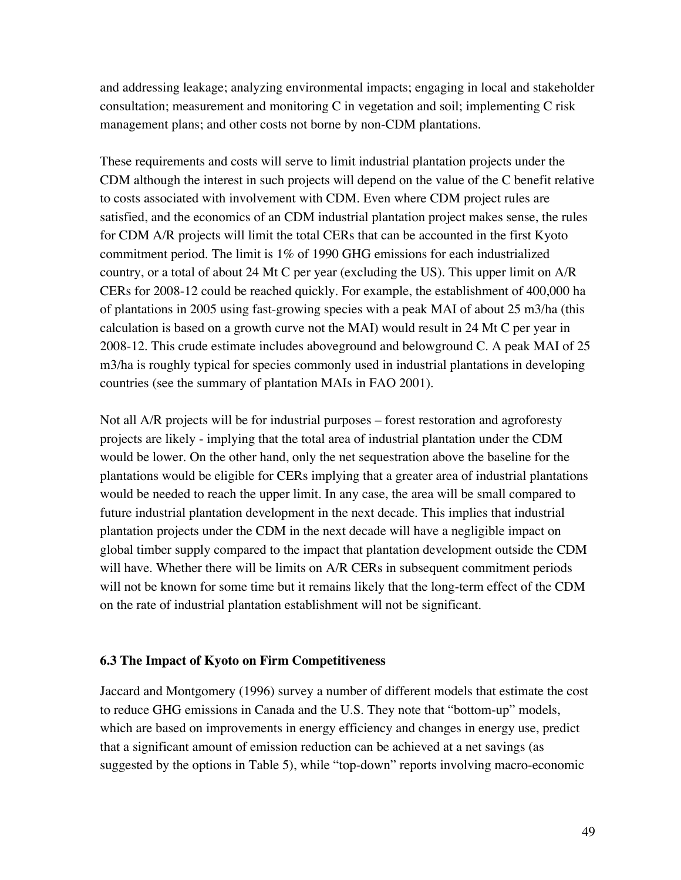and addressing leakage; analyzing environmental impacts; engaging in local and stakeholder consultation; measurement and monitoring C in vegetation and soil; implementing C risk management plans; and other costs not borne by non-CDM plantations.

These requirements and costs will serve to limit industrial plantation projects under the CDM although the interest in such projects will depend on the value of the C benefit relative to costs associated with involvement with CDM. Even where CDM project rules are satisfied, and the economics of an CDM industrial plantation project makes sense, the rules for CDM A/R projects will limit the total CERs that can be accounted in the first Kyoto commitment period. The limit is 1% of 1990 GHG emissions for each industrialized country, or a total of about 24 Mt C per year (excluding the US). This upper limit on A/R CERs for 2008-12 could be reached quickly. For example, the establishment of 400,000 ha of plantations in 2005 using fast-growing species with a peak MAI of about 25 m3/ha (this calculation is based on a growth curve not the MAI) would result in 24 Mt C per year in 2008-12. This crude estimate includes aboveground and belowground C. A peak MAI of 25 m3/ha is roughly typical for species commonly used in industrial plantations in developing countries (see the summary of plantation MAIs in FAO 2001).

Not all A/R projects will be for industrial purposes – forest restoration and agroforesty projects are likely - implying that the total area of industrial plantation under the CDM would be lower. On the other hand, only the net sequestration above the baseline for the plantations would be eligible for CERs implying that a greater area of industrial plantations would be needed to reach the upper limit. In any case, the area will be small compared to future industrial plantation development in the next decade. This implies that industrial plantation projects under the CDM in the next decade will have a negligible impact on global timber supply compared to the impact that plantation development outside the CDM will have. Whether there will be limits on A/R CERs in subsequent commitment periods will not be known for some time but it remains likely that the long-term effect of the CDM on the rate of industrial plantation establishment will not be significant.

#### **6.3 The Impact of Kyoto on Firm Competitiveness**

Jaccard and Montgomery (1996) survey a number of different models that estimate the cost to reduce GHG emissions in Canada and the U.S. They note that "bottom-up" models, which are based on improvements in energy efficiency and changes in energy use, predict that a significant amount of emission reduction can be achieved at a net savings (as suggested by the options in Table 5), while "top-down" reports involving macro-economic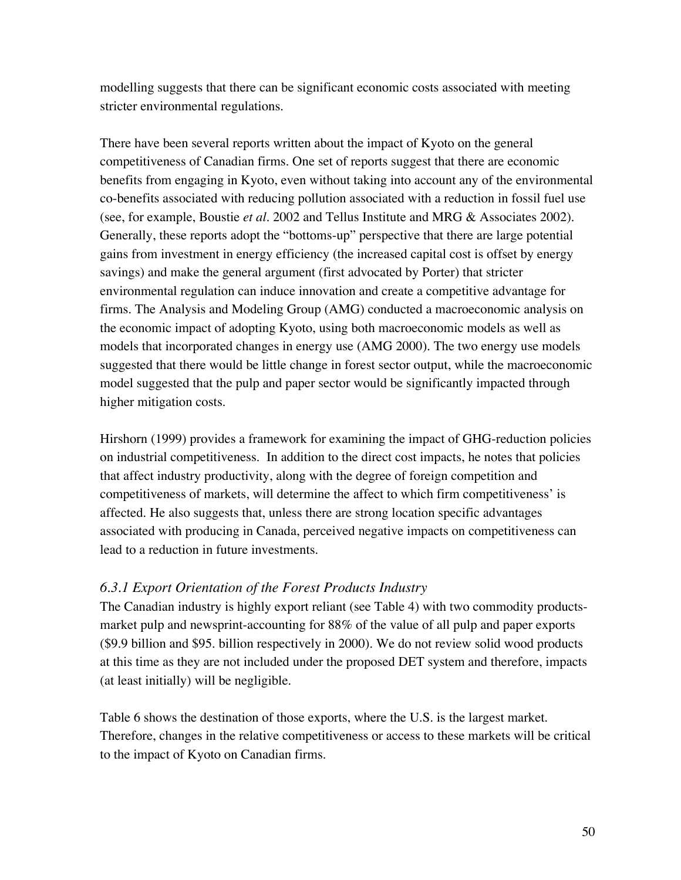modelling suggests that there can be significant economic costs associated with meeting stricter environmental regulations.

There have been several reports written about the impact of Kyoto on the general competitiveness of Canadian firms. One set of reports suggest that there are economic benefits from engaging in Kyoto, even without taking into account any of the environmental co-benefits associated with reducing pollution associated with a reduction in fossil fuel use (see, for example, Boustie *et al.* 2002 and Tellus Institute and MRG & Associates 2002). Generally, these reports adopt the "bottoms-up" perspective that there are large potential gains from investment in energy efficiency (the increased capital cost is offset by energy savings) and make the general argument (first advocated by Porter) that stricter environmental regulation can induce innovation and create a competitive advantage for firms. The Analysis and Modeling Group (AMG) conducted a macroeconomic analysis on the economic impact of adopting Kyoto, using both macroeconomic models as well as models that incorporated changes in energy use (AMG 2000). The two energy use models suggested that there would be little change in forest sector output, while the macroeconomic model suggested that the pulp and paper sector would be significantly impacted through higher mitigation costs.

Hirshorn (1999) provides a framework for examining the impact of GHG-reduction policies on industrial competitiveness. In addition to the direct cost impacts, he notes that policies that affect industry productivity, along with the degree of foreign competition and competitiveness of markets, will determine the affect to which firm competitiveness' is affected. He also suggests that, unless there are strong location specific advantages associated with producing in Canada, perceived negative impacts on competitiveness can lead to a reduction in future investments.

# *6.3.1 Export Orientation of the Forest Products Industry*

The Canadian industry is highly export reliant (see Table 4) with two commodity productsmarket pulp and newsprint-accounting for 88% of the value of all pulp and paper exports (\$9.9 billion and \$95. billion respectively in 2000). We do not review solid wood products at this time as they are not included under the proposed DET system and therefore, impacts (at least initially) will be negligible.

Table 6 shows the destination of those exports, where the U.S. is the largest market. Therefore, changes in the relative competitiveness or access to these markets will be critical to the impact of Kyoto on Canadian firms.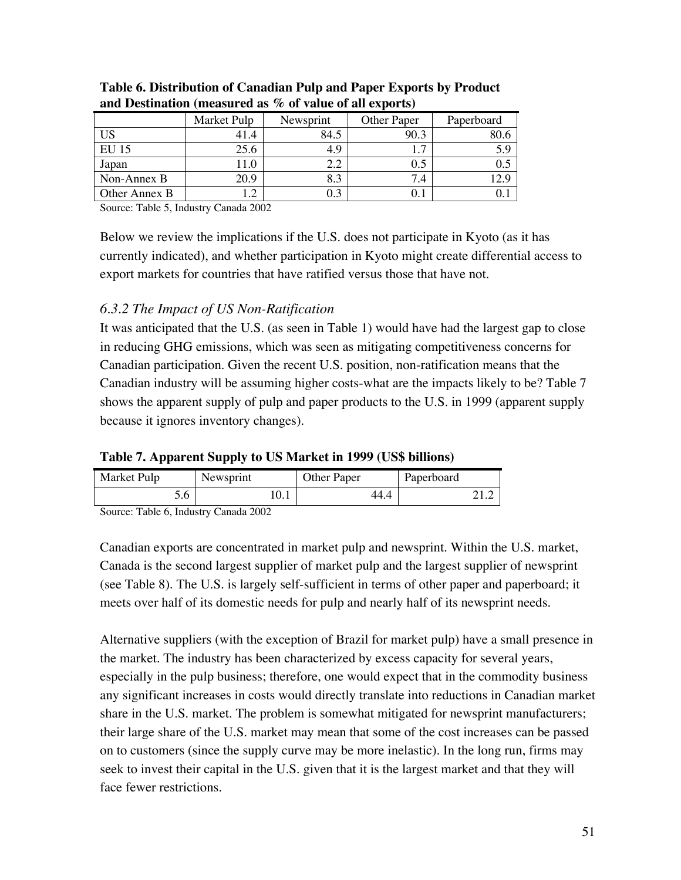|               | Market Pulp | Newsprint | Other Paper | Paperboard |
|---------------|-------------|-----------|-------------|------------|
| US            |             | 84.5      | 90.3        |            |
| EU 15         | 25.6        | 4.9       | ⇁           | 5.9        |
| Japan         | l 1.0       |           |             |            |
| Non-Annex B   | 20.9        | 8.3       | 7.4         |            |
| Other Annex B | ി           |           |             |            |

#### **Table 6. Distribution of Canadian Pulp and Paper Exports by Product and Destination (measured as % of value of all exports)**

Source: Table 5, Industry Canada 2002

Below we review the implications if the U.S. does not participate in Kyoto (as it has currently indicated), and whether participation in Kyoto might create differential access to export markets for countries that have ratified versus those that have not.

# *6.3.2 The Impact of US Non-Ratification*

It was anticipated that the U.S. (as seen in Table 1) would have had the largest gap to close in reducing GHG emissions, which was seen as mitigating competitiveness concerns for Canadian participation. Given the recent U.S. position, non-ratification means that the Canadian industry will be assuming higher costs-what are the impacts likely to be? Table 7 shows the apparent supply of pulp and paper products to the U.S. in 1999 (apparent supply because it ignores inventory changes).

| Table 7. Apparent Supply to US Market in 1999 (US\$ billions) |  |  |
|---------------------------------------------------------------|--|--|
|---------------------------------------------------------------|--|--|

| Market Pulp | Newsprint | Other Paper | Paperboard |
|-------------|-----------|-------------|------------|
|             |           | 44.4        |            |

Source: Table 6, Industry Canada 2002

Canadian exports are concentrated in market pulp and newsprint. Within the U.S. market, Canada is the second largest supplier of market pulp and the largest supplier of newsprint (see Table 8). The U.S. is largely self-sufficient in terms of other paper and paperboard; it meets over half of its domestic needs for pulp and nearly half of its newsprint needs.

Alternative suppliers (with the exception of Brazil for market pulp) have a small presence in the market. The industry has been characterized by excess capacity for several years, especially in the pulp business; therefore, one would expect that in the commodity business any significant increases in costs would directly translate into reductions in Canadian market share in the U.S. market. The problem is somewhat mitigated for newsprint manufacturers; their large share of the U.S. market may mean that some of the cost increases can be passed on to customers (since the supply curve may be more inelastic). In the long run, firms may seek to invest their capital in the U.S. given that it is the largest market and that they will face fewer restrictions.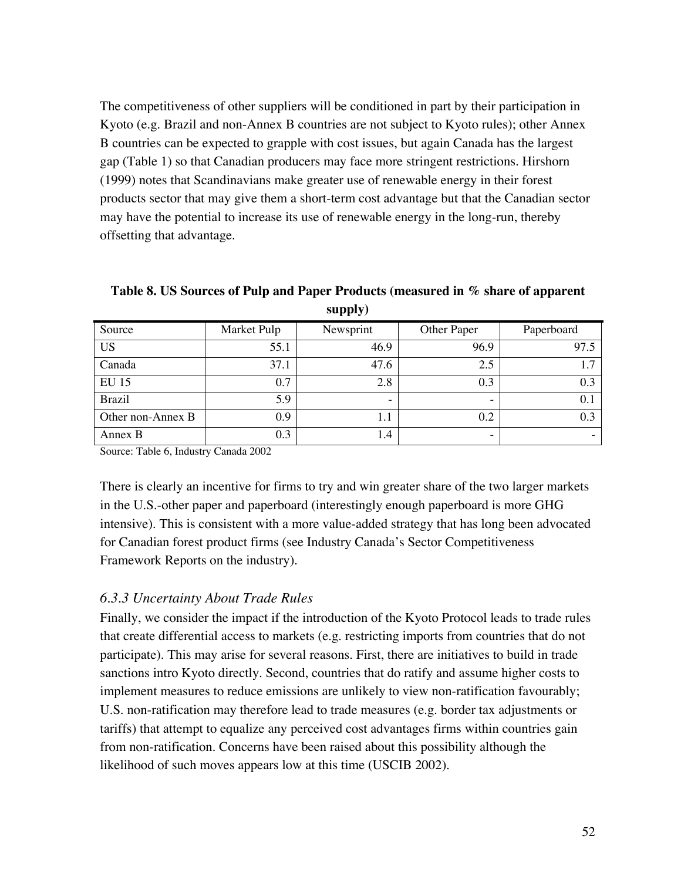The competitiveness of other suppliers will be conditioned in part by their participation in Kyoto (e.g. Brazil and non-Annex B countries are not subject to Kyoto rules); other Annex B countries can be expected to grapple with cost issues, but again Canada has the largest gap (Table 1) so that Canadian producers may face more stringent restrictions. Hirshorn (1999) notes that Scandinavians make greater use of renewable energy in their forest products sector that may give them a short-term cost advantage but that the Canadian sector may have the potential to increase its use of renewable energy in the long-run, thereby offsetting that advantage.

**Table 8. US Sources of Pulp and Paper Products (measured in % share of apparent supply)**

| Source            | Market Pulp | Newsprint                | Other Paper | Paperboard |
|-------------------|-------------|--------------------------|-------------|------------|
| <b>US</b>         | 55.1        | 46.9                     | 96.9        | 97.5       |
| Canada            | 37.1        | 47.6                     | 2.5         | 1.7        |
| <b>EU 15</b>      | 0.7         | 2.8                      | 0.3         | 0.3        |
| <b>Brazil</b>     | 5.9         | $\overline{\phantom{0}}$ | -           | 0.1        |
| Other non-Annex B | 0.9         | 1.1                      | 0.2         | 0.3        |
| Annex B           | 0.3         | 1.4                      | -           |            |

Source: Table 6, Industry Canada 2002

There is clearly an incentive for firms to try and win greater share of the two larger markets in the U.S.-other paper and paperboard (interestingly enough paperboard is more GHG intensive). This is consistent with a more value-added strategy that has long been advocated for Canadian forest product firms (see Industry Canada's Sector Competitiveness Framework Reports on the industry).

# *6.3.3 Uncertainty About Trade Rules*

Finally, we consider the impact if the introduction of the Kyoto Protocol leads to trade rules that create differential access to markets (e.g. restricting imports from countries that do not participate). This may arise for several reasons. First, there are initiatives to build in trade sanctions intro Kyoto directly. Second, countries that do ratify and assume higher costs to implement measures to reduce emissions are unlikely to view non-ratification favourably; U.S. non-ratification may therefore lead to trade measures (e.g. border tax adjustments or tariffs) that attempt to equalize any perceived cost advantages firms within countries gain from non-ratification. Concerns have been raised about this possibility although the likelihood of such moves appears low at this time (USCIB 2002).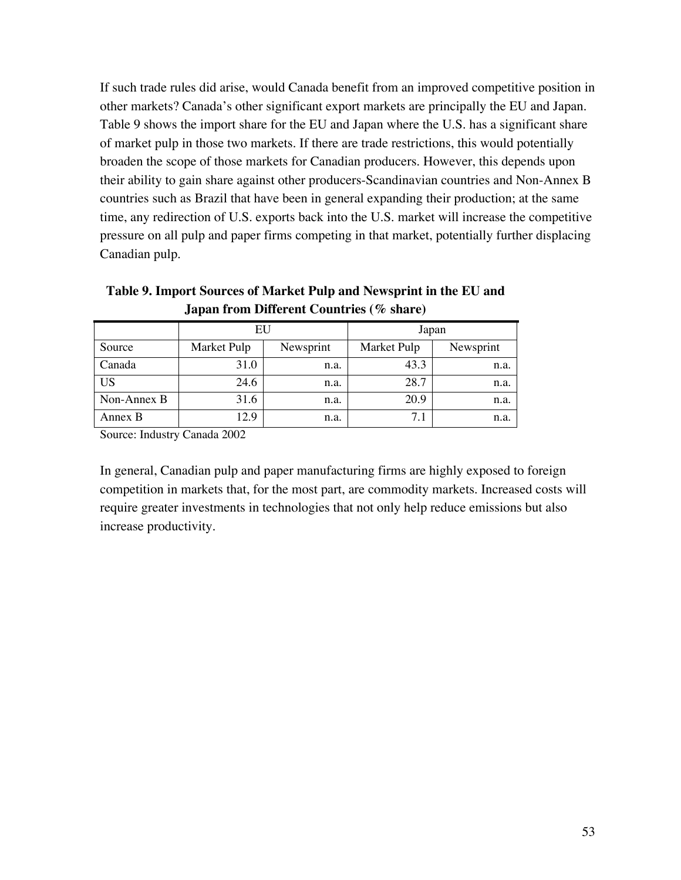If such trade rules did arise, would Canada benefit from an improved competitive position in other markets? Canada's other significant export markets are principally the EU and Japan. Table 9 shows the import share for the EU and Japan where the U.S. has a significant share of market pulp in those two markets. If there are trade restrictions, this would potentially broaden the scope of those markets for Canadian producers. However, this depends upon their ability to gain share against other producers-Scandinavian countries and Non-Annex B countries such as Brazil that have been in general expanding their production; at the same time, any redirection of U.S. exports back into the U.S. market will increase the competitive pressure on all pulp and paper firms competing in that market, potentially further displacing Canadian pulp.

|             | EU          |           | Japan       |           |
|-------------|-------------|-----------|-------------|-----------|
| Source      | Market Pulp | Newsprint | Market Pulp | Newsprint |
| Canada      | 31.0        | n.a.      | 43.3        | n.a.      |
| <b>US</b>   | 24.6        | n.a.      | 28.7        | n.a.      |
| Non-Annex B | 31.6        | n.a.      | 20.9        | n.a.      |
| Annex B     | 12.9        | n.a.      | 71          | n.a.      |

**Table 9. Import Sources of Market Pulp and Newsprint in the EU and Japan from Different Countries (% share)**

Source: Industry Canada 2002

In general, Canadian pulp and paper manufacturing firms are highly exposed to foreign competition in markets that, for the most part, are commodity markets. Increased costs will require greater investments in technologies that not only help reduce emissions but also increase productivity.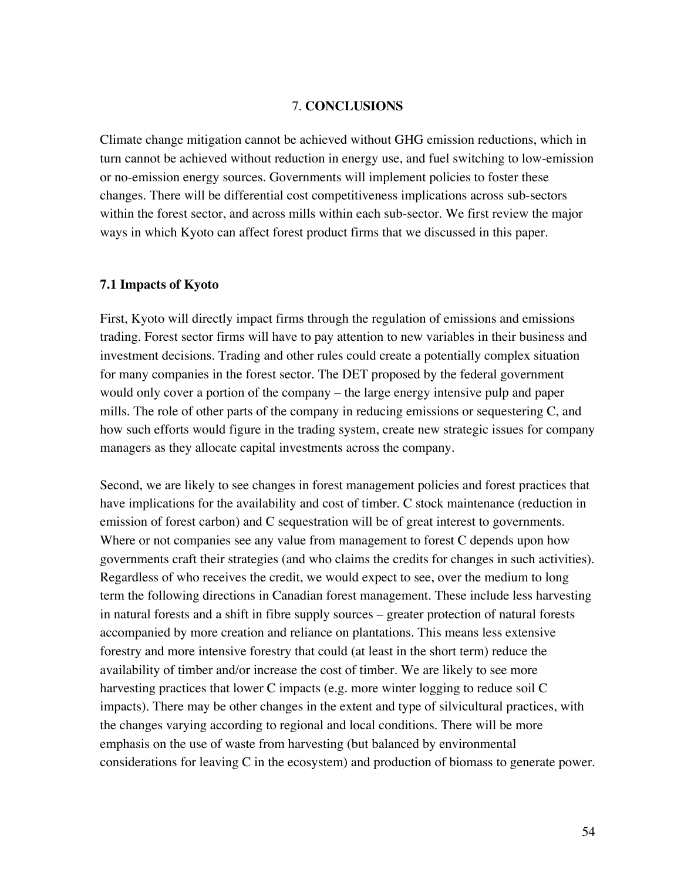#### 7. **CONCLUSIONS**

Climate change mitigation cannot be achieved without GHG emission reductions, which in turn cannot be achieved without reduction in energy use, and fuel switching to low-emission or no-emission energy sources. Governments will implement policies to foster these changes. There will be differential cost competitiveness implications across sub-sectors within the forest sector, and across mills within each sub-sector. We first review the major ways in which Kyoto can affect forest product firms that we discussed in this paper.

#### **7.1 Impacts of Kyoto**

First, Kyoto will directly impact firms through the regulation of emissions and emissions trading. Forest sector firms will have to pay attention to new variables in their business and investment decisions. Trading and other rules could create a potentially complex situation for many companies in the forest sector. The DET proposed by the federal government would only cover a portion of the company – the large energy intensive pulp and paper mills. The role of other parts of the company in reducing emissions or sequestering C, and how such efforts would figure in the trading system, create new strategic issues for company managers as they allocate capital investments across the company.

Second, we are likely to see changes in forest management policies and forest practices that have implications for the availability and cost of timber. C stock maintenance (reduction in emission of forest carbon) and C sequestration will be of great interest to governments. Where or not companies see any value from management to forest C depends upon how governments craft their strategies (and who claims the credits for changes in such activities). Regardless of who receives the credit, we would expect to see, over the medium to long term the following directions in Canadian forest management. These include less harvesting in natural forests and a shift in fibre supply sources – greater protection of natural forests accompanied by more creation and reliance on plantations. This means less extensive forestry and more intensive forestry that could (at least in the short term) reduce the availability of timber and/or increase the cost of timber. We are likely to see more harvesting practices that lower C impacts (e.g. more winter logging to reduce soil C impacts). There may be other changes in the extent and type of silvicultural practices, with the changes varying according to regional and local conditions. There will be more emphasis on the use of waste from harvesting (but balanced by environmental considerations for leaving C in the ecosystem) and production of biomass to generate power.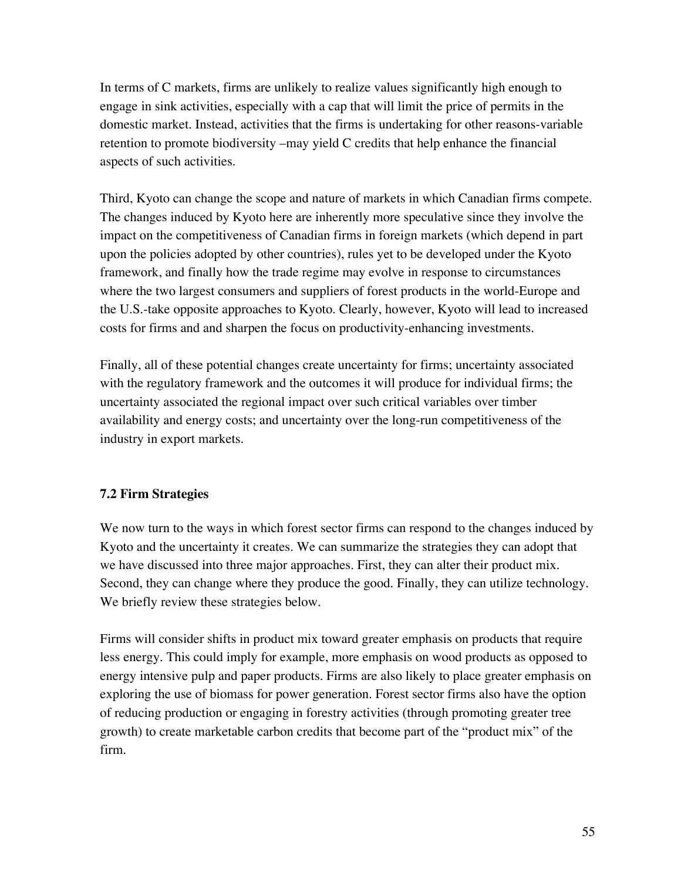In terms of C markets, firms are unlikely to realize values significantly high enough to engage in sink activities, especially with a cap that will limit the price of permits in the domestic market. Instead, activities that the firms is undertaking for other reasons-variable retention to promote biodiversity –may yield C credits that help enhance the financial aspects of such activities.

Third, Kyoto can change the scope and nature of markets in which Canadian firms compete. The changes induced by Kyoto here are inherently more speculative since they involve the impact on the competitiveness of Canadian firms in foreign markets (which depend in part upon the policies adopted by other countries), rules yet to be developed under the Kyoto framework, and finally how the trade regime may evolve in response to circumstances where the two largest consumers and suppliers of forest products in the world-Europe and the U.S.-take opposite approaches to Kyoto. Clearly, however, Kyoto will lead to increased costs for firms and and sharpen the focus on productivity-enhancing investments.

Finally, all of these potential changes create uncertainty for firms; uncertainty associated with the regulatory framework and the outcomes it will produce for individual firms; the uncertainty associated the regional impact over such critical variables over timber availability and energy costs; and uncertainty over the long-run competitiveness of the industry in export markets.

# **7.2 Firm Strategies**

We now turn to the ways in which forest sector firms can respond to the changes induced by Kyoto and the uncertainty it creates. We can summarize the strategies they can adopt that we have discussed into three major approaches. First, they can alter their product mix. Second, they can change where they produce the good. Finally, they can utilize technology. We briefly review these strategies below.

Firms will consider shifts in product mix toward greater emphasis on products that require less energy. This could imply for example, more emphasis on wood products as opposed to energy intensive pulp and paper products. Firms are also likely to place greater emphasis on exploring the use of biomass for power generation. Forest sector firms also have the option of reducing production or engaging in forestry activities (through promoting greater tree growth) to create marketable carbon credits that become part of the "product mix" of the firm.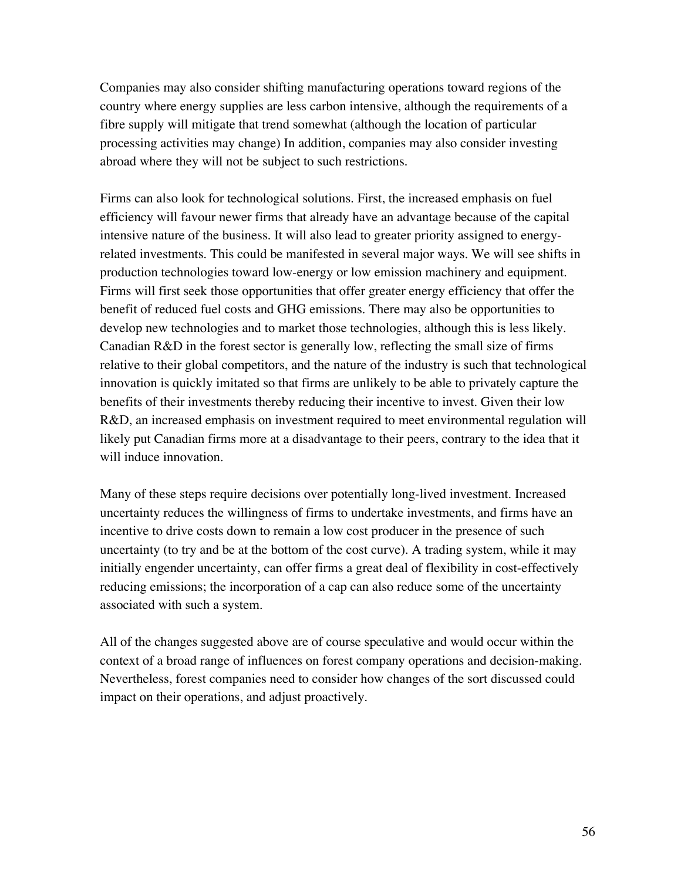Companies may also consider shifting manufacturing operations toward regions of the country where energy supplies are less carbon intensive, although the requirements of a fibre supply will mitigate that trend somewhat (although the location of particular processing activities may change) In addition, companies may also consider investing abroad where they will not be subject to such restrictions.

Firms can also look for technological solutions. First, the increased emphasis on fuel efficiency will favour newer firms that already have an advantage because of the capital intensive nature of the business. It will also lead to greater priority assigned to energyrelated investments. This could be manifested in several major ways. We will see shifts in production technologies toward low-energy or low emission machinery and equipment. Firms will first seek those opportunities that offer greater energy efficiency that offer the benefit of reduced fuel costs and GHG emissions. There may also be opportunities to develop new technologies and to market those technologies, although this is less likely. Canadian R&D in the forest sector is generally low, reflecting the small size of firms relative to their global competitors, and the nature of the industry is such that technological innovation is quickly imitated so that firms are unlikely to be able to privately capture the benefits of their investments thereby reducing their incentive to invest. Given their low R&D, an increased emphasis on investment required to meet environmental regulation will likely put Canadian firms more at a disadvantage to their peers, contrary to the idea that it will induce innovation.

Many of these steps require decisions over potentially long-lived investment. Increased uncertainty reduces the willingness of firms to undertake investments, and firms have an incentive to drive costs down to remain a low cost producer in the presence of such uncertainty (to try and be at the bottom of the cost curve). A trading system, while it may initially engender uncertainty, can offer firms a great deal of flexibility in cost-effectively reducing emissions; the incorporation of a cap can also reduce some of the uncertainty associated with such a system.

All of the changes suggested above are of course speculative and would occur within the context of a broad range of influences on forest company operations and decision-making. Nevertheless, forest companies need to consider how changes of the sort discussed could impact on their operations, and adjust proactively.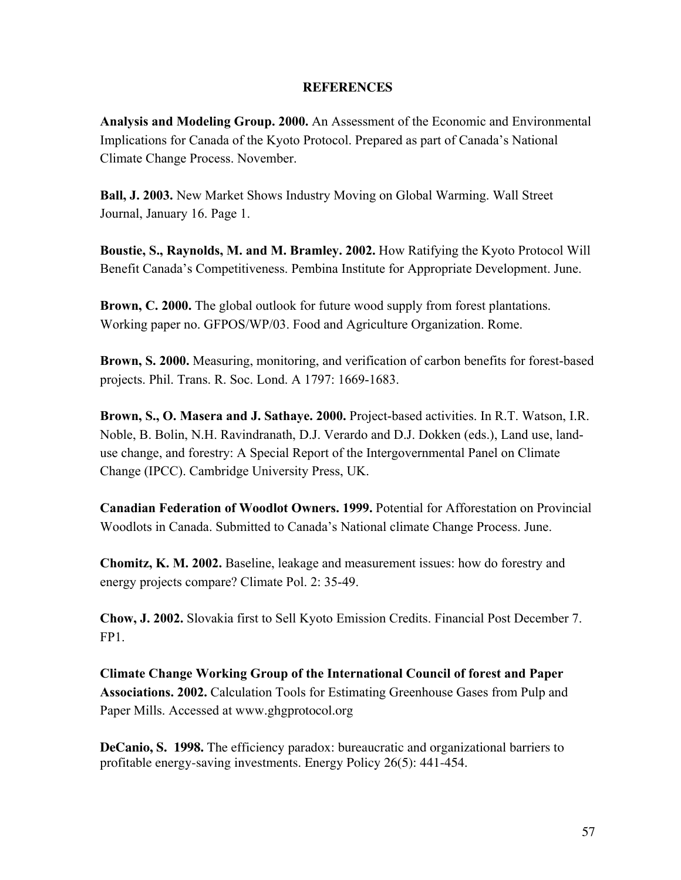### **REFERENCES**

**Analysis and Modeling Group. 2000.** An Assessment of the Economic and Environmental Implications for Canada of the Kyoto Protocol. Prepared as part of Canada's National Climate Change Process. November.

**Ball, J. 2003.** New Market Shows Industry Moving on Global Warming. Wall Street Journal, January 16. Page 1.

**Boustie, S., Raynolds, M. and M. Bramley. 2002.** How Ratifying the Kyoto Protocol Will Benefit Canada's Competitiveness. Pembina Institute for Appropriate Development. June.

**Brown, C. 2000.** The global outlook for future wood supply from forest plantations. Working paper no. GFPOS/WP/03. Food and Agriculture Organization. Rome.

**Brown, S. 2000.** Measuring, monitoring, and verification of carbon benefits for forest-based projects. Phil. Trans. R. Soc. Lond. A 1797: 1669-1683.

**Brown, S., O. Masera and J. Sathaye. 2000.** Project-based activities. In R.T. Watson, I.R. Noble, B. Bolin, N.H. Ravindranath, D.J. Verardo and D.J. Dokken (eds.), Land use, landuse change, and forestry: A Special Report of the Intergovernmental Panel on Climate Change (IPCC). Cambridge University Press, UK.

**Canadian Federation of Woodlot Owners. 1999.** Potential for Afforestation on Provincial Woodlots in Canada. Submitted to Canada's National climate Change Process. June.

**Chomitz, K. M. 2002.** Baseline, leakage and measurement issues: how do forestry and energy projects compare? Climate Pol. 2: 35-49.

**Chow, J. 2002.** Slovakia first to Sell Kyoto Emission Credits. Financial Post December 7. FP1.

**Climate Change Working Group of the International Council of forest and Paper Associations. 2002.** Calculation Tools for Estimating Greenhouse Gases from Pulp and Paper Mills. Accessed at www.ghgprotocol.org

**DeCanio, S. 1998.** The efficiency paradox: bureaucratic and organizational barriers to profitable energy-saving investments. Energy Policy 26(5): 441-454.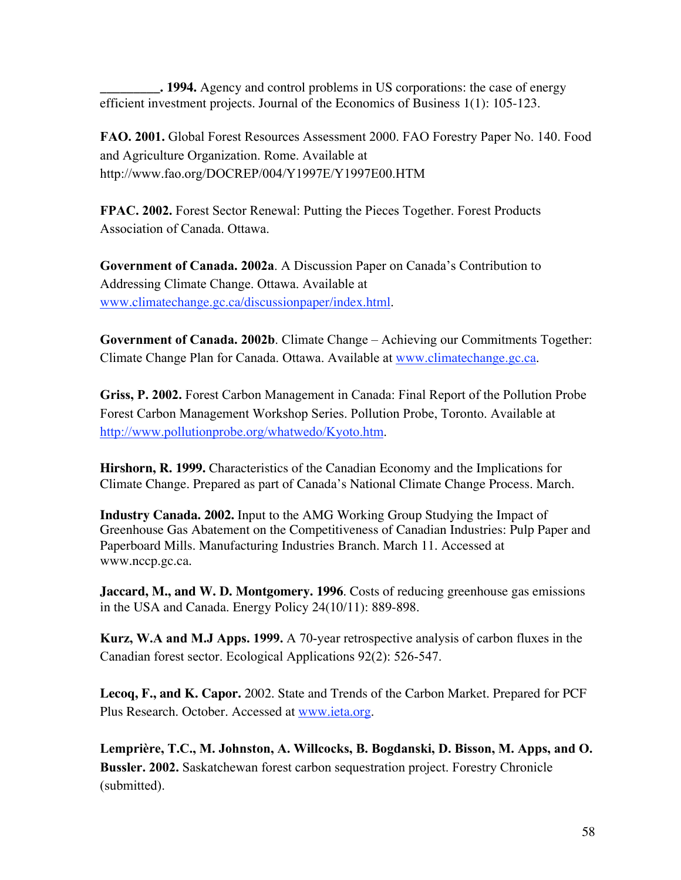**\_\_\_\_\_\_\_\_\_. 1994.** Agency and control problems in US corporations: the case of energy efficient investment projects. Journal of the Economics of Business 1(1): 105-123.

**FAO. 2001.** Global Forest Resources Assessment 2000. FAO Forestry Paper No. 140. Food and Agriculture Organization. Rome. Available at http://www.fao.org/DOCREP/004/Y1997E/Y1997E00.HTM

**FPAC. 2002.** Forest Sector Renewal: Putting the Pieces Together. Forest Products Association of Canada. Ottawa.

**Government of Canada. 2002a**. A Discussion Paper on Canada's Contribution to Addressing Climate Change. Ottawa. Available at www.climatechange.gc.ca/discussionpaper/index.html.

**Government of Canada. 2002b**. Climate Change – Achieving our Commitments Together: Climate Change Plan for Canada. Ottawa. Available at www.climatechange.gc.ca.

**Griss, P. 2002.** Forest Carbon Management in Canada: Final Report of the Pollution Probe Forest Carbon Management Workshop Series. Pollution Probe, Toronto. Available at http://www.pollutionprobe.org/whatwedo/Kyoto.htm.

**Hirshorn, R. 1999.** Characteristics of the Canadian Economy and the Implications for Climate Change. Prepared as part of Canada's National Climate Change Process. March.

**Industry Canada. 2002.** Input to the AMG Working Group Studying the Impact of Greenhouse Gas Abatement on the Competitiveness of Canadian Industries: Pulp Paper and Paperboard Mills. Manufacturing Industries Branch. March 11. Accessed at www.nccp.gc.ca.

**Jaccard, M., and W. D. Montgomery. 1996**. Costs of reducing greenhouse gas emissions in the USA and Canada. Energy Policy 24(10/11): 889-898.

**Kurz, W.A and M.J Apps. 1999.** A 70-year retrospective analysis of carbon fluxes in the Canadian forest sector. Ecological Applications 92(2): 526-547.

**Lecoq, F., and K. Capor.** 2002. State and Trends of the Carbon Market. Prepared for PCF Plus Research. October. Accessed at www.ieta.org.

**Lemprière, T.C., M. Johnston, A. Willcocks, B. Bogdanski, D. Bisson, M. Apps, and O. Bussler. 2002.** Saskatchewan forest carbon sequestration project. Forestry Chronicle (submitted).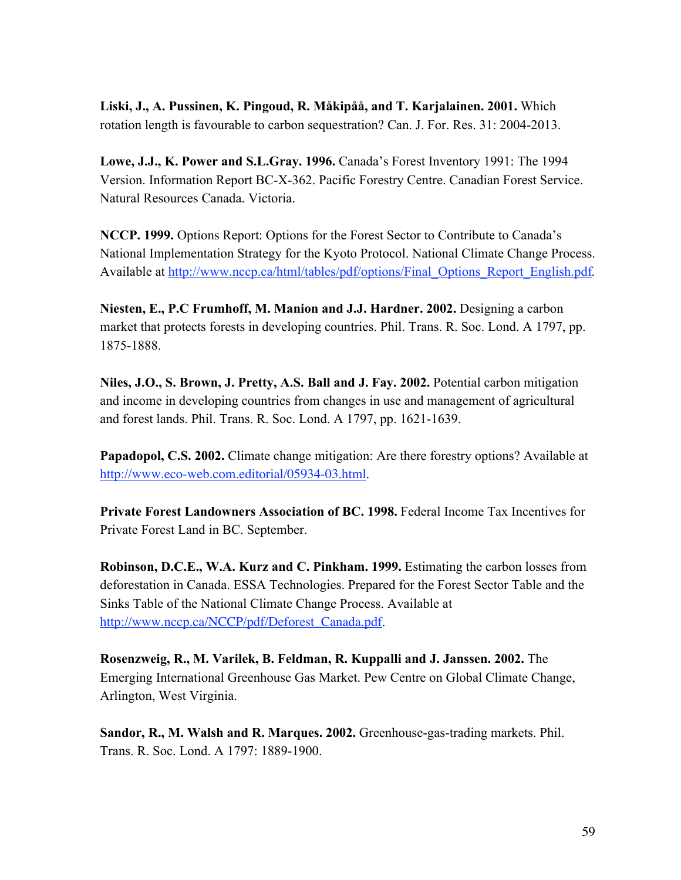**Liski, J., A. Pussinen, K. Pingoud, R. Måkipåå, and T. Karjalainen. 2001.** Which rotation length is favourable to carbon sequestration? Can. J. For. Res. 31: 2004-2013.

**Lowe, J.J., K. Power and S.L.Gray. 1996.** Canada's Forest Inventory 1991: The 1994 Version. Information Report BC-X-362. Pacific Forestry Centre. Canadian Forest Service. Natural Resources Canada. Victoria.

**NCCP. 1999.** Options Report: Options for the Forest Sector to Contribute to Canada's National Implementation Strategy for the Kyoto Protocol. National Climate Change Process. Available at http://www.nccp.ca/html/tables/pdf/options/Final\_Options\_Report\_English.pdf.

**Niesten, E., P.C Frumhoff, M. Manion and J.J. Hardner. 2002.** Designing a carbon market that protects forests in developing countries. Phil. Trans. R. Soc. Lond. A 1797, pp. 1875-1888.

**Niles, J.O., S. Brown, J. Pretty, A.S. Ball and J. Fay. 2002.** Potential carbon mitigation and income in developing countries from changes in use and management of agricultural and forest lands. Phil. Trans. R. Soc. Lond. A 1797, pp. 1621-1639.

**Papadopol, C.S. 2002.** Climate change mitigation: Are there forestry options? Available at http://www.eco-web.com.editorial/05934-03.html.

**Private Forest Landowners Association of BC. 1998.** Federal Income Tax Incentives for Private Forest Land in BC. September.

**Robinson, D.C.E., W.A. Kurz and C. Pinkham. 1999.** Estimating the carbon losses from deforestation in Canada. ESSA Technologies. Prepared for the Forest Sector Table and the Sinks Table of the National Climate Change Process. Available at http://www.nccp.ca/NCCP/pdf/Deforest\_Canada.pdf.

**Rosenzweig, R., M. Varilek, B. Feldman, R. Kuppalli and J. Janssen. 2002.** The Emerging International Greenhouse Gas Market. Pew Centre on Global Climate Change, Arlington, West Virginia.

**Sandor, R., M. Walsh and R. Marques. 2002.** Greenhouse-gas-trading markets. Phil. Trans. R. Soc. Lond. A 1797: 1889-1900.